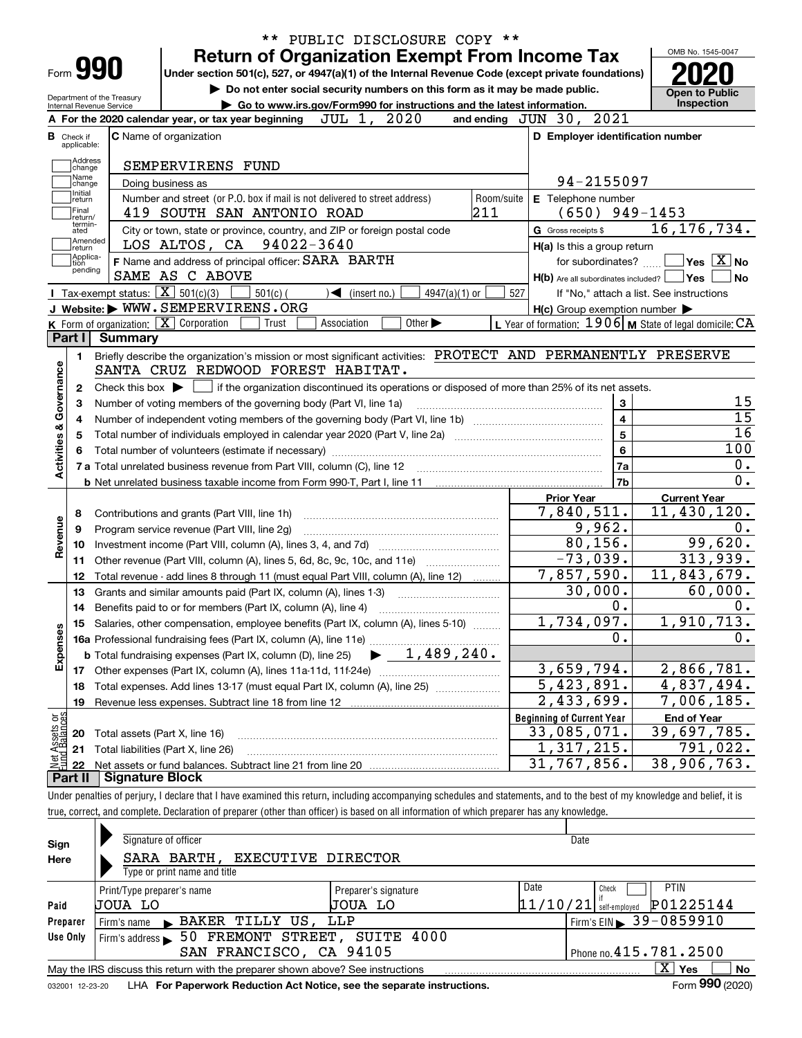|                                          |                                                   |                                                                                                                                                     | <b>Return of Organization Exempt From Income Tax</b>                        |                                                                                                                |                             |                                  |                   |                                  |                                        | OMB No. 1545-0047                                         |                                                                                                                  |
|------------------------------------------|---------------------------------------------------|-----------------------------------------------------------------------------------------------------------------------------------------------------|-----------------------------------------------------------------------------|----------------------------------------------------------------------------------------------------------------|-----------------------------|----------------------------------|-------------------|----------------------------------|----------------------------------------|-----------------------------------------------------------|------------------------------------------------------------------------------------------------------------------|
| Form 990                                 |                                                   | Under section 501(c), 527, or 4947(a)(1) of the Internal Revenue Code (except private foundations)                                                  |                                                                             |                                                                                                                |                             |                                  |                   |                                  |                                        |                                                           |                                                                                                                  |
| Department of the Treasury               |                                                   |                                                                                                                                                     | Do not enter social security numbers on this form as it may be made public. |                                                                                                                |                             |                                  |                   |                                  |                                        | <b>Open to Public</b>                                     |                                                                                                                  |
| Internal Revenue Service                 |                                                   |                                                                                                                                                     | Go to www.irs.gov/Form990 for instructions and the latest information.      |                                                                                                                |                             |                                  |                   |                                  |                                        |                                                           | Inspection                                                                                                       |
|                                          |                                                   | A For the 2020 calendar year, or tax year beginning                                                                                                 |                                                                             | JUL 1, 2020                                                                                                    |                             |                                  |                   | and ending JUN 30, 2021          |                                        |                                                           |                                                                                                                  |
| <b>B</b> Check if<br>applicable:         |                                                   | C Name of organization                                                                                                                              |                                                                             |                                                                                                                |                             |                                  |                   |                                  |                                        | D Employer identification number                          |                                                                                                                  |
| Address                                  |                                                   |                                                                                                                                                     |                                                                             |                                                                                                                |                             |                                  |                   |                                  |                                        |                                                           |                                                                                                                  |
| change<br>Name                           |                                                   | SEMPERVIRENS FUND                                                                                                                                   |                                                                             |                                                                                                                |                             |                                  |                   |                                  | 94-2155097                             |                                                           |                                                                                                                  |
| change<br>Initial                        |                                                   | Doing business as                                                                                                                                   |                                                                             |                                                                                                                |                             |                                  |                   |                                  |                                        |                                                           |                                                                                                                  |
| return<br>Final                          |                                                   | Number and street (or P.O. box if mail is not delivered to street address)<br>419 SOUTH SAN ANTONIO ROAD                                            |                                                                             |                                                                                                                |                             |                                  | Room/suite<br>211 |                                  | E Telephone number<br>$(650)$ 949-1453 |                                                           |                                                                                                                  |
| return/<br>termin-                       |                                                   |                                                                                                                                                     |                                                                             |                                                                                                                |                             |                                  |                   | G Gross receipts \$              |                                        | 16, 176, 734.                                             |                                                                                                                  |
| ated<br>Amended                          |                                                   | City or town, state or province, country, and ZIP or foreign postal code<br>LOS ALTOS, CA 94022-3640                                                |                                                                             |                                                                                                                |                             |                                  |                   |                                  | H(a) Is this a group return            |                                                           |                                                                                                                  |
| return<br>Applica-                       |                                                   | F Name and address of principal officer: SARA BARTH                                                                                                 |                                                                             |                                                                                                                |                             |                                  |                   |                                  | for subordinates?                      |                                                           | $\sqrt{}$ Yes $\sqrt{}$ X $\sqrt{}$ No                                                                           |
| tion<br>pending                          |                                                   | SAME AS C ABOVE                                                                                                                                     |                                                                             |                                                                                                                |                             |                                  |                   |                                  |                                        | $H(b)$ Are all subordinates included? $\Box$ Yes          | No                                                                                                               |
|                                          | Tax-exempt status: $\boxed{\mathbf{X}}$ 501(c)(3) |                                                                                                                                                     | $501(c)$ (                                                                  | $\blacktriangleleft$ (insert no.)                                                                              |                             | $4947(a)(1)$ or                  | 527               |                                  |                                        | If "No," attach a list. See instructions                  |                                                                                                                  |
|                                          |                                                   | J Website: WWW.SEMPERVIRENS.ORG                                                                                                                     |                                                                             |                                                                                                                |                             |                                  |                   |                                  |                                        | $H(c)$ Group exemption number $\blacktriangleright$       |                                                                                                                  |
|                                          |                                                   | K Form of organization: X Corporation                                                                                                               | Trust                                                                       | Association                                                                                                    | Other $\blacktriangleright$ |                                  |                   |                                  |                                        | L Year of formation: $1906$ M State of legal domicile: CA |                                                                                                                  |
| Part I                                   | <b>Summary</b>                                    |                                                                                                                                                     |                                                                             |                                                                                                                |                             |                                  |                   |                                  |                                        |                                                           |                                                                                                                  |
| 1.                                       |                                                   | Briefly describe the organization's mission or most significant activities: PROTECT AND PERMANENTLY PRESERVE                                        |                                                                             |                                                                                                                |                             |                                  |                   |                                  |                                        |                                                           |                                                                                                                  |
|                                          |                                                   | SANTA CRUZ REDWOOD FOREST HABITAT.                                                                                                                  |                                                                             |                                                                                                                |                             |                                  |                   |                                  |                                        |                                                           |                                                                                                                  |
| 2                                        |                                                   | Check this box $\blacktriangleright$ $\blacksquare$ if the organization discontinued its operations or disposed of more than 25% of its net assets. |                                                                             |                                                                                                                |                             |                                  |                   |                                  |                                        |                                                           |                                                                                                                  |
| з                                        |                                                   | Number of voting members of the governing body (Part VI, line 1a)                                                                                   |                                                                             |                                                                                                                |                             |                                  |                   |                                  |                                        |                                                           |                                                                                                                  |
|                                          |                                                   |                                                                                                                                                     |                                                                             |                                                                                                                |                             |                                  |                   |                                  | 3                                      |                                                           |                                                                                                                  |
| 4                                        |                                                   |                                                                                                                                                     |                                                                             |                                                                                                                |                             |                                  |                   |                                  | $\overline{\mathbf{4}}$                |                                                           |                                                                                                                  |
| 5                                        |                                                   |                                                                                                                                                     |                                                                             |                                                                                                                |                             |                                  |                   |                                  | 5                                      |                                                           |                                                                                                                  |
|                                          |                                                   |                                                                                                                                                     |                                                                             |                                                                                                                |                             |                                  |                   |                                  | 6                                      |                                                           |                                                                                                                  |
|                                          |                                                   | 7 a Total unrelated business revenue from Part VIII, column (C), line 12 [11] [12] [11] [12] [11] [11] [12] [1                                      |                                                                             |                                                                                                                |                             |                                  |                   |                                  | 7a                                     |                                                           |                                                                                                                  |
|                                          |                                                   |                                                                                                                                                     |                                                                             |                                                                                                                |                             |                                  |                   |                                  | 7b                                     |                                                           |                                                                                                                  |
|                                          |                                                   |                                                                                                                                                     |                                                                             |                                                                                                                |                             |                                  |                   | <b>Prior Year</b>                |                                        | <b>Current Year</b>                                       |                                                                                                                  |
| 8                                        |                                                   | Contributions and grants (Part VIII, line 1h)                                                                                                       |                                                                             |                                                                                                                |                             |                                  |                   |                                  | 7,840,511.                             | 11,430,120.                                               |                                                                                                                  |
| 9                                        |                                                   | Program service revenue (Part VIII, line 2g)                                                                                                        |                                                                             |                                                                                                                |                             |                                  |                   |                                  | 9,962.                                 |                                                           |                                                                                                                  |
| 10                                       |                                                   |                                                                                                                                                     |                                                                             |                                                                                                                |                             |                                  |                   |                                  | 80, 156.                               |                                                           |                                                                                                                  |
| Activities & Governance<br>Revenue<br>11 |                                                   | Other revenue (Part VIII, column (A), lines 5, 6d, 8c, 9c, 10c, and 11e)                                                                            |                                                                             |                                                                                                                |                             |                                  |                   |                                  | $-73,039.$                             |                                                           |                                                                                                                  |
| 12                                       |                                                   | Total revenue - add lines 8 through 11 (must equal Part VIII, column (A), line 12)                                                                  |                                                                             |                                                                                                                |                             |                                  |                   | 7,857,590.                       |                                        | 11,843,679.                                               |                                                                                                                  |
| 13                                       |                                                   | Grants and similar amounts paid (Part IX, column (A), lines 1-3)                                                                                    |                                                                             |                                                                                                                |                             |                                  |                   |                                  | 30,000.                                |                                                           |                                                                                                                  |
| 14                                       |                                                   | Benefits paid to or for members (Part IX, column (A), line 4)                                                                                       |                                                                             |                                                                                                                |                             |                                  |                   |                                  | 0.                                     |                                                           |                                                                                                                  |
|                                          |                                                   | 15 Salaries, other compensation, employee benefits (Part IX, column (A), lines 5-10)                                                                |                                                                             |                                                                                                                |                             |                                  |                   | 1,734,097.                       |                                        | 1,910,713.                                                |                                                                                                                  |
|                                          |                                                   |                                                                                                                                                     |                                                                             |                                                                                                                |                             |                                  |                   |                                  | 0.                                     |                                                           |                                                                                                                  |
|                                          |                                                   | <b>b</b> Total fundraising expenses (Part IX, column (D), line 25)                                                                                  |                                                                             |                                                                                                                |                             | $\blacktriangleright$ 1,489,240. |                   |                                  |                                        |                                                           |                                                                                                                  |
| Expenses                                 |                                                   |                                                                                                                                                     |                                                                             |                                                                                                                |                             |                                  |                   | 3,659,794.                       |                                        | 2,866,781.                                                |                                                                                                                  |
| 18                                       |                                                   | Total expenses. Add lines 13-17 (must equal Part IX, column (A), line 25)                                                                           |                                                                             |                                                                                                                |                             |                                  |                   | 5,423,891.                       |                                        | 4,837,494.                                                |                                                                                                                  |
| 19                                       |                                                   | Revenue less expenses. Subtract line 18 from line 12                                                                                                |                                                                             |                                                                                                                |                             |                                  |                   | 2,433,699.                       |                                        | 7,006,185.                                                |                                                                                                                  |
|                                          |                                                   |                                                                                                                                                     |                                                                             |                                                                                                                |                             |                                  |                   | <b>Beginning of Current Year</b> |                                        | End of Year                                               |                                                                                                                  |
|                                          |                                                   | Total assets (Part X, line 16)                                                                                                                      |                                                                             |                                                                                                                |                             |                                  |                   | <u>33,085,071.</u>               |                                        | 39,697,785.                                               | 15<br>$\overline{15}$<br>16<br>100<br>0.<br>$\overline{0}$ .<br>0.<br>99,620.<br>313,939.<br>60,000.<br>0.<br>0. |
| Met Assets or<br>Fund Balances           |                                                   | Total liabilities (Part X, line 26)                                                                                                                 |                                                                             | and a strategic contract of the contract of the contract of the contract of the contract of the contract of th |                             |                                  |                   | 1,317,215.<br>$31, 767, 856$ .   |                                        | 38,906,763.                                               | 791,022.                                                                                                         |

true, correct, and complete. Declaration of preparer (other than officer) is based on all information of which preparer has any knowledge.

| Sign            | Signature of officer                                                            |                      | Date                                         |
|-----------------|---------------------------------------------------------------------------------|----------------------|----------------------------------------------|
| Here            | SARA BARTH.<br><b>EXECUTIVE DIRECTOR</b>                                        |                      |                                              |
|                 | Type or print name and title                                                    |                      |                                              |
|                 | Print/Type preparer's name                                                      | Preparer's signature | Date<br><b>PTIN</b><br>Check                 |
| Paid            | UOUA LO                                                                         | UOUA LO              | P01225144<br> 11/10/21 <br>self-emploved     |
| Preparer        | BAKER TILLY US, LLP<br>Firm's name                                              |                      | $1$ Firm's EIN $\triangleright$ 39 - 0859910 |
| Use Only        | 50 FREMONT STREET, SUITE 4000<br>Firm's address $\blacktriangleright$           |                      |                                              |
|                 | SAN FRANCISCO, CA 94105                                                         |                      | Phone no. $415.781.2500$                     |
|                 | May the IRS discuss this return with the preparer shown above? See instructions |                      | X.<br>No<br>Yes                              |
| 032001 12-23-20 | LHA For Paperwork Reduction Act Notice, see the separate instructions.          |                      | Form 990 (2020)                              |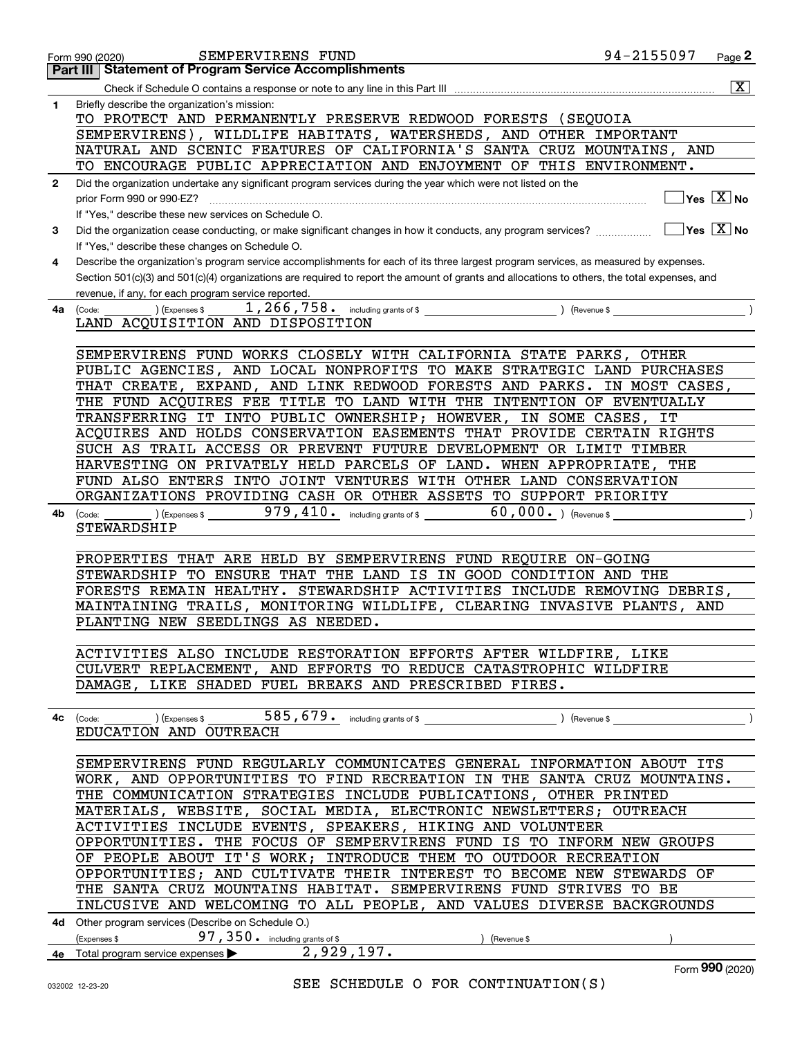|              | SEMPERVIRENS FUND<br>Form 990 (2020)                                                                                                         | 94-2155097                | Page <sup>2</sup>                         |
|--------------|----------------------------------------------------------------------------------------------------------------------------------------------|---------------------------|-------------------------------------------|
|              | <b>Statement of Program Service Accomplishments</b><br>Part III                                                                              |                           |                                           |
|              |                                                                                                                                              |                           | $\boxed{\text{X}}$                        |
| 1            | Briefly describe the organization's mission:                                                                                                 |                           |                                           |
|              | TO PROTECT AND PERMANENTLY PRESERVE REDWOOD FORESTS<br>(SEQUOIA                                                                              |                           |                                           |
|              | SEMPERVIRENS), WILDLIFE HABITATS, WATERSHEDS, AND OTHER IMPORTANT<br>NATURAL AND SCENIC FEATURES OF CALIFORNIA'S SANTA CRUZ MOUNTAINS,       | AND                       |                                           |
|              | TO ENCOURAGE PUBLIC APPRECIATION AND ENJOYMENT OF THIS ENVIRONMENT.                                                                          |                           |                                           |
| $\mathbf{2}$ | Did the organization undertake any significant program services during the year which were not listed on the                                 |                           |                                           |
|              | prior Form 990 or 990-EZ?                                                                                                                    |                           | $\overline{\ }$ Yes $\overline{\ \ X}$ No |
|              | If "Yes," describe these new services on Schedule O.                                                                                         |                           |                                           |
| 3            | Did the organization cease conducting, or make significant changes in how it conducts, any program services?                                 | $\Box$ Yes $\boxed{X}$ No |                                           |
|              | If "Yes," describe these changes on Schedule O.                                                                                              |                           |                                           |
| 4            | Describe the organization's program service accomplishments for each of its three largest program services, as measured by expenses.         |                           |                                           |
|              | Section 501(c)(3) and 501(c)(4) organizations are required to report the amount of grants and allocations to others, the total expenses, and |                           |                                           |
|              | revenue, if any, for each program service reported.                                                                                          |                           |                                           |
| 4а           | 1, 266, 758. including grants of \$<br>$\sqrt{$ (Revenue \$<br>) (Expenses \$<br>(Code:                                                      |                           | $\rightarrow$                             |
|              | LAND ACQUISITION AND DISPOSITION                                                                                                             |                           |                                           |
|              |                                                                                                                                              |                           |                                           |
|              | SEMPERVIRENS FUND WORKS CLOSELY WITH CALIFORNIA STATE PARKS, OTHER                                                                           |                           |                                           |
|              | PUBLIC AGENCIES, AND LOCAL NONPROFITS TO MAKE STRATEGIC LAND PURCHASES<br>THAT CREATE, EXPAND, AND LINK REDWOOD FORESTS AND PARKS.           | IN MOST CASES,            |                                           |
|              | THE FUND ACOUIRES FEE TITLE TO LAND WITH THE INTENTION OF EVENTUALLY                                                                         |                           |                                           |
|              | TRANSFERRING IT INTO PUBLIC OWNERSHIP; HOWEVER,<br>IN SOME CASES,                                                                            | IT                        |                                           |
|              | ACQUIRES AND HOLDS CONSERVATION EASEMENTS THAT PROVIDE CERTAIN RIGHTS                                                                        |                           |                                           |
|              | SUCH AS TRAIL ACCESS OR PREVENT FUTURE DEVELOPMENT OR LIMIT TIMBER                                                                           |                           |                                           |
|              | HARVESTING ON PRIVATELY HELD PARCELS OF LAND. WHEN APPROPRIATE, THE                                                                          |                           |                                           |
|              | FUND ALSO ENTERS INTO JOINT VENTURES WITH OTHER LAND CONSERVATION                                                                            |                           |                                           |
|              | ORGANIZATIONS PROVIDING CASH OR OTHER ASSETS TO SUPPORT PRIORITY                                                                             |                           |                                           |
| 4b           | $60,000.$ (Revenue \$<br>) (Expenses \$ $979$ , $410$ $\cdot$ $\,$ including grants of \$ $\,$<br>(Code:                                     | $\overline{a}$            |                                           |
|              | STEWARDSHIP                                                                                                                                  |                           |                                           |
|              |                                                                                                                                              |                           |                                           |
|              | PROPERTIES THAT ARE HELD BY SEMPERVIRENS FUND REQUIRE ON-GOING                                                                               |                           |                                           |
|              | STEWARDSHIP TO ENSURE THAT THE LAND IS IN GOOD CONDITION AND THE<br>FORESTS REMAIN HEALTHY. STEWARDSHIP ACTIVITIES INCLUDE REMOVING DEBRIS,  |                           |                                           |
|              | MAINTAINING TRAILS, MONITORING WILDLIFE, CLEARING INVASIVE PLANTS, AND                                                                       |                           |                                           |
|              | PLANTING NEW SEEDLINGS AS NEEDED.                                                                                                            |                           |                                           |
|              |                                                                                                                                              |                           |                                           |
|              | ACTIVITIES ALSO INCLUDE RESTORATION EFFORTS AFTER WILDFIRE, LIKE                                                                             |                           |                                           |
|              | CULVERT REPLACEMENT, AND EFFORTS TO REDUCE CATASTROPHIC WILDFIRE                                                                             |                           |                                           |
|              | DAMAGE, LIKE SHADED FUEL BREAKS AND PRESCRIBED FIRES.                                                                                        |                           |                                           |
|              |                                                                                                                                              |                           |                                           |
|              | <b>4c</b> (Code: ) (Expenses \$ 585, 679 a including grants of \$ ) (Revenue \$                                                              |                           |                                           |
|              | EDUCATION AND OUTREACH                                                                                                                       |                           |                                           |
|              | SEMPERVIRENS FUND REGULARLY COMMUNICATES GENERAL INFORMATION ABOUT ITS                                                                       |                           |                                           |
|              | WORK, AND OPPORTUNITIES TO FIND RECREATION IN THE SANTA CRUZ MOUNTAINS.                                                                      |                           |                                           |
|              | THE COMMUNICATION STRATEGIES INCLUDE PUBLICATIONS, OTHER PRINTED                                                                             |                           |                                           |
|              | MATERIALS, WEBSITE, SOCIAL MEDIA, ELECTRONIC NEWSLETTERS; OUTREACH                                                                           |                           |                                           |
|              | ACTIVITIES INCLUDE EVENTS, SPEAKERS, HIKING AND VOLUNTEER                                                                                    |                           |                                           |
|              | OPPORTUNITIES. THE FOCUS OF SEMPERVIRENS FUND IS TO INFORM NEW GROUPS                                                                        |                           |                                           |
|              | OF PEOPLE ABOUT IT'S WORK; INTRODUCE THEM TO OUTDOOR RECREATION                                                                              |                           |                                           |
|              | OPPORTUNITIES; AND CULTIVATE THEIR INTEREST TO BECOME NEW STEWARDS OF                                                                        |                           |                                           |
|              | THE SANTA CRUZ MOUNTAINS HABITAT. SEMPERVIRENS FUND STRIVES TO BE                                                                            |                           |                                           |
|              | INLCUSIVE AND WELCOMING TO ALL PEOPLE, AND VALUES DIVERSE BACKGROUNDS                                                                        |                           |                                           |
|              | 4d Other program services (Describe on Schedule O.)                                                                                          |                           |                                           |
|              | 97, 350. including grants of \$<br>(Expenses \$<br>(Revenue \$                                                                               |                           |                                           |
|              | 4e Total program service expenses > 2,929,197.                                                                                               |                           |                                           |
|              |                                                                                                                                              |                           | Form 990 (2020)                           |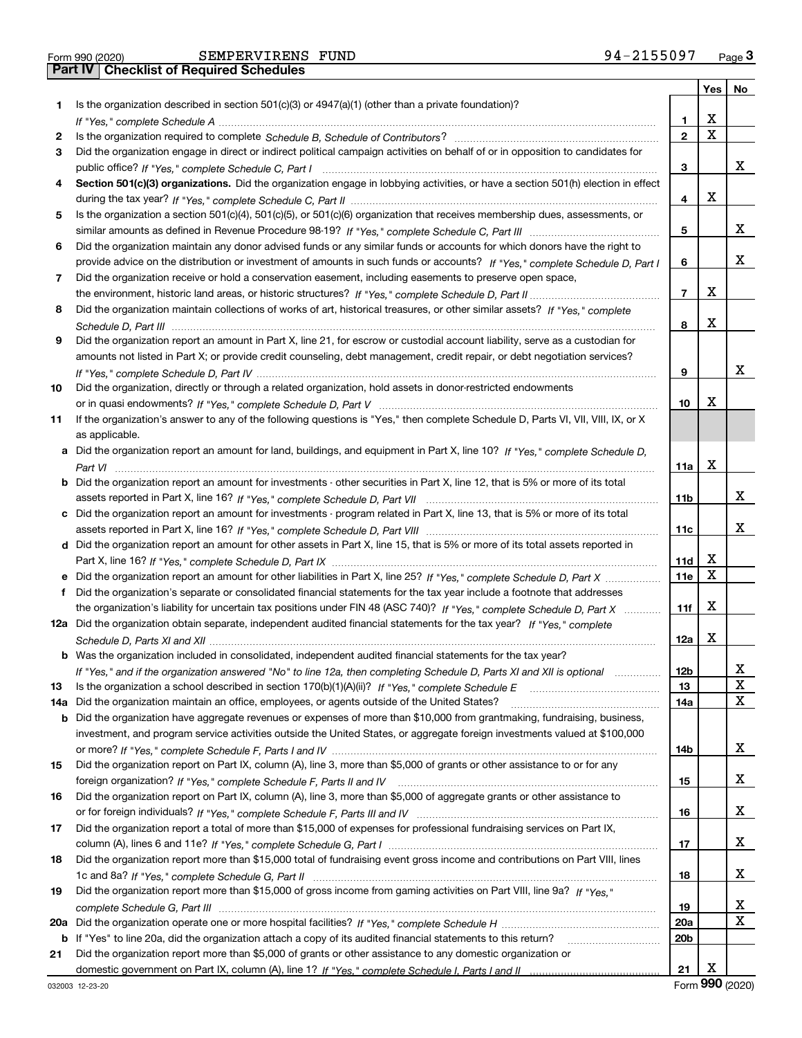|  | Form 990 (2020) |
|--|-----------------|

|     |                                                                                                                                       |                 |   | Yes   No |
|-----|---------------------------------------------------------------------------------------------------------------------------------------|-----------------|---|----------|
| 1.  | Is the organization described in section 501(c)(3) or 4947(a)(1) (other than a private foundation)?                                   |                 |   |          |
|     |                                                                                                                                       | 1.              | х |          |
| 2   |                                                                                                                                       | $\mathbf{2}$    | X |          |
| 3   | Did the organization engage in direct or indirect political campaign activities on behalf of or in opposition to candidates for       |                 |   |          |
|     |                                                                                                                                       | 3               |   | x        |
| 4   | Section 501(c)(3) organizations. Did the organization engage in lobbying activities, or have a section 501(h) election in effect      |                 |   |          |
|     |                                                                                                                                       | 4               | х |          |
| 5   | Is the organization a section 501(c)(4), 501(c)(5), or 501(c)(6) organization that receives membership dues, assessments, or          |                 |   |          |
|     |                                                                                                                                       | 5               |   | х        |
| 6   | Did the organization maintain any donor advised funds or any similar funds or accounts for which donors have the right to             |                 |   |          |
|     | provide advice on the distribution or investment of amounts in such funds or accounts? If "Yes," complete Schedule D, Part I          | 6               |   | х        |
| 7   | Did the organization receive or hold a conservation easement, including easements to preserve open space,                             |                 |   |          |
|     |                                                                                                                                       | $\overline{7}$  | x |          |
| 8   | Did the organization maintain collections of works of art, historical treasures, or other similar assets? If "Yes," complete          |                 |   |          |
|     |                                                                                                                                       | 8               | х |          |
|     |                                                                                                                                       |                 |   |          |
| 9   | Did the organization report an amount in Part X, line 21, for escrow or custodial account liability, serve as a custodian for         |                 |   |          |
|     | amounts not listed in Part X; or provide credit counseling, debt management, credit repair, or debt negotiation services?             |                 |   |          |
|     |                                                                                                                                       | 9               |   | x        |
| 10  | Did the organization, directly or through a related organization, hold assets in donor-restricted endowments                          |                 |   |          |
|     |                                                                                                                                       | 10              | x |          |
| 11  | If the organization's answer to any of the following questions is "Yes," then complete Schedule D, Parts VI, VII, VIII, IX, or X      |                 |   |          |
|     | as applicable.                                                                                                                        |                 |   |          |
|     | a Did the organization report an amount for land, buildings, and equipment in Part X, line 10? If "Yes," complete Schedule D,         |                 |   |          |
|     |                                                                                                                                       | 11a             | x |          |
|     | <b>b</b> Did the organization report an amount for investments - other securities in Part X, line 12, that is 5% or more of its total |                 |   |          |
|     |                                                                                                                                       | 11 <sub>b</sub> |   | х        |
|     | c Did the organization report an amount for investments - program related in Part X, line 13, that is 5% or more of its total         |                 |   |          |
|     |                                                                                                                                       | 11c             |   | х        |
|     | d Did the organization report an amount for other assets in Part X, line 15, that is 5% or more of its total assets reported in       |                 |   |          |
|     |                                                                                                                                       | 11d             | х |          |
| е   | Did the organization report an amount for other liabilities in Part X, line 25? If "Yes," complete Schedule D, Part X                 | 11e             | X |          |
| f   | Did the organization's separate or consolidated financial statements for the tax year include a footnote that addresses               |                 |   |          |
|     | the organization's liability for uncertain tax positions under FIN 48 (ASC 740)? If "Yes," complete Schedule D, Part X                | 11f             | x |          |
|     | 12a Did the organization obtain separate, independent audited financial statements for the tax year? If "Yes," complete               |                 |   |          |
|     |                                                                                                                                       | 12a             | x |          |
|     | <b>b</b> Was the organization included in consolidated, independent audited financial statements for the tax year?                    |                 |   |          |
|     | If "Yes," and if the organization answered "No" to line 12a, then completing Schedule D, Parts XI and XII is optional                 | 12 <sub>b</sub> |   | х        |
| 13  |                                                                                                                                       | 13              |   | X        |
| 14a | Did the organization maintain an office, employees, or agents outside of the United States?                                           | 14a             |   | x        |
|     | <b>b</b> Did the organization have aggregate revenues or expenses of more than \$10,000 from grantmaking, fundraising, business,      |                 |   |          |
|     | investment, and program service activities outside the United States, or aggregate foreign investments valued at \$100,000            |                 |   |          |
|     |                                                                                                                                       | 14b             |   | x        |
| 15  | Did the organization report on Part IX, column (A), line 3, more than \$5,000 of grants or other assistance to or for any             |                 |   |          |
|     |                                                                                                                                       |                 |   | X.       |
|     |                                                                                                                                       | 15              |   |          |
| 16  | Did the organization report on Part IX, column (A), line 3, more than \$5,000 of aggregate grants or other assistance to              |                 |   |          |
|     |                                                                                                                                       | 16              |   | x        |
| 17  | Did the organization report a total of more than \$15,000 of expenses for professional fundraising services on Part IX,               |                 |   |          |
|     |                                                                                                                                       | 17              |   | x        |
| 18  | Did the organization report more than \$15,000 total of fundraising event gross income and contributions on Part VIII, lines          |                 |   |          |
|     |                                                                                                                                       | 18              |   | x        |
| 19  | Did the organization report more than \$15,000 of gross income from gaming activities on Part VIII, line 9a? If "Yes."                |                 |   |          |
|     |                                                                                                                                       | 19              |   | x        |
| 20a |                                                                                                                                       | 20a             |   | x        |
| b   | If "Yes" to line 20a, did the organization attach a copy of its audited financial statements to this return?                          | 20 <sub>b</sub> |   |          |
| 21  | Did the organization report more than \$5,000 of grants or other assistance to any domestic organization or                           |                 |   |          |
|     |                                                                                                                                       | 21              | X |          |

Form (2020) **990**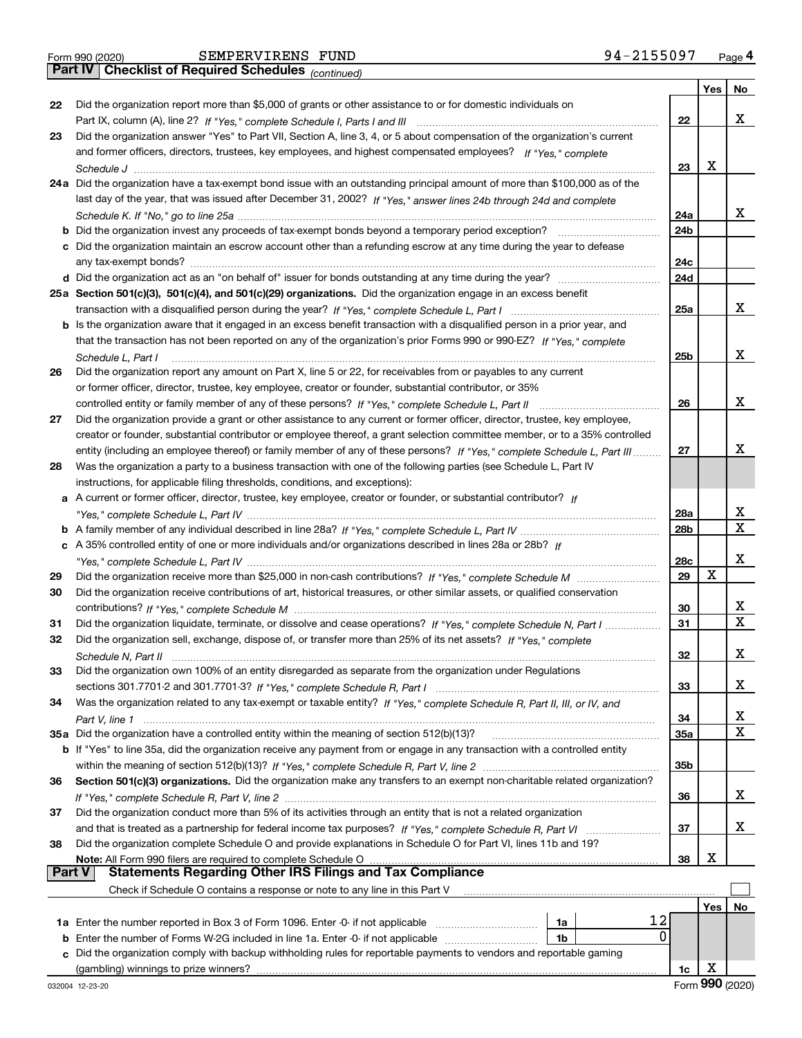|  | Form 990 (2020) |
|--|-----------------|
|  |                 |

*(continued)*

|               |                                                                                                                                                                                                                                        |          | Yes | No          |
|---------------|----------------------------------------------------------------------------------------------------------------------------------------------------------------------------------------------------------------------------------------|----------|-----|-------------|
| 22            | Did the organization report more than \$5,000 of grants or other assistance to or for domestic individuals on                                                                                                                          |          |     |             |
|               |                                                                                                                                                                                                                                        | 22       |     | x           |
| 23            | Did the organization answer "Yes" to Part VII, Section A, line 3, 4, or 5 about compensation of the organization's current                                                                                                             |          |     |             |
|               | and former officers, directors, trustees, key employees, and highest compensated employees? If "Yes." complete                                                                                                                         | 23       | х   |             |
|               | 24a Did the organization have a tax-exempt bond issue with an outstanding principal amount of more than \$100,000 as of the                                                                                                            |          |     |             |
|               | last day of the year, that was issued after December 31, 2002? If "Yes," answer lines 24b through 24d and complete                                                                                                                     |          |     |             |
|               |                                                                                                                                                                                                                                        | 24a      |     | x           |
|               | Did the organization invest any proceeds of tax-exempt bonds beyond a temporary period exception?                                                                                                                                      | 24b      |     |             |
|               | c Did the organization maintain an escrow account other than a refunding escrow at any time during the year to defease                                                                                                                 |          |     |             |
|               |                                                                                                                                                                                                                                        | 24c      |     |             |
|               |                                                                                                                                                                                                                                        | 24d      |     |             |
|               | 25a Section 501(c)(3), 501(c)(4), and 501(c)(29) organizations. Did the organization engage in an excess benefit                                                                                                                       |          |     |             |
|               |                                                                                                                                                                                                                                        | 25a      |     | x           |
|               | b Is the organization aware that it engaged in an excess benefit transaction with a disqualified person in a prior year, and                                                                                                           |          |     |             |
|               | that the transaction has not been reported on any of the organization's prior Forms 990 or 990-EZ? If "Yes," complete                                                                                                                  |          |     |             |
|               | Schedule L. Part I                                                                                                                                                                                                                     | 25b      |     | х           |
| 26            | Did the organization report any amount on Part X, line 5 or 22, for receivables from or payables to any current                                                                                                                        |          |     |             |
|               | or former officer, director, trustee, key employee, creator or founder, substantial contributor, or 35%                                                                                                                                | 26       |     | х           |
| 27            | Did the organization provide a grant or other assistance to any current or former officer, director, trustee, key employee,                                                                                                            |          |     |             |
|               | creator or founder, substantial contributor or employee thereof, a grant selection committee member, or to a 35% controlled                                                                                                            |          |     |             |
|               | entity (including an employee thereof) or family member of any of these persons? If "Yes," complete Schedule L, Part III                                                                                                               | 27       |     | x           |
| 28            | Was the organization a party to a business transaction with one of the following parties (see Schedule L, Part IV                                                                                                                      |          |     |             |
|               | instructions, for applicable filing thresholds, conditions, and exceptions):                                                                                                                                                           |          |     |             |
|               | a A current or former officer, director, trustee, key employee, creator or founder, or substantial contributor? If                                                                                                                     |          |     |             |
|               |                                                                                                                                                                                                                                        | 28a      |     | х           |
|               |                                                                                                                                                                                                                                        | 28b      |     | х           |
|               | c A 35% controlled entity of one or more individuals and/or organizations described in lines 28a or 28b? If                                                                                                                            |          |     |             |
|               |                                                                                                                                                                                                                                        | 28c      |     | х           |
| 29            |                                                                                                                                                                                                                                        | 29       | X   |             |
| 30            | Did the organization receive contributions of art, historical treasures, or other similar assets, or qualified conservation                                                                                                            |          |     | х           |
|               |                                                                                                                                                                                                                                        | 30<br>31 |     | $\mathbf X$ |
| 31<br>32      | Did the organization liquidate, terminate, or dissolve and cease operations? If "Yes," complete Schedule N, Part I<br>Did the organization sell, exchange, dispose of, or transfer more than 25% of its net assets? If "Yes," complete |          |     |             |
|               |                                                                                                                                                                                                                                        | 32       |     | х           |
| 33            | Did the organization own 100% of an entity disregarded as separate from the organization under Regulations                                                                                                                             |          |     |             |
|               |                                                                                                                                                                                                                                        | 33       |     | x           |
| 34            | Was the organization related to any tax-exempt or taxable entity? If "Yes," complete Schedule R, Part II, III, or IV, and                                                                                                              |          |     |             |
|               | Part V, line 1                                                                                                                                                                                                                         | 34       |     | x           |
|               | 35a Did the organization have a controlled entity within the meaning of section 512(b)(13)?                                                                                                                                            | 35a      |     | X           |
|               | b If "Yes" to line 35a, did the organization receive any payment from or engage in any transaction with a controlled entity                                                                                                            |          |     |             |
|               |                                                                                                                                                                                                                                        | 35b      |     |             |
| 36            | Section 501(c)(3) organizations. Did the organization make any transfers to an exempt non-charitable related organization?                                                                                                             |          |     |             |
|               |                                                                                                                                                                                                                                        | 36       |     | X           |
| 37            | Did the organization conduct more than 5% of its activities through an entity that is not a related organization                                                                                                                       | 37       |     | x           |
| 38            | Did the organization complete Schedule O and provide explanations in Schedule O for Part VI, lines 11b and 19?                                                                                                                         |          |     |             |
|               | Note: All Form 990 filers are required to complete Schedule O                                                                                                                                                                          | 38       | х   |             |
| <b>Part V</b> | <b>Statements Regarding Other IRS Filings and Tax Compliance</b>                                                                                                                                                                       |          |     |             |
|               | Check if Schedule O contains a response or note to any line in this Part V                                                                                                                                                             |          |     |             |
|               |                                                                                                                                                                                                                                        |          | Yes | No          |
|               | 12<br>1a                                                                                                                                                                                                                               |          |     |             |
| b             | 0<br>Enter the number of Forms W-2G included in line 1a. Enter -0- if not applicable<br>1b                                                                                                                                             |          |     |             |
| c             | Did the organization comply with backup withholding rules for reportable payments to vendors and reportable gaming                                                                                                                     |          |     |             |
|               |                                                                                                                                                                                                                                        | 1c       | X   |             |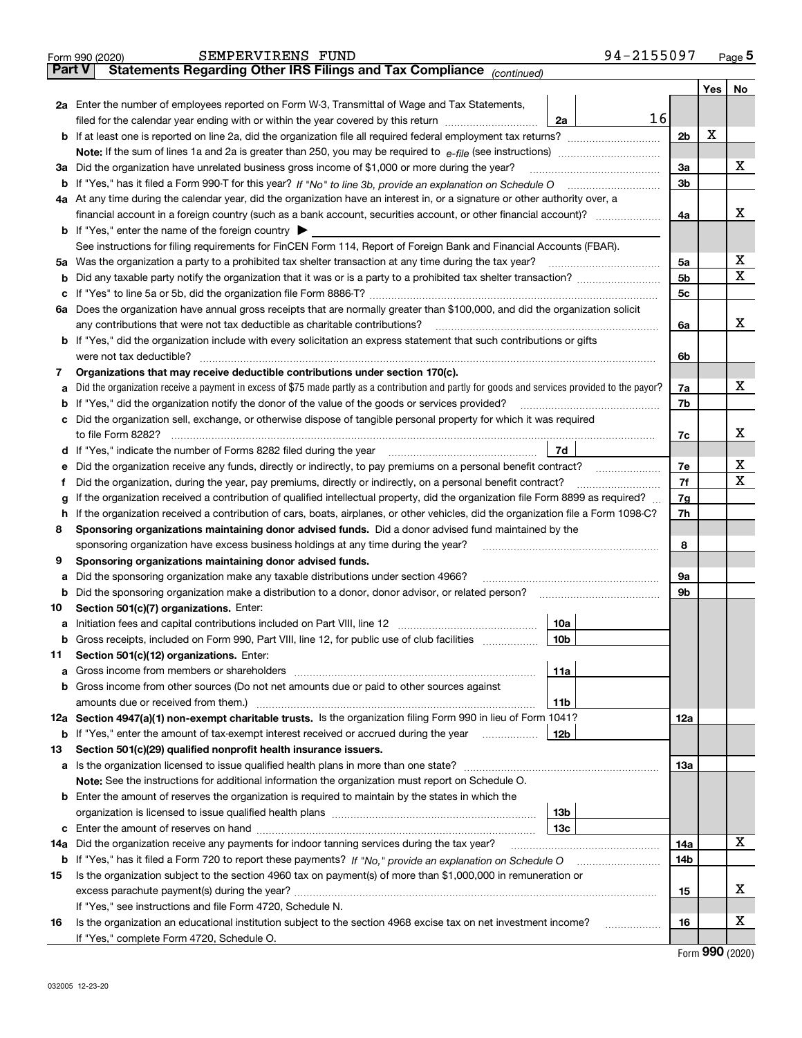|        | 94-2155097<br>SEMPERVIRENS FUND<br>Form 990 (2020)                                                                                              |                |   | Page $5$ |
|--------|-------------------------------------------------------------------------------------------------------------------------------------------------|----------------|---|----------|
| Part V | Statements Regarding Other IRS Filings and Tax Compliance (continued)                                                                           |                |   |          |
|        |                                                                                                                                                 |                |   | Yes   No |
|        | 2a Enter the number of employees reported on Form W-3, Transmittal of Wage and Tax Statements,                                                  |                |   |          |
|        | 16<br>filed for the calendar year ending with or within the year covered by this return <i>manumumumum</i><br>2a                                |                |   |          |
|        |                                                                                                                                                 | 2 <sub>b</sub> | х |          |
|        | Note: If the sum of lines 1a and 2a is greater than 250, you may be required to $e$ -file (see instructions) <i></i>                            |                |   |          |
|        | 3a Did the organization have unrelated business gross income of \$1,000 or more during the year?                                                | За             |   | х        |
|        |                                                                                                                                                 | 3 <sub>b</sub> |   |          |
|        | 4a At any time during the calendar year, did the organization have an interest in, or a signature or other authority over, a                    |                |   |          |
|        |                                                                                                                                                 |                |   |          |
|        | <b>b</b> If "Yes," enter the name of the foreign country $\blacktriangleright$                                                                  |                |   |          |
|        | See instructions for filing requirements for FinCEN Form 114, Report of Foreign Bank and Financial Accounts (FBAR).                             |                |   |          |
|        | 5a Was the organization a party to a prohibited tax shelter transaction at any time during the tax year?                                        | 5a             |   | х        |
| b      |                                                                                                                                                 | 5 <sub>b</sub> |   | Х        |
| c      |                                                                                                                                                 | 5c             |   |          |
|        | 6a Does the organization have annual gross receipts that are normally greater than \$100,000, and did the organization solicit                  |                |   |          |
|        | any contributions that were not tax deductible as charitable contributions?                                                                     | 6a             |   | x        |
|        | b If "Yes," did the organization include with every solicitation an express statement that such contributions or gifts                          |                |   |          |
|        | were not tax deductible?                                                                                                                        | 6b             |   |          |
| 7      | Organizations that may receive deductible contributions under section 170(c).                                                                   |                |   |          |
| a      | Did the organization receive a payment in excess of \$75 made partly as a contribution and partly for goods and services provided to the payor? | 7a             |   | х        |
| b      | If "Yes," did the organization notify the donor of the value of the goods or services provided?                                                 | 7b             |   |          |
|        | c Did the organization sell, exchange, or otherwise dispose of tangible personal property for which it was required                             |                |   |          |
|        |                                                                                                                                                 | 7c             |   | x        |
|        | 7d                                                                                                                                              |                |   |          |
| е      | Did the organization receive any funds, directly or indirectly, to pay premiums on a personal benefit contract?                                 | 7e             |   | х        |
| Ť      | Did the organization, during the year, pay premiums, directly or indirectly, on a personal benefit contract?                                    | 7f             |   | х        |
| g      | If the organization received a contribution of qualified intellectual property, did the organization file Form 8899 as required?                | 7g             |   |          |
| h.     | If the organization received a contribution of cars, boats, airplanes, or other vehicles, did the organization file a Form 1098-C?              | 7h             |   |          |
| 8      | Sponsoring organizations maintaining donor advised funds. Did a donor advised fund maintained by the                                            |                |   |          |
|        | sponsoring organization have excess business holdings at any time during the year?                                                              | 8              |   |          |
| 9      | Sponsoring organizations maintaining donor advised funds.                                                                                       |                |   |          |
| а      | Did the sponsoring organization make any taxable distributions under section 4966?                                                              | 9а             |   |          |
| b      | Did the sponsoring organization make a distribution to a donor, donor advisor, or related person?                                               | 9b             |   |          |
| 10     | Section 501(c)(7) organizations. Enter:                                                                                                         |                |   |          |
|        | 10a                                                                                                                                             |                |   |          |
| b      | Gross receipts, included on Form 990, Part VIII, line 12, for public use of club facilities manuscum<br>10b                                     |                |   |          |
| 11     | Section 501(c)(12) organizations. Enter:                                                                                                        |                |   |          |
| а      | 11a                                                                                                                                             |                |   |          |
| b      | Gross income from other sources (Do not net amounts due or paid to other sources against                                                        |                |   |          |
|        | 11b                                                                                                                                             |                |   |          |
|        | 12a Section 4947(a)(1) non-exempt charitable trusts. Is the organization filing Form 990 in lieu of Form 1041?                                  | 12a            |   |          |
|        | <b>b</b> If "Yes," enter the amount of tax-exempt interest received or accrued during the year<br>12b                                           |                |   |          |
| 13     | Section 501(c)(29) qualified nonprofit health insurance issuers.                                                                                |                |   |          |
|        | a Is the organization licensed to issue qualified health plans in more than one state?                                                          | 13а            |   |          |
|        | Note: See the instructions for additional information the organization must report on Schedule O.                                               |                |   |          |
|        | <b>b</b> Enter the amount of reserves the organization is required to maintain by the states in which the                                       |                |   |          |
|        | 13 <sub>b</sub>                                                                                                                                 |                |   |          |
| c      | 13с                                                                                                                                             |                |   |          |
|        | 14a Did the organization receive any payments for indoor tanning services during the tax year?                                                  | 14a            |   | x        |
|        |                                                                                                                                                 | 14b            |   |          |
| 15     | Is the organization subject to the section 4960 tax on payment(s) of more than \$1,000,000 in remuneration or                                   |                |   |          |
|        |                                                                                                                                                 | 15             |   | х        |
|        | If "Yes," see instructions and file Form 4720, Schedule N.                                                                                      |                |   |          |
| 16     | Is the organization an educational institution subject to the section 4968 excise tax on net investment income?<br>.                            | 16             |   | х        |
|        | If "Yes," complete Form 4720, Schedule O.                                                                                                       |                |   |          |

Form (2020) **990**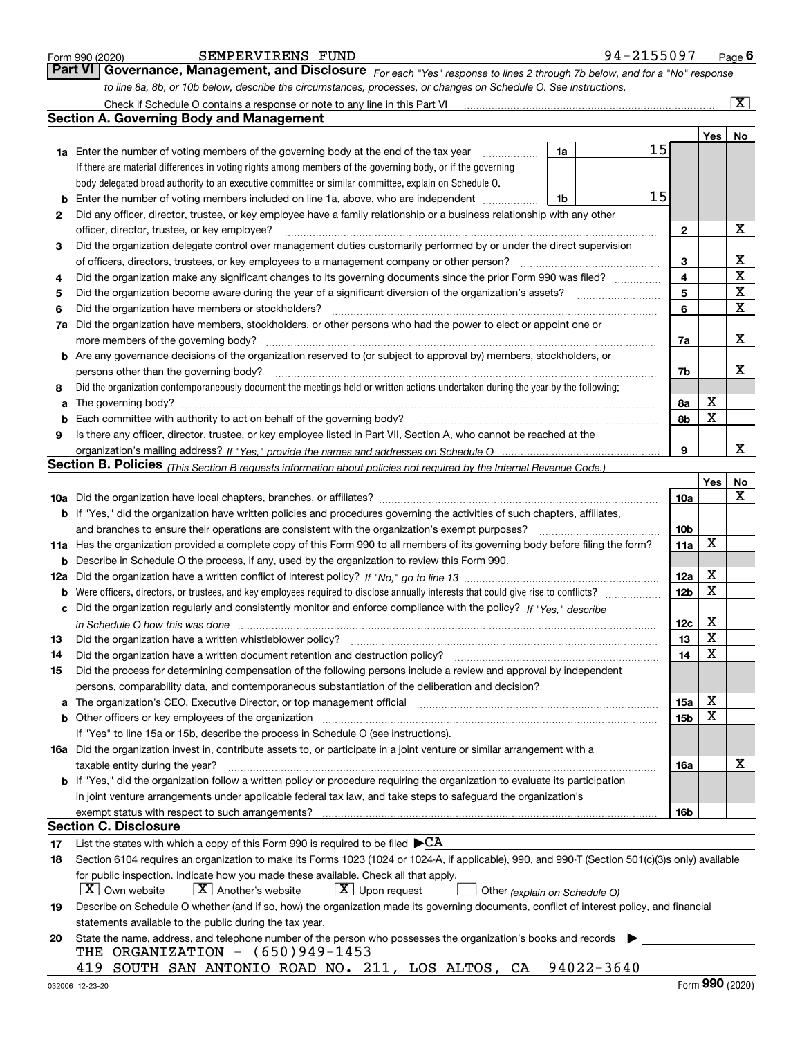|    | Check if Schedule O contains a response or note to any line in this Part VI                                                                                                                                                    |                 |     | $\mathbf{x}$    |
|----|--------------------------------------------------------------------------------------------------------------------------------------------------------------------------------------------------------------------------------|-----------------|-----|-----------------|
|    | Section A. Governing Body and Management                                                                                                                                                                                       |                 |     |                 |
|    |                                                                                                                                                                                                                                |                 | Yes | No              |
|    | 15<br><b>1a</b> Enter the number of voting members of the governing body at the end of the tax year<br>1a                                                                                                                      |                 |     |                 |
|    | If there are material differences in voting rights among members of the governing body, or if the governing                                                                                                                    |                 |     |                 |
|    | body delegated broad authority to an executive committee or similar committee, explain on Schedule O.                                                                                                                          |                 |     |                 |
| b  | 15<br>Enter the number of voting members included on line 1a, above, who are independent<br>1b                                                                                                                                 |                 |     |                 |
| 2  | Did any officer, director, trustee, or key employee have a family relationship or a business relationship with any other                                                                                                       |                 |     |                 |
|    | officer, director, trustee, or key employee?                                                                                                                                                                                   | 2               |     | X               |
| 3  | Did the organization delegate control over management duties customarily performed by or under the direct supervision                                                                                                          |                 |     |                 |
|    | of officers, directors, trustees, or key employees to a management company or other person?                                                                                                                                    | 3               |     | x               |
| 4  | Did the organization make any significant changes to its governing documents since the prior Form 990 was filed?                                                                                                               | 4               |     | $\mathbf X$     |
| 5  |                                                                                                                                                                                                                                | 5               |     | $\mathbf X$     |
| 6  | Did the organization have members or stockholders?                                                                                                                                                                             | 6               |     | X               |
| 7a | Did the organization have members, stockholders, or other persons who had the power to elect or appoint one or                                                                                                                 |                 |     |                 |
|    | more members of the governing body?                                                                                                                                                                                            | 7a              |     | х               |
|    | <b>b</b> Are any governance decisions of the organization reserved to (or subject to approval by) members, stockholders, or                                                                                                    |                 |     |                 |
|    | persons other than the governing body?                                                                                                                                                                                         | 7b              |     | х               |
| 8  | Did the organization contemporaneously document the meetings held or written actions undertaken during the year by the following:                                                                                              |                 |     |                 |
| a  |                                                                                                                                                                                                                                | 8a              | X   |                 |
| b  | Each committee with authority to act on behalf of the governing body?                                                                                                                                                          | 8b              | x   |                 |
| 9  | Is there any officer, director, trustee, or key employee listed in Part VII, Section A, who cannot be reached at the                                                                                                           |                 |     |                 |
|    |                                                                                                                                                                                                                                | 9               |     | x               |
|    | Section B. Policies <sub>(This Section B requests information about policies not required by the Internal Revenue Code.)</sub>                                                                                                 |                 |     |                 |
|    |                                                                                                                                                                                                                                |                 | Yes | No              |
|    |                                                                                                                                                                                                                                | <b>10a</b>      |     | х               |
|    | <b>b</b> If "Yes," did the organization have written policies and procedures governing the activities of such chapters, affiliates,                                                                                            |                 |     |                 |
|    | and branches to ensure their operations are consistent with the organization's exempt purposes?                                                                                                                                | 10 <sub>b</sub> |     |                 |
|    | 11a Has the organization provided a complete copy of this Form 990 to all members of its governing body before filing the form?                                                                                                | 11a             | X   |                 |
| b  | Describe in Schedule O the process, if any, used by the organization to review this Form 990.                                                                                                                                  |                 |     |                 |
|    |                                                                                                                                                                                                                                | 12a             | X   |                 |
| b  |                                                                                                                                                                                                                                | 12 <sub>b</sub> | X   |                 |
| c  | Did the organization regularly and consistently monitor and enforce compliance with the policy? If "Yes." describe                                                                                                             |                 |     |                 |
|    | in Schedule O how this was done www.communication.com/www.communications.com/www.communications.com/                                                                                                                           | 12c             | х   |                 |
| 13 | Did the organization have a written whistleblower policy?                                                                                                                                                                      | 13              | X   |                 |
| 14 | Did the organization have a written document retention and destruction policy?                                                                                                                                                 | 14              | X   |                 |
| 15 | Did the process for determining compensation of the following persons include a review and approval by independent                                                                                                             |                 |     |                 |
|    | persons, comparability data, and contemporaneous substantiation of the deliberation and decision?                                                                                                                              |                 |     |                 |
| a  | The organization's CEO, Executive Director, or top management official manufactured content of the organization's CEO, Executive Director, or top management official                                                          | 15a             | Χ   |                 |
|    | b Other officers or key employees of the organization manufactured content to content of the organization manufactured content of the organization manufactured content of the organization manufactured content of the organi | 15b             | X   |                 |
|    | If "Yes" to line 15a or 15b, describe the process in Schedule O (see instructions).                                                                                                                                            |                 |     |                 |
|    | 16a Did the organization invest in, contribute assets to, or participate in a joint venture or similar arrangement with a                                                                                                      |                 |     |                 |
|    | taxable entity during the year?                                                                                                                                                                                                | 16a             |     | х               |
|    | b If "Yes," did the organization follow a written policy or procedure requiring the organization to evaluate its participation                                                                                                 |                 |     |                 |
|    | in joint venture arrangements under applicable federal tax law, and take steps to safequard the organization's                                                                                                                 |                 |     |                 |
|    | exempt status with respect to such arrangements?                                                                                                                                                                               | 16b             |     |                 |
|    | <b>Section C. Disclosure</b>                                                                                                                                                                                                   |                 |     |                 |
| 17 | List the states with which a copy of this Form 990 is required to be filed $\blacktriangleright$ CA                                                                                                                            |                 |     |                 |
| 18 | Section 6104 requires an organization to make its Forms 1023 (1024 or 1024-A, if applicable), 990, and 990-T (Section 501(c)(3)s only) available                                                                               |                 |     |                 |
|    | for public inspection. Indicate how you made these available. Check all that apply.                                                                                                                                            |                 |     |                 |
|    | $X$ Own website<br>$X$ Another's website<br>$\lfloor X \rfloor$ Upon request<br>Other (explain on Schedule O)                                                                                                                  |                 |     |                 |
| 19 | Describe on Schedule O whether (and if so, how) the organization made its governing documents, conflict of interest policy, and financial                                                                                      |                 |     |                 |
|    | statements available to the public during the tax year.                                                                                                                                                                        |                 |     |                 |
| 20 | State the name, address, and telephone number of the person who possesses the organization's books and records                                                                                                                 |                 |     |                 |
|    | THE ORGANIZATION - (650)949-1453                                                                                                                                                                                               |                 |     |                 |
|    | 94022-3640<br>419 SOUTH SAN ANTONIO ROAD NO. 211, LOS ALTOS,<br>CA                                                                                                                                                             |                 |     |                 |
|    | 032006 12-23-20                                                                                                                                                                                                                |                 |     | Form 990 (2020) |

*For each "Yes" response to lines 2 through 7b below, and for a "No" response*

Form 990 (2020) **CONFIGHT SEMPERVIRENS FUND**<br>**Part VI Governance, Management, and Disclosure** For each "Yes" response to lines 2 through 7b below, and for a "No" response SEMPERVIRENS FUND 94-2155097

*to line 8a, 8b, or 10b below, describe the circumstances, processes, or changes on Schedule O. See instructions.*

|  | Form 990 (2020) |  |
|--|-----------------|--|
|  |                 |  |

| (2020) |  |
|--------|--|
|        |  |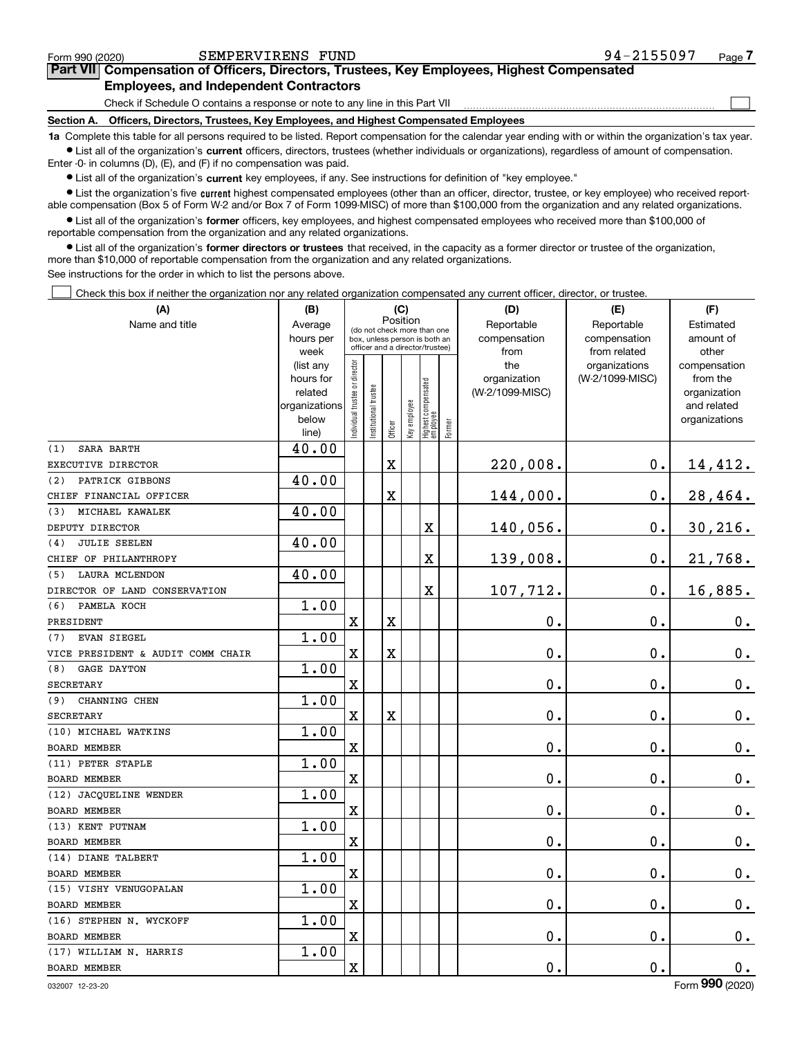| Form 990 (2020) | SEMPERVIRENS FUND                                                                                                                                         | 94-2155097 | Page. |
|-----------------|-----------------------------------------------------------------------------------------------------------------------------------------------------------|------------|-------|
|                 | Part VII Compensation of Officers, Directors, Trustees, Key Employees, Highest Compensated                                                                |            |       |
|                 | <b>Employees, and Independent Contractors</b>                                                                                                             |            |       |
|                 | Check if Schedule O contains a response or note to any line in this Part VII                                                                              |            |       |
|                 | Section A. Officers, Directors, Trustees, Key Employees, and Highest Compensated Employees                                                                |            |       |
|                 | to Complete this table for all persons required to be listed. Benef compensation for the colondary very ending with or within the examination's tay year. |            |       |

**1a •** List all of the organization's current officers, directors, trustees (whether individuals or organizations), regardless of amount of compensation. ble for all persons required to be listed. Report compensation for the calendar year ending with or within the orga Enter -0- in columns (D), (E), and (F) if no compensation was paid.

 $\bullet$  List all of the organization's  $\,$ current key employees, if any. See instructions for definition of "key employee."

**•** List the organization's five current highest compensated employees (other than an officer, director, trustee, or key employee) who received reportable compensation (Box 5 of Form W-2 and/or Box 7 of Form 1099-MISC) of more than \$100,000 from the organization and any related organizations.

**•** List all of the organization's former officers, key employees, and highest compensated employees who received more than \$100,000 of reportable compensation from the organization and any related organizations.

**former directors or trustees**  ¥ List all of the organization's that received, in the capacity as a former director or trustee of the organization, more than \$10,000 of reportable compensation from the organization and any related organizations.

See instructions for the order in which to list the persons above.

Check this box if neither the organization nor any related organization compensated any current officer, director, or trustee.  $\mathcal{L}^{\text{max}}$ 

| (A)                               | (B)                    |                                |                                                                  | (C)                     |              |                                   |        | (D)                 | (E)                              | (F)                      |
|-----------------------------------|------------------------|--------------------------------|------------------------------------------------------------------|-------------------------|--------------|-----------------------------------|--------|---------------------|----------------------------------|--------------------------|
| Name and title                    | Average                |                                | (do not check more than one                                      | Position                |              |                                   |        | Reportable          | Reportable                       | Estimated                |
|                                   | hours per              |                                | box, unless person is both an<br>officer and a director/trustee) |                         |              |                                   |        | compensation        | compensation                     | amount of                |
|                                   | week                   |                                |                                                                  |                         |              |                                   |        | from                | from related                     | other                    |
|                                   | (list any<br>hours for |                                |                                                                  |                         |              |                                   |        | the<br>organization | organizations<br>(W-2/1099-MISC) | compensation<br>from the |
|                                   | related                |                                |                                                                  |                         |              |                                   |        | (W-2/1099-MISC)     |                                  | organization             |
|                                   | organizations          |                                |                                                                  |                         |              |                                   |        |                     |                                  | and related              |
|                                   | below                  | Individual trustee or director | Institutional trustee                                            |                         | Key employee |                                   |        |                     |                                  | organizations            |
|                                   | line)                  |                                |                                                                  | Officer                 |              | Highest compensated<br>  employee | Former |                     |                                  |                          |
| (1)<br>SARA BARTH                 | 40.00                  |                                |                                                                  |                         |              |                                   |        |                     |                                  |                          |
| EXECUTIVE DIRECTOR                |                        |                                |                                                                  | $\mathbf X$             |              |                                   |        | 220,008.            | $0$ .                            | 14,412.                  |
| PATRICK GIBBONS<br>(2)            | 40.00                  |                                |                                                                  |                         |              |                                   |        |                     |                                  |                          |
| CHIEF FINANCIAL OFFICER           |                        |                                |                                                                  | X                       |              |                                   |        | 144,000.            | 0.                               | 28,464.                  |
| MICHAEL KAWALEK<br>(3)            | 40.00                  |                                |                                                                  |                         |              |                                   |        |                     |                                  |                          |
| DEPUTY DIRECTOR                   |                        |                                |                                                                  |                         |              | X                                 |        | 140,056.            | 0.                               | 30, 216.                 |
| <b>JULIE SEELEN</b><br>(4)        | 40.00                  |                                |                                                                  |                         |              |                                   |        |                     |                                  |                          |
| CHIEF OF PHILANTHROPY             |                        |                                |                                                                  |                         |              | $\overline{\textbf{X}}$           |        | 139,008.            | 0.                               | 21,768.                  |
| <b>LAURA MCLENDON</b><br>(5)      | 40.00                  |                                |                                                                  |                         |              |                                   |        |                     |                                  |                          |
| DIRECTOR OF LAND CONSERVATION     |                        |                                |                                                                  |                         |              | X                                 |        | 107,712.            | 0.                               | 16,885.                  |
| (6)<br>PAMELA KOCH                | 1.00                   |                                |                                                                  |                         |              |                                   |        |                     |                                  |                          |
| PRESIDENT                         |                        | $\mathbf X$                    |                                                                  | $\overline{\textbf{X}}$ |              |                                   |        | $\mathbf 0$ .       | 0.                               | $0_{.}$                  |
| EVAN SIEGEL<br>(7)                | 1.00                   |                                |                                                                  |                         |              |                                   |        |                     |                                  |                          |
| VICE PRESIDENT & AUDIT COMM CHAIR |                        | $\mathbf x$                    |                                                                  | X                       |              |                                   |        | $\mathbf 0$ .       | $\mathbf 0$ .                    | $\mathbf 0$ .            |
| <b>GAGE DAYTON</b><br>(8)         | 1.00                   |                                |                                                                  |                         |              |                                   |        |                     |                                  |                          |
| <b>SECRETARY</b>                  |                        | $\mathbf X$                    |                                                                  |                         |              |                                   |        | $\mathbf 0$ .       | $\mathbf 0$ .                    | $0_{.}$                  |
| (9) CHANNING CHEN                 | 1.00                   |                                |                                                                  |                         |              |                                   |        |                     |                                  |                          |
| <b>SECRETARY</b>                  |                        | $\mathbf X$                    |                                                                  | $\mathbf X$             |              |                                   |        | $\mathbf 0$ .       | $\mathbf 0$ .                    | 0.                       |
| (10) MICHAEL WATKINS              | 1.00                   |                                |                                                                  |                         |              |                                   |        |                     |                                  |                          |
| <b>BOARD MEMBER</b>               |                        | $\mathbf X$                    |                                                                  |                         |              |                                   |        | 0.                  | 0.                               | $\mathbf 0$ .            |
| (11) PETER STAPLE                 | 1.00                   |                                |                                                                  |                         |              |                                   |        |                     |                                  |                          |
| <b>BOARD MEMBER</b>               |                        | $\mathbf X$                    |                                                                  |                         |              |                                   |        | $\mathbf 0$ .       | 0.                               | 0.                       |
| (12) JACQUELINE WENDER            | 1.00                   |                                |                                                                  |                         |              |                                   |        |                     |                                  |                          |
| <b>BOARD MEMBER</b>               |                        | $\mathbf X$                    |                                                                  |                         |              |                                   |        | $\mathbf 0$ .       | 0.                               | $\mathbf 0$ .            |
| (13) KENT PUTNAM                  | 1.00                   |                                |                                                                  |                         |              |                                   |        |                     |                                  |                          |
| <b>BOARD MEMBER</b>               |                        | $\mathbf X$                    |                                                                  |                         |              |                                   |        | $\mathbf 0$ .       | 0.                               | $\mathbf 0$ .            |
| (14) DIANE TALBERT                | 1.00                   |                                |                                                                  |                         |              |                                   |        |                     |                                  |                          |
| <b>BOARD MEMBER</b>               |                        | $\mathbf X$                    |                                                                  |                         |              |                                   |        | $\mathbf 0$ .       | 0.                               | $\mathbf 0$ .            |
| (15) VISHY VENUGOPALAN            | 1.00                   |                                |                                                                  |                         |              |                                   |        |                     |                                  |                          |
| BOARD MEMBER                      |                        | $\mathbf X$                    |                                                                  |                         |              |                                   |        | $\mathbf 0$ .       | 0.                               | 0.                       |
| (16) STEPHEN N. WYCKOFF           | 1.00                   |                                |                                                                  |                         |              |                                   |        |                     |                                  |                          |
| <b>BOARD MEMBER</b>               |                        | $\mathbf X$                    |                                                                  |                         |              |                                   |        | $\mathbf 0$ .       | 0.                               | 0.                       |
| (17) WILLIAM N. HARRIS            | 1.00                   |                                |                                                                  |                         |              |                                   |        |                     |                                  |                          |
| <b>BOARD MEMBER</b>               |                        | $\mathbf x$                    |                                                                  |                         |              |                                   |        | $\mathbf 0$ .       | 0.                               | 0.                       |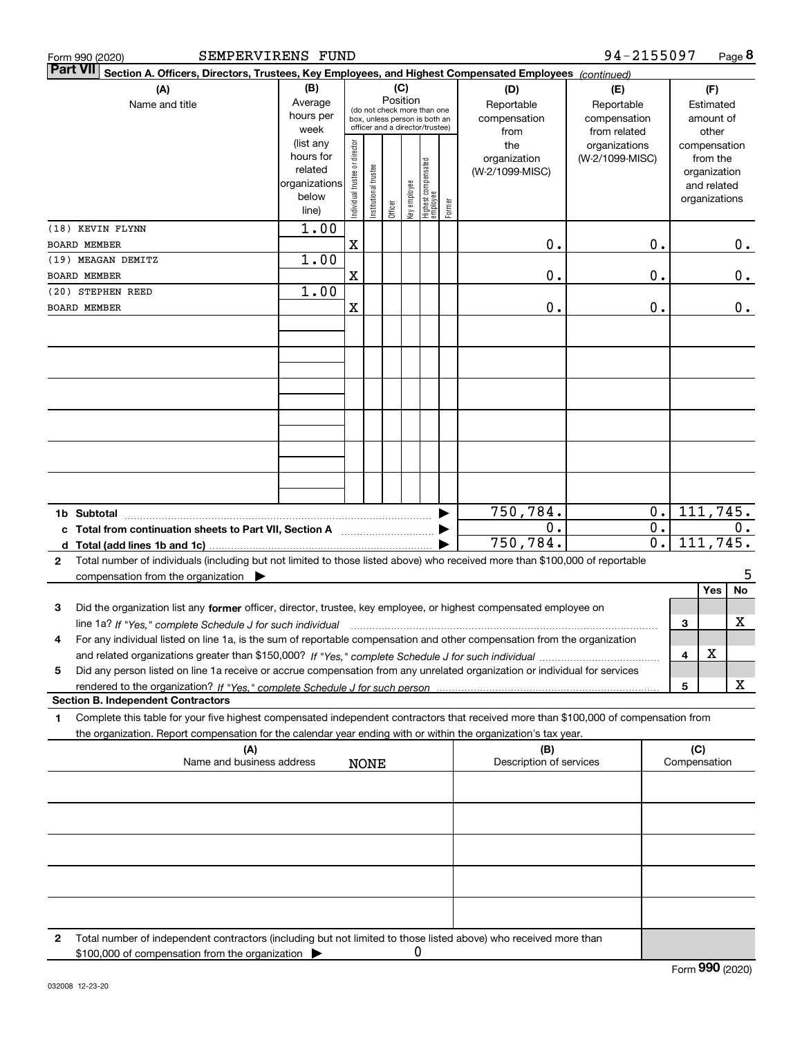| SEMPERVIRENS FUND<br>Form 990 (2020)                                                                                                                                                                                                                                    |                                                                                                                                                                                                        |                                |                      |         |              |                                                   |        |                                        | 94-2155097                             |                                      |                     |                                                                          | Page 8  |
|-------------------------------------------------------------------------------------------------------------------------------------------------------------------------------------------------------------------------------------------------------------------------|--------------------------------------------------------------------------------------------------------------------------------------------------------------------------------------------------------|--------------------------------|----------------------|---------|--------------|---------------------------------------------------|--------|----------------------------------------|----------------------------------------|--------------------------------------|---------------------|--------------------------------------------------------------------------|---------|
| <b>Part VII</b><br>Section A. Officers, Directors, Trustees, Key Employees, and Highest Compensated Employees (continued)                                                                                                                                               |                                                                                                                                                                                                        |                                |                      |         |              |                                                   |        |                                        |                                        |                                      |                     |                                                                          |         |
| (A)<br>Name and title                                                                                                                                                                                                                                                   | (B)<br>(C)<br>(D)<br>Position<br>Average<br>Reportable<br>(do not check more than one<br>hours per<br>compensation<br>box, unless person is both an<br>officer and a director/trustee)<br>week<br>from |                                |                      |         |              | (E)<br>Reportable<br>compensation<br>from related |        |                                        | (F)<br>Estimated<br>amount of<br>other |                                      |                     |                                                                          |         |
|                                                                                                                                                                                                                                                                         | (list any<br>hours for<br>related<br>organizations<br>below<br>line)                                                                                                                                   | Individual trustee or director | nstitutional trustee | Officer | Key employee | Highest compensated<br>employee                   | Former | the<br>organization<br>(W-2/1099-MISC) | organizations<br>(W-2/1099-MISC)       |                                      |                     | compensation<br>from the<br>organization<br>and related<br>organizations |         |
| (18) KEVIN FLYNN                                                                                                                                                                                                                                                        | 1.00                                                                                                                                                                                                   |                                |                      |         |              |                                                   |        |                                        |                                        |                                      |                     |                                                                          |         |
| <b>BOARD MEMBER</b><br>(19) MEAGAN DEMITZ                                                                                                                                                                                                                               | 1.00                                                                                                                                                                                                   | X                              |                      |         |              |                                                   |        | 0.                                     |                                        | 0.                                   |                     |                                                                          | $0$ .   |
| BOARD MEMBER                                                                                                                                                                                                                                                            |                                                                                                                                                                                                        | $\mathbf X$                    |                      |         |              |                                                   |        | 0.                                     |                                        | 0.                                   |                     |                                                                          | 0.      |
| (20) STEPHEN REED                                                                                                                                                                                                                                                       | 1.00                                                                                                                                                                                                   |                                |                      |         |              |                                                   |        |                                        |                                        |                                      |                     |                                                                          |         |
| <b>BOARD MEMBER</b>                                                                                                                                                                                                                                                     |                                                                                                                                                                                                        | $\mathbf X$                    |                      |         |              |                                                   |        | 0.                                     |                                        | 0.                                   |                     |                                                                          | 0.      |
|                                                                                                                                                                                                                                                                         |                                                                                                                                                                                                        |                                |                      |         |              |                                                   |        |                                        |                                        |                                      |                     |                                                                          |         |
|                                                                                                                                                                                                                                                                         |                                                                                                                                                                                                        |                                |                      |         |              |                                                   |        |                                        |                                        |                                      |                     |                                                                          |         |
|                                                                                                                                                                                                                                                                         |                                                                                                                                                                                                        |                                |                      |         |              |                                                   |        |                                        |                                        |                                      |                     |                                                                          |         |
|                                                                                                                                                                                                                                                                         |                                                                                                                                                                                                        |                                |                      |         |              |                                                   |        |                                        |                                        |                                      |                     |                                                                          |         |
|                                                                                                                                                                                                                                                                         |                                                                                                                                                                                                        |                                |                      |         |              |                                                   |        |                                        |                                        |                                      |                     |                                                                          |         |
|                                                                                                                                                                                                                                                                         |                                                                                                                                                                                                        |                                |                      |         |              |                                                   |        |                                        |                                        |                                      |                     |                                                                          |         |
| 1b Subtotal                                                                                                                                                                                                                                                             |                                                                                                                                                                                                        |                                |                      |         |              |                                                   |        | 750,784.                               |                                        | 0.                                   |                     | 111, 745.                                                                |         |
| c Total from continuation sheets to Part VII, Section A manufactured in the Total from continuum                                                                                                                                                                        |                                                                                                                                                                                                        |                                |                      |         |              |                                                   |        | 0.<br>750, 784.                        |                                        | $\overline{0}$ .<br>$\overline{0}$ . |                     | 111,745.                                                                 | $0_{.}$ |
| Total number of individuals (including but not limited to those listed above) who received more than \$100,000 of reportable<br>2                                                                                                                                       |                                                                                                                                                                                                        |                                |                      |         |              |                                                   |        |                                        |                                        |                                      |                     |                                                                          |         |
| compensation from the organization $\blacktriangleright$                                                                                                                                                                                                                |                                                                                                                                                                                                        |                                |                      |         |              |                                                   |        |                                        |                                        |                                      |                     | Yes                                                                      | 5<br>No |
| з<br>Did the organization list any former officer, director, trustee, key employee, or highest compensated employee on                                                                                                                                                  |                                                                                                                                                                                                        |                                |                      |         |              |                                                   |        |                                        |                                        |                                      |                     |                                                                          |         |
| line 1a? If "Yes," complete Schedule J for such individual material content in the first content of the Schedule J for such individual<br>4<br>For any individual listed on line 1a, is the sum of reportable compensation and other compensation from the organization |                                                                                                                                                                                                        |                                |                      |         |              |                                                   |        |                                        |                                        |                                      | 3                   |                                                                          | х       |
|                                                                                                                                                                                                                                                                         |                                                                                                                                                                                                        |                                |                      |         |              |                                                   |        |                                        |                                        |                                      | 4                   | X                                                                        |         |
| Did any person listed on line 1a receive or accrue compensation from any unrelated organization or individual for services<br>5                                                                                                                                         |                                                                                                                                                                                                        |                                |                      |         |              |                                                   |        |                                        |                                        |                                      | 5                   |                                                                          | X       |
| <b>Section B. Independent Contractors</b>                                                                                                                                                                                                                               |                                                                                                                                                                                                        |                                |                      |         |              |                                                   |        |                                        |                                        |                                      |                     |                                                                          |         |
| Complete this table for your five highest compensated independent contractors that received more than \$100,000 of compensation from<br>1<br>the organization. Report compensation for the calendar year ending with or within the organization's tax year.             |                                                                                                                                                                                                        |                                |                      |         |              |                                                   |        |                                        |                                        |                                      |                     |                                                                          |         |
| (A)<br>Name and business address                                                                                                                                                                                                                                        |                                                                                                                                                                                                        |                                | <b>NONE</b>          |         |              |                                                   |        | (B)<br>Description of services         |                                        |                                      | (C)<br>Compensation |                                                                          |         |
|                                                                                                                                                                                                                                                                         |                                                                                                                                                                                                        |                                |                      |         |              |                                                   |        |                                        |                                        |                                      |                     |                                                                          |         |
|                                                                                                                                                                                                                                                                         |                                                                                                                                                                                                        |                                |                      |         |              |                                                   |        |                                        |                                        |                                      |                     |                                                                          |         |
|                                                                                                                                                                                                                                                                         |                                                                                                                                                                                                        |                                |                      |         |              |                                                   |        |                                        |                                        |                                      |                     |                                                                          |         |
|                                                                                                                                                                                                                                                                         |                                                                                                                                                                                                        |                                |                      |         |              |                                                   |        |                                        |                                        |                                      |                     |                                                                          |         |
|                                                                                                                                                                                                                                                                         |                                                                                                                                                                                                        |                                |                      |         |              |                                                   |        |                                        |                                        |                                      |                     |                                                                          |         |
| 2<br>Total number of independent contractors (including but not limited to those listed above) who received more than<br>\$100,000 of compensation from the organization $\blacktriangleright$                                                                          |                                                                                                                                                                                                        |                                |                      |         | 0            |                                                   |        |                                        |                                        |                                      |                     |                                                                          |         |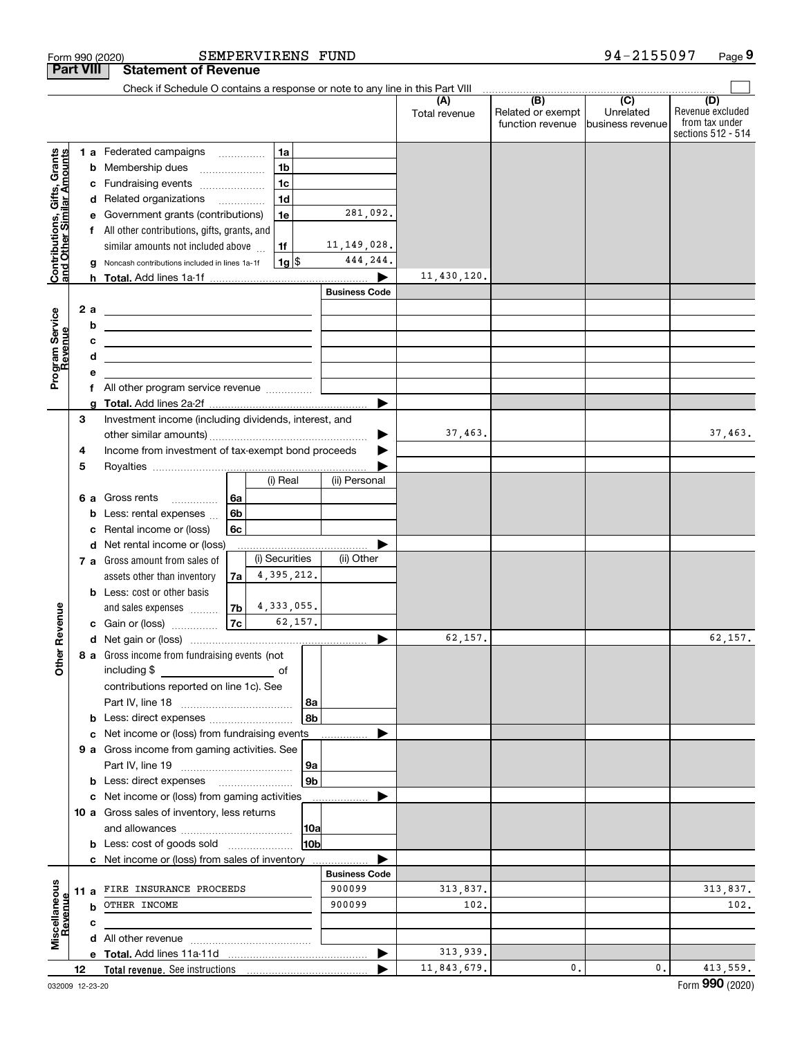| <b>Part VIII</b>                                                    |                                        |     | <b>Statement of Revenue</b>                                                                                                                                                                                                          |                                            |                |                      |               |                                              |                                      |                                                                 |
|---------------------------------------------------------------------|----------------------------------------|-----|--------------------------------------------------------------------------------------------------------------------------------------------------------------------------------------------------------------------------------------|--------------------------------------------|----------------|----------------------|---------------|----------------------------------------------|--------------------------------------|-----------------------------------------------------------------|
|                                                                     |                                        |     | Check if Schedule O contains a response or note to any line in this Part VIII                                                                                                                                                        |                                            |                |                      |               |                                              |                                      |                                                                 |
|                                                                     |                                        |     |                                                                                                                                                                                                                                      |                                            |                |                      | Total revenue | (B)<br>Related or exempt<br>function revenue | (C)<br>Unrelated<br>business revenue | (D)<br>Revenue excluded<br>from tax under<br>sections 512 - 514 |
|                                                                     |                                        |     | 1 a Federated campaigns                                                                                                                                                                                                              | 1a                                         |                |                      |               |                                              |                                      |                                                                 |
| Grants<br>Contributions, Gifts, Grants<br>and Other Similar Amounts | 1 <sub>b</sub><br>Membership dues<br>b |     |                                                                                                                                                                                                                                      |                                            |                |                      |               |                                              |                                      |                                                                 |
|                                                                     |                                        | с   | Fundraising events                                                                                                                                                                                                                   | 1 <sub>c</sub>                             |                |                      |               |                                              |                                      |                                                                 |
|                                                                     |                                        |     | d Related organizations                                                                                                                                                                                                              | 1 <sub>d</sub><br>$\overline{\phantom{a}}$ |                |                      |               |                                              |                                      |                                                                 |
|                                                                     |                                        | е   | Government grants (contributions)                                                                                                                                                                                                    | 1e                                         |                | 281,092.             |               |                                              |                                      |                                                                 |
|                                                                     |                                        |     | All other contributions, gifts, grants, and                                                                                                                                                                                          |                                            |                |                      |               |                                              |                                      |                                                                 |
|                                                                     |                                        |     | similar amounts not included above                                                                                                                                                                                                   | 1f                                         |                | 11, 149, 028.        |               |                                              |                                      |                                                                 |
|                                                                     |                                        | g   | Noncash contributions included in lines 1a-1f                                                                                                                                                                                        |                                            | $1g$ \$        | 444,244.             |               |                                              |                                      |                                                                 |
|                                                                     |                                        |     | h Total. Add lines 1a-1f                                                                                                                                                                                                             |                                            |                |                      | 11,430,120.   |                                              |                                      |                                                                 |
|                                                                     |                                        |     |                                                                                                                                                                                                                                      |                                            |                | <b>Business Code</b> |               |                                              |                                      |                                                                 |
|                                                                     |                                        | 2 a | <u>and the state of the state of the state of the state of the state of the state of the state of the state of the state of the state of the state of the state of the state of the state of the state of the state of the state</u> |                                            |                |                      |               |                                              |                                      |                                                                 |
|                                                                     |                                        | b   | <u>experience</u> and the contract of the contract of the contract of the contract of the contract of the contract of                                                                                                                |                                            |                |                      |               |                                              |                                      |                                                                 |
|                                                                     |                                        | с   | <u> 1989 - Andrea Stadt Britain, amerikansk politiker (</u>                                                                                                                                                                          |                                            |                |                      |               |                                              |                                      |                                                                 |
| Revenue                                                             |                                        | d   | the contract of the contract of the contract of the contract of the contract of                                                                                                                                                      |                                            |                |                      |               |                                              |                                      |                                                                 |
| Program Service                                                     |                                        | е   |                                                                                                                                                                                                                                      |                                            |                |                      |               |                                              |                                      |                                                                 |
|                                                                     |                                        |     |                                                                                                                                                                                                                                      |                                            |                |                      |               |                                              |                                      |                                                                 |
|                                                                     |                                        |     |                                                                                                                                                                                                                                      |                                            |                |                      |               |                                              |                                      |                                                                 |
|                                                                     | 3                                      |     | Investment income (including dividends, interest, and                                                                                                                                                                                |                                            |                |                      |               |                                              |                                      |                                                                 |
|                                                                     |                                        |     |                                                                                                                                                                                                                                      |                                            |                | ▶                    | 37,463.       |                                              |                                      | 37,463.                                                         |
|                                                                     | 4                                      |     | Income from investment of tax-exempt bond proceeds                                                                                                                                                                                   |                                            |                |                      |               |                                              |                                      |                                                                 |
|                                                                     | 5                                      |     |                                                                                                                                                                                                                                      | (i) Real                                   |                | (ii) Personal        |               |                                              |                                      |                                                                 |
|                                                                     |                                        |     |                                                                                                                                                                                                                                      |                                            |                |                      |               |                                              |                                      |                                                                 |
|                                                                     |                                        | 6а  | Gross rents<br>.                                                                                                                                                                                                                     | 6а                                         |                |                      |               |                                              |                                      |                                                                 |
|                                                                     |                                        | b   | Less: rental expenses                                                                                                                                                                                                                | 6b                                         |                |                      |               |                                              |                                      |                                                                 |
|                                                                     |                                        | с   | Rental income or (loss)                                                                                                                                                                                                              | 6c                                         |                |                      |               |                                              |                                      |                                                                 |
|                                                                     |                                        | d   | Net rental income or (loss)                                                                                                                                                                                                          | (i) Securities                             |                | (ii) Other           |               |                                              |                                      |                                                                 |
|                                                                     |                                        |     | 7 a Gross amount from sales of                                                                                                                                                                                                       |                                            | 4,395,212.     |                      |               |                                              |                                      |                                                                 |
|                                                                     |                                        |     | assets other than inventory<br>Less: cost or other basis                                                                                                                                                                             | 7a                                         |                |                      |               |                                              |                                      |                                                                 |
|                                                                     |                                        | b   |                                                                                                                                                                                                                                      | 4,333,055.<br><b>7b</b>                    |                |                      |               |                                              |                                      |                                                                 |
| evenue                                                              |                                        |     | and sales expenses                                                                                                                                                                                                                   | 7c                                         | 62,157.        |                      |               |                                              |                                      |                                                                 |
|                                                                     |                                        |     | <b>c</b> Gain or (loss)                                                                                                                                                                                                              |                                            |                |                      | 62,157.       |                                              |                                      | 62,157.                                                         |
| œ                                                                   |                                        |     | 8 a Gross income from fundraising events (not                                                                                                                                                                                        |                                            |                |                      |               |                                              |                                      |                                                                 |
| Other                                                               |                                        |     | including \$                                                                                                                                                                                                                         | оf                                         |                |                      |               |                                              |                                      |                                                                 |
|                                                                     |                                        |     | contributions reported on line 1c). See                                                                                                                                                                                              |                                            |                |                      |               |                                              |                                      |                                                                 |
|                                                                     |                                        |     |                                                                                                                                                                                                                                      |                                            | 8a             |                      |               |                                              |                                      |                                                                 |
|                                                                     |                                        |     |                                                                                                                                                                                                                                      |                                            | 8b             |                      |               |                                              |                                      |                                                                 |
|                                                                     |                                        |     | c Net income or (loss) from fundraising events                                                                                                                                                                                       |                                            |                |                      |               |                                              |                                      |                                                                 |
|                                                                     |                                        |     | 9 a Gross income from gaming activities. See                                                                                                                                                                                         |                                            |                |                      |               |                                              |                                      |                                                                 |
|                                                                     |                                        |     |                                                                                                                                                                                                                                      |                                            | 9a             |                      |               |                                              |                                      |                                                                 |
|                                                                     |                                        |     | <b>b</b> Less: direct expenses                                                                                                                                                                                                       |                                            | 9 <sub>b</sub> |                      |               |                                              |                                      |                                                                 |
|                                                                     |                                        |     | c Net income or (loss) from gaming activities                                                                                                                                                                                        |                                            |                |                      |               |                                              |                                      |                                                                 |
|                                                                     |                                        |     | 10 a Gross sales of inventory, less returns                                                                                                                                                                                          |                                            |                |                      |               |                                              |                                      |                                                                 |
|                                                                     |                                        |     |                                                                                                                                                                                                                                      |                                            | 10a            |                      |               |                                              |                                      |                                                                 |
|                                                                     |                                        |     | <b>b</b> Less: cost of goods sold                                                                                                                                                                                                    |                                            | 10b            |                      |               |                                              |                                      |                                                                 |
|                                                                     |                                        |     | c Net income or (loss) from sales of inventory                                                                                                                                                                                       |                                            |                |                      |               |                                              |                                      |                                                                 |
|                                                                     |                                        |     |                                                                                                                                                                                                                                      |                                            |                | <b>Business Code</b> |               |                                              |                                      |                                                                 |
|                                                                     |                                        |     | 11 a FIRE INSURANCE PROCEEDS                                                                                                                                                                                                         |                                            |                | 900099               | 313,837.      |                                              |                                      | 313,837.                                                        |
|                                                                     |                                        | b   | OTHER INCOME                                                                                                                                                                                                                         |                                            |                | 900099               | 102.          |                                              |                                      | 102.                                                            |
| Revenue                                                             |                                        | с   |                                                                                                                                                                                                                                      |                                            |                |                      |               |                                              |                                      |                                                                 |
| Miscellaneous                                                       |                                        |     |                                                                                                                                                                                                                                      |                                            |                |                      |               |                                              |                                      |                                                                 |
|                                                                     |                                        |     |                                                                                                                                                                                                                                      |                                            |                |                      | 313,939.      |                                              |                                      |                                                                 |
|                                                                     | 12                                     |     |                                                                                                                                                                                                                                      |                                            |                |                      | 11,843,679.   | 0.                                           | 0.                                   | 413,559.                                                        |

Form 990 (2020) SEMPERVIRENS FUND 9 4-21550 9 7 Page

**9** 94-2155097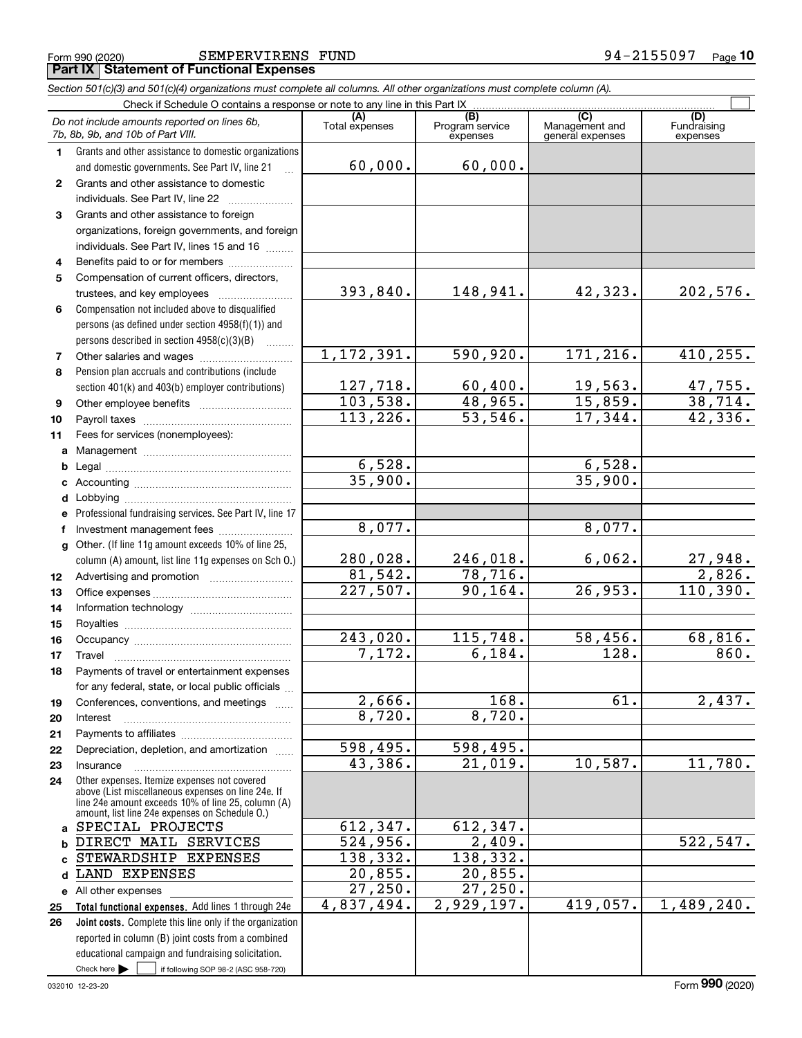Form 990 (2020) Page **Part IX Statement of Functional Expenses** SEMPERVIRENS FUND 94-2155097

|              | Section 501(c)(3) and 501(c)(4) organizations must complete all columns. All other organizations must complete column (A).<br>Check if Schedule O contains a response or note to any line in this Part IX |                     |                             |                                    |                                                  |
|--------------|-----------------------------------------------------------------------------------------------------------------------------------------------------------------------------------------------------------|---------------------|-----------------------------|------------------------------------|--------------------------------------------------|
|              | Do not include amounts reported on lines 6b,                                                                                                                                                              | (A)                 | (B)                         | (C)                                | (D)                                              |
|              | 7b, 8b, 9b, and 10b of Part VIII.                                                                                                                                                                         | Total expenses      | Program service<br>expenses | Management and<br>general expenses | Fundraising<br>expenses                          |
| $\mathbf{1}$ | Grants and other assistance to domestic organizations                                                                                                                                                     |                     |                             |                                    |                                                  |
|              | and domestic governments. See Part IV, line 21<br>$\mathbf{r}$                                                                                                                                            | 60,000.             | 60,000.                     |                                    |                                                  |
| $\mathbf{2}$ | Grants and other assistance to domestic                                                                                                                                                                   |                     |                             |                                    |                                                  |
|              | individuals. See Part IV, line 22                                                                                                                                                                         |                     |                             |                                    |                                                  |
| 3            | Grants and other assistance to foreign                                                                                                                                                                    |                     |                             |                                    |                                                  |
|              | organizations, foreign governments, and foreign                                                                                                                                                           |                     |                             |                                    |                                                  |
|              | individuals. See Part IV, lines 15 and 16                                                                                                                                                                 |                     |                             |                                    |                                                  |
| 4            | Benefits paid to or for members                                                                                                                                                                           |                     |                             |                                    |                                                  |
| 5            | Compensation of current officers, directors,                                                                                                                                                              |                     |                             |                                    |                                                  |
|              | trustees, and key employees                                                                                                                                                                               | 393,840.            | 148,941.                    | 42,323.                            | 202,576.                                         |
| 6            | Compensation not included above to disqualified                                                                                                                                                           |                     |                             |                                    |                                                  |
|              | persons (as defined under section 4958(f)(1)) and                                                                                                                                                         |                     |                             |                                    |                                                  |
|              | persons described in section $4958(c)(3)(B)$<br>$\overline{\phantom{a}}$                                                                                                                                  |                     |                             |                                    |                                                  |
| 7            |                                                                                                                                                                                                           | 1, 172, 391.        | 590,920.                    | 171,216.                           | 410,255.                                         |
| 8            | Pension plan accruals and contributions (include                                                                                                                                                          | 127,718.            | 60,400.                     | 19,563.                            |                                                  |
|              | section 401(k) and 403(b) employer contributions)                                                                                                                                                         | 103,538.            | 48,965.                     | <u>15,859.</u>                     |                                                  |
| 9<br>10      |                                                                                                                                                                                                           | 113,226.            | 53,546.                     | 17,344.                            | $\frac{47,755.}{38,714.}$<br>$\frac{42,336.}{9}$ |
| 11           | Fees for services (nonemployees):                                                                                                                                                                         |                     |                             |                                    |                                                  |
|              |                                                                                                                                                                                                           |                     |                             |                                    |                                                  |
| b            |                                                                                                                                                                                                           | 6,528.              |                             | 6,528.                             |                                                  |
|              |                                                                                                                                                                                                           | 35,900.             |                             | 35,900.                            |                                                  |
| d            |                                                                                                                                                                                                           |                     |                             |                                    |                                                  |
| е            | Professional fundraising services. See Part IV, line 17                                                                                                                                                   |                     |                             |                                    |                                                  |
| f            | Investment management fees                                                                                                                                                                                | 8,077.              |                             | 8,077.                             |                                                  |
|              | g Other. (If line 11g amount exceeds 10% of line 25,                                                                                                                                                      |                     |                             |                                    |                                                  |
|              | column (A) amount, list line 11g expenses on Sch O.)                                                                                                                                                      | 280,028.            | 246,018.                    | 6,062.                             | $\frac{27,948.}{2,826.}$<br>110,390.             |
| 12           |                                                                                                                                                                                                           | 81,542.             | 78,716.                     |                                    |                                                  |
| 13           |                                                                                                                                                                                                           | 227,507.            | 90, 164.                    | 26,953.                            |                                                  |
| 14           |                                                                                                                                                                                                           |                     |                             |                                    |                                                  |
| 15           |                                                                                                                                                                                                           |                     |                             |                                    |                                                  |
| 16           |                                                                                                                                                                                                           | 243,020.            | 115,748.                    | 58,456.                            | 68,816.                                          |
| 17           |                                                                                                                                                                                                           | $\overline{7,172.}$ | 6,184.                      | 128.                               | 860.                                             |
| 18           | Payments of travel or entertainment expenses                                                                                                                                                              |                     |                             |                                    |                                                  |
|              | for any federal, state, or local public officials                                                                                                                                                         | 2,666.              | 168.                        | 61.                                | 2,437.                                           |
| 19           | Conferences, conventions, and meetings                                                                                                                                                                    | 8,720.              | 8,720.                      |                                    |                                                  |
| 20           | Interest                                                                                                                                                                                                  |                     |                             |                                    |                                                  |
| 21<br>22     | Depreciation, depletion, and amortization                                                                                                                                                                 | 598,495.            | 598,495.                    |                                    |                                                  |
| 23           | Insurance                                                                                                                                                                                                 | 43,386.             | $\overline{21}$ , 019.      | 10,587.                            | 11,780.                                          |
| 24           | Other expenses. Itemize expenses not covered                                                                                                                                                              |                     |                             |                                    |                                                  |
|              | above (List miscellaneous expenses on line 24e. If                                                                                                                                                        |                     |                             |                                    |                                                  |
|              | line 24e amount exceeds 10% of line 25, column (A)<br>amount, list line 24e expenses on Schedule O.)                                                                                                      |                     |                             |                                    |                                                  |
| a            | SPECIAL PROJECTS                                                                                                                                                                                          | 612,347.            | 612,347.                    |                                    |                                                  |
|              | DIRECT MAIL SERVICES                                                                                                                                                                                      | 524,956.            | $\overline{2}$ , 409.       |                                    | 522, 547.                                        |
|              | STEWARDSHIP<br><b>EXPENSES</b>                                                                                                                                                                            | 138,332.            | 138,332.                    |                                    |                                                  |
|              | <b>AND EXPENSES</b>                                                                                                                                                                                       | 20,855.             | 20,855.                     |                                    |                                                  |
|              | e All other expenses                                                                                                                                                                                      | 27, 250.            | 27,250.                     |                                    |                                                  |
| 25           | Total functional expenses. Add lines 1 through 24e                                                                                                                                                        | 4,837,494.          | 2,929,197.                  | 419,057.                           | $\overline{1,489}, 240.$                         |
| 26           | Joint costs. Complete this line only if the organization                                                                                                                                                  |                     |                             |                                    |                                                  |
|              | reported in column (B) joint costs from a combined                                                                                                                                                        |                     |                             |                                    |                                                  |
|              | educational campaign and fundraising solicitation.                                                                                                                                                        |                     |                             |                                    |                                                  |
|              | Check here $\blacktriangleright$<br>if following SOP 98-2 (ASC 958-720)                                                                                                                                   |                     |                             |                                    |                                                  |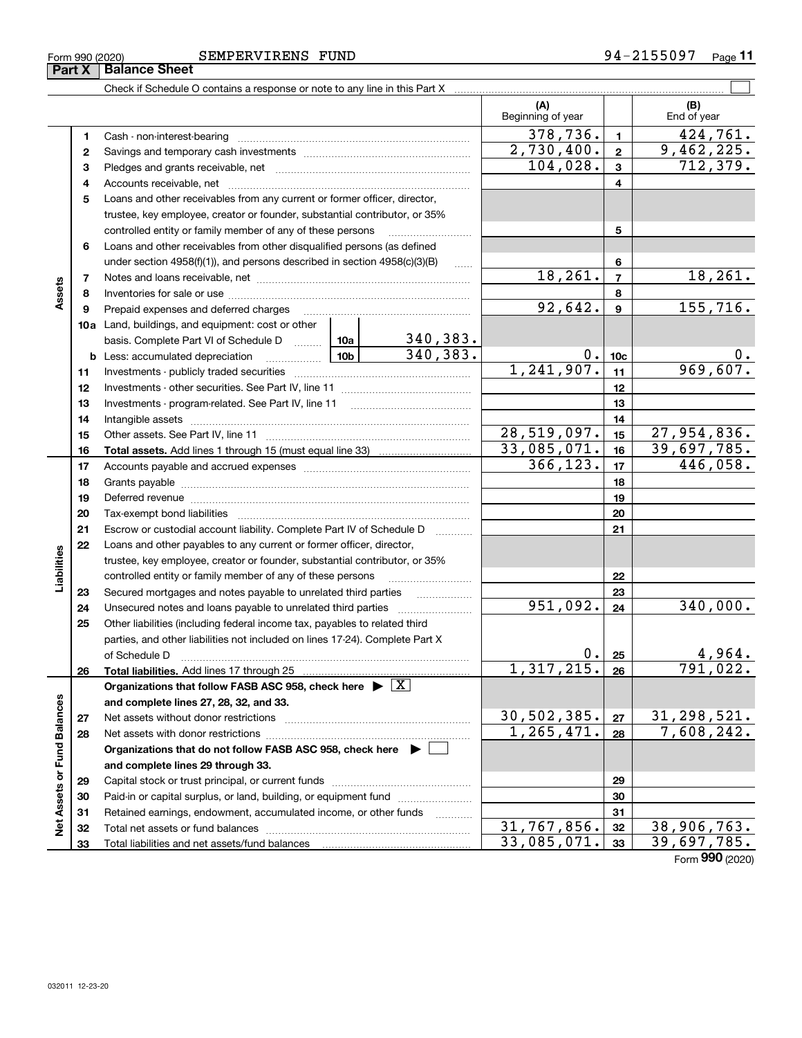| 509٬۳<br>SEMPERVIRENS<br>FUND<br>Form 990 (2020) | Page |
|--------------------------------------------------|------|
|--------------------------------------------------|------|

|                             |    | Check if Schedule O contains a response or note to any line in this Part X [11] manufacture in the Schedule O contains a response or note to any line in this Part X [11] manufacture in the Schedule O contains a response or |              |                             |                           |                  |                    |
|-----------------------------|----|--------------------------------------------------------------------------------------------------------------------------------------------------------------------------------------------------------------------------------|--------------|-----------------------------|---------------------------|------------------|--------------------|
|                             |    |                                                                                                                                                                                                                                |              |                             | (A)<br>Beginning of year  |                  | (B)<br>End of year |
|                             | 1  |                                                                                                                                                                                                                                |              |                             | 378,736.                  | $\mathbf{1}$     | 424,761.           |
|                             | 2  |                                                                                                                                                                                                                                |              |                             | 2,730,400.                | $\mathbf{2}$     | 9,462,225.         |
|                             | з  |                                                                                                                                                                                                                                |              |                             | 104,028.                  | $\mathbf{3}$     | 712, 379.          |
|                             | 4  |                                                                                                                                                                                                                                |              | 4                           |                           |                  |                    |
|                             | 5  | Loans and other receivables from any current or former officer, director,                                                                                                                                                      |              |                             |                           |                  |                    |
|                             |    | trustee, key employee, creator or founder, substantial contributor, or 35%                                                                                                                                                     |              |                             |                           |                  |                    |
|                             |    | controlled entity or family member of any of these persons                                                                                                                                                                     |              |                             |                           | 5                |                    |
|                             | 6  | Loans and other receivables from other disqualified persons (as defined                                                                                                                                                        |              |                             |                           |                  |                    |
|                             |    | under section $4958(f)(1)$ , and persons described in section $4958(c)(3)(B)$                                                                                                                                                  |              | 6                           |                           |                  |                    |
|                             | 7  |                                                                                                                                                                                                                                |              |                             | 18, 261.                  | $\overline{7}$   | 18, 261.           |
| Assets                      | 8  |                                                                                                                                                                                                                                |              |                             |                           | 8                |                    |
|                             | 9  | Prepaid expenses and deferred charges                                                                                                                                                                                          |              |                             | 92,642.                   | $\boldsymbol{9}$ | 155, 716.          |
|                             |    | <b>10a</b> Land, buildings, and equipment: cost or other                                                                                                                                                                       |              |                             |                           |                  |                    |
|                             |    | basis. Complete Part VI of Schedule D  10a                                                                                                                                                                                     |              | $\frac{340,383.}{340,383.}$ |                           |                  |                    |
|                             |    | <b>b</b> Less: accumulated depreciation                                                                                                                                                                                        | 0.           | 10 <sub>c</sub>             | 0.                        |                  |                    |
|                             | 11 |                                                                                                                                                                                                                                | 1, 241, 907. | 11                          | 969,607.                  |                  |                    |
|                             | 12 |                                                                                                                                                                                                                                |              | 12                          |                           |                  |                    |
|                             | 13 |                                                                                                                                                                                                                                |              |                             | 13                        |                  |                    |
|                             | 14 |                                                                                                                                                                                                                                |              | 14                          |                           |                  |                    |
|                             | 15 |                                                                                                                                                                                                                                | 28,519,097.  | 15                          | 27,954,836.               |                  |                    |
|                             | 16 |                                                                                                                                                                                                                                |              |                             | 33,085,071.               | 16               | 39,697,785.        |
|                             | 17 |                                                                                                                                                                                                                                | 366, 123.    | 17                          | 446,058.                  |                  |                    |
|                             | 18 |                                                                                                                                                                                                                                |              |                             |                           | 18               |                    |
|                             | 19 |                                                                                                                                                                                                                                |              |                             |                           | 19               |                    |
|                             | 20 |                                                                                                                                                                                                                                |              |                             |                           | 20               |                    |
|                             | 21 | Escrow or custodial account liability. Complete Part IV of Schedule D                                                                                                                                                          |              | 1.1.1.1.1.1.1.1.1           |                           | 21               |                    |
|                             | 22 | Loans and other payables to any current or former officer, director,                                                                                                                                                           |              |                             |                           |                  |                    |
| Liabilities                 |    | trustee, key employee, creator or founder, substantial contributor, or 35%                                                                                                                                                     |              |                             |                           |                  |                    |
|                             |    | controlled entity or family member of any of these persons                                                                                                                                                                     |              |                             |                           | 22               |                    |
|                             | 23 |                                                                                                                                                                                                                                |              | 23                          |                           |                  |                    |
|                             | 24 |                                                                                                                                                                                                                                |              |                             | 951,092.                  | 24               | 340,000.           |
|                             | 25 | Other liabilities (including federal income tax, payables to related third                                                                                                                                                     |              |                             |                           |                  |                    |
|                             |    | parties, and other liabilities not included on lines 17-24). Complete Part X                                                                                                                                                   |              |                             |                           |                  |                    |
|                             |    | of Schedule D <b>contract the contract of Schedule D</b>                                                                                                                                                                       | $0$ .        | 25                          | 4,964.                    |                  |                    |
|                             | 26 |                                                                                                                                                                                                                                |              |                             | 1,317,215.                | 26               | 791,022.           |
|                             |    | Organizations that follow FASB ASC 958, check here $\blacktriangleright \boxed{X}$                                                                                                                                             |              |                             |                           |                  |                    |
|                             |    | and complete lines 27, 28, 32, and 33.                                                                                                                                                                                         |              |                             |                           |                  |                    |
|                             | 27 |                                                                                                                                                                                                                                |              |                             | 30, 502, 385.             | 27               | 31, 298, 521.      |
|                             | 28 |                                                                                                                                                                                                                                | 1, 265, 471. | 28                          | 7,608,242.                |                  |                    |
|                             |    | Organizations that do not follow FASB ASC 958, check here ▶ □                                                                                                                                                                  |              |                             |                           |                  |                    |
| Net Assets or Fund Balances |    | and complete lines 29 through 33.                                                                                                                                                                                              |              |                             |                           |                  |                    |
|                             | 29 |                                                                                                                                                                                                                                |              |                             |                           | 29               |                    |
|                             | 30 | Paid-in or capital surplus, or land, building, or equipment fund                                                                                                                                                               |              |                             |                           | 30               |                    |
|                             | 31 | Retained earnings, endowment, accumulated income, or other funds                                                                                                                                                               |              |                             |                           | 31               |                    |
|                             | 32 |                                                                                                                                                                                                                                |              |                             | $\overline{31,767,856}$ . | 32               | 38,906,763.        |
|                             | 33 |                                                                                                                                                                                                                                |              |                             | 33,085,071.               | 33               | 39,697,785.        |

**33** 39, 697, 785.<br>Form **990** (2020)

**Part X Balance Sheet**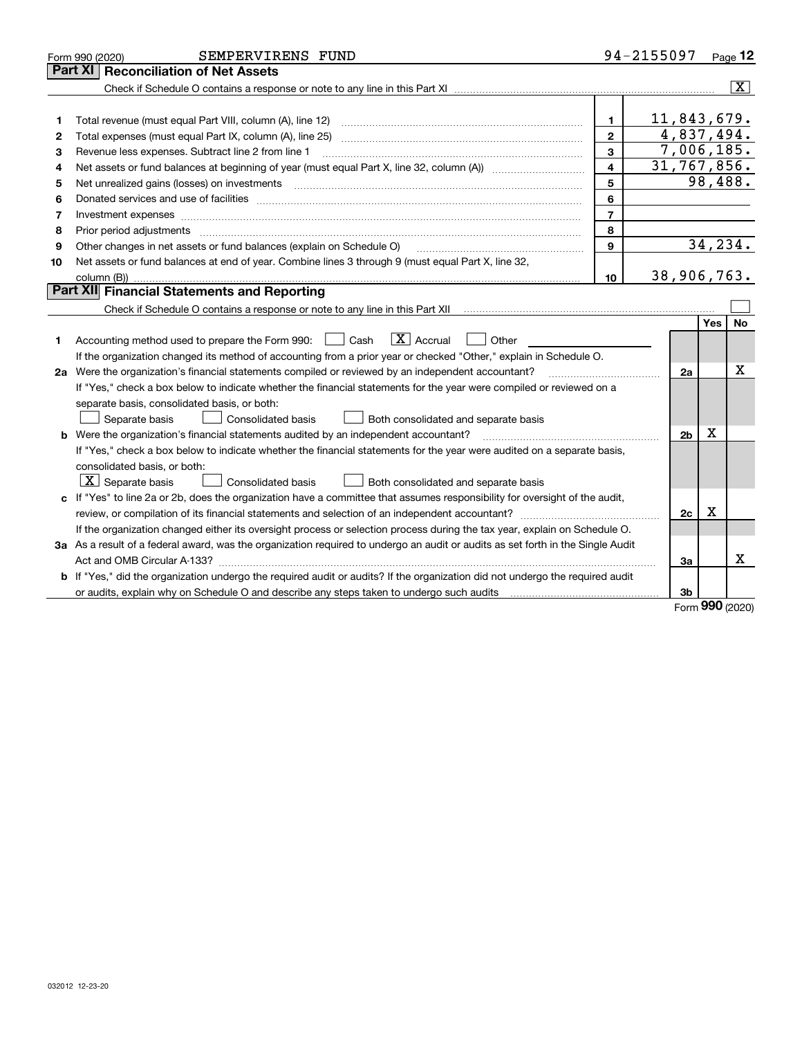|    | SEMPERVIRENS FUND<br>Form 990 (2020)                                                                                            |                | 94-2155097     |          | $P_{\text{aqe}}$ 12     |
|----|---------------------------------------------------------------------------------------------------------------------------------|----------------|----------------|----------|-------------------------|
|    | Part XI<br><b>Reconciliation of Net Assets</b>                                                                                  |                |                |          |                         |
|    |                                                                                                                                 |                |                |          | $\overline{\mathtt{x}}$ |
|    |                                                                                                                                 |                |                |          |                         |
| 1  | Total revenue (must equal Part VIII, column (A), line 12)                                                                       | $\blacksquare$ | 11,843,679.    |          |                         |
| 2  | Total expenses (must equal Part IX, column (A), line 25)                                                                        | $\overline{2}$ | 4,837,494.     |          |                         |
| 3  | Revenue less expenses. Subtract line 2 from line 1                                                                              | $\mathbf{3}$   | 7,006,185.     |          |                         |
| 4  |                                                                                                                                 | 4              | 31,767,856.    |          |                         |
| 5  |                                                                                                                                 | 5              |                | 98,488.  |                         |
| 6  |                                                                                                                                 | 6              |                |          |                         |
| 7  |                                                                                                                                 | $\overline{7}$ |                |          |                         |
| 8  | Prior period adjustments                                                                                                        | 8              |                |          |                         |
| 9  | Other changes in net assets or fund balances (explain on Schedule O)                                                            | 9              |                | 34, 234. |                         |
| 10 | Net assets or fund balances at end of year. Combine lines 3 through 9 (must equal Part X, line 32,                              |                |                |          |                         |
|    | column (B))                                                                                                                     | 10             | 38,906,763.    |          |                         |
|    | Part XII Financial Statements and Reporting                                                                                     |                |                |          |                         |
|    |                                                                                                                                 |                |                |          |                         |
|    |                                                                                                                                 |                |                | Yes      | No                      |
| 1  | $ X $ Accrual<br>Accounting method used to prepare the Form 990: [130] Cash<br>Other                                            |                |                |          |                         |
|    | If the organization changed its method of accounting from a prior year or checked "Other," explain in Schedule O.               |                |                |          |                         |
|    | 2a Were the organization's financial statements compiled or reviewed by an independent accountant?                              |                | 2a             |          | х                       |
|    | If "Yes," check a box below to indicate whether the financial statements for the year were compiled or reviewed on a            |                |                |          |                         |
|    | separate basis, consolidated basis, or both:                                                                                    |                |                |          |                         |
|    | Separate basis<br>Consolidated basis<br>Both consolidated and separate basis                                                    |                |                |          |                         |
|    | <b>b</b> Were the organization's financial statements audited by an independent accountant?                                     |                | 2 <sub>b</sub> | х        |                         |
|    | If "Yes," check a box below to indicate whether the financial statements for the year were audited on a separate basis,         |                |                |          |                         |
|    | consolidated basis, or both:                                                                                                    |                |                |          |                         |
|    | $X$ Separate basis<br><b>Consolidated basis</b><br>Both consolidated and separate basis                                         |                |                |          |                         |
|    | c If "Yes" to line 2a or 2b, does the organization have a committee that assumes responsibility for oversight of the audit,     |                |                |          |                         |
|    | review, or compilation of its financial statements and selection of an independent accountant? [[[[[[[[[[[[[[                   |                | 2c             | x        |                         |
|    | If the organization changed either its oversight process or selection process during the tax year, explain on Schedule O.       |                |                |          |                         |
|    | 3a As a result of a federal award, was the organization required to undergo an audit or audits as set forth in the Single Audit |                |                |          |                         |
|    |                                                                                                                                 |                | За             |          | х                       |
|    | b If "Yes," did the organization undergo the required audit or audits? If the organization did not undergo the required audit   |                |                |          |                         |
|    |                                                                                                                                 |                | 3b             |          |                         |

Form (2020) **990**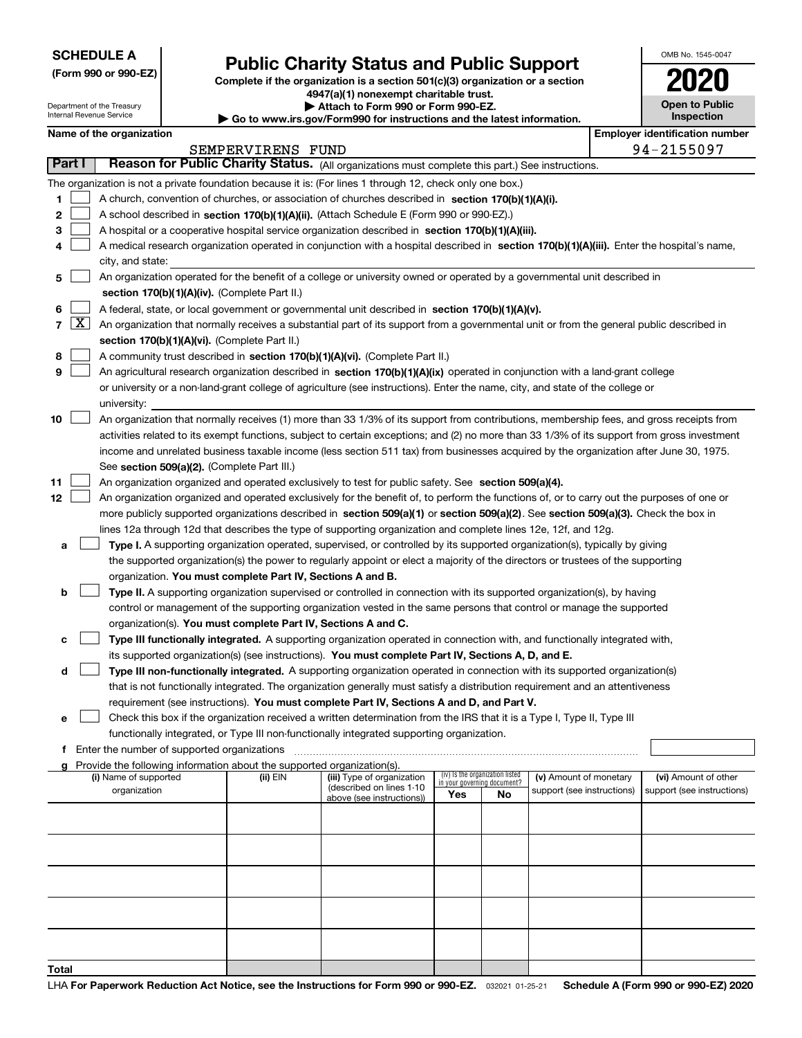Department of the Treasury Internal Revenue Service

|  |  |  | (Form 990 or 990-EZ) |
|--|--|--|----------------------|
|--|--|--|----------------------|

# **Public Charity Status and Public Support**

**Complete if the organization is a section 501(c)(3) organization or a section 4947(a)(1) nonexempt charitable trust.**

**| Attach to Form 990 or Form 990-EZ.** 

**| Go to www.irs.gov/Form990 for instructions and the latest information.**

| OMB No. 1545-0047                   |
|-------------------------------------|
| 1120                                |
| <b>Open to Public</b><br>Inspection |

|  | Name of the organization |
|--|--------------------------|

|        | Name of the organization<br><b>Employer identification number</b> |                                                                                                                                              |                   |                                                        |                                                                |    |                            |  |                            |  |
|--------|-------------------------------------------------------------------|----------------------------------------------------------------------------------------------------------------------------------------------|-------------------|--------------------------------------------------------|----------------------------------------------------------------|----|----------------------------|--|----------------------------|--|
|        |                                                                   |                                                                                                                                              | SEMPERVIRENS FUND |                                                        |                                                                |    |                            |  | 94-2155097                 |  |
| Part I |                                                                   | Reason for Public Charity Status. (All organizations must complete this part.) See instructions.                                             |                   |                                                        |                                                                |    |                            |  |                            |  |
|        |                                                                   | The organization is not a private foundation because it is: (For lines 1 through 12, check only one box.)                                    |                   |                                                        |                                                                |    |                            |  |                            |  |
| 1      |                                                                   | A church, convention of churches, or association of churches described in section 170(b)(1)(A)(i).                                           |                   |                                                        |                                                                |    |                            |  |                            |  |
| 2      |                                                                   | A school described in section 170(b)(1)(A)(ii). (Attach Schedule E (Form 990 or 990-EZ).)                                                    |                   |                                                        |                                                                |    |                            |  |                            |  |
| з      |                                                                   | A hospital or a cooperative hospital service organization described in section 170(b)(1)(A)(iii).                                            |                   |                                                        |                                                                |    |                            |  |                            |  |
| 4      |                                                                   | A medical research organization operated in conjunction with a hospital described in section 170(b)(1)(A)(iii). Enter the hospital's name,   |                   |                                                        |                                                                |    |                            |  |                            |  |
|        |                                                                   | city, and state:                                                                                                                             |                   |                                                        |                                                                |    |                            |  |                            |  |
| 5      |                                                                   | An organization operated for the benefit of a college or university owned or operated by a governmental unit described in                    |                   |                                                        |                                                                |    |                            |  |                            |  |
|        |                                                                   | section 170(b)(1)(A)(iv). (Complete Part II.)                                                                                                |                   |                                                        |                                                                |    |                            |  |                            |  |
| 6      |                                                                   | A federal, state, or local government or governmental unit described in section 170(b)(1)(A)(v).                                             |                   |                                                        |                                                                |    |                            |  |                            |  |
|        | $7 \times$                                                        | An organization that normally receives a substantial part of its support from a governmental unit or from the general public described in    |                   |                                                        |                                                                |    |                            |  |                            |  |
|        |                                                                   | section 170(b)(1)(A)(vi). (Complete Part II.)                                                                                                |                   |                                                        |                                                                |    |                            |  |                            |  |
| 8      |                                                                   | A community trust described in section 170(b)(1)(A)(vi). (Complete Part II.)                                                                 |                   |                                                        |                                                                |    |                            |  |                            |  |
| 9      |                                                                   | An agricultural research organization described in section 170(b)(1)(A)(ix) operated in conjunction with a land-grant college                |                   |                                                        |                                                                |    |                            |  |                            |  |
|        |                                                                   | or university or a non-land-grant college of agriculture (see instructions). Enter the name, city, and state of the college or               |                   |                                                        |                                                                |    |                            |  |                            |  |
|        |                                                                   | university:                                                                                                                                  |                   |                                                        |                                                                |    |                            |  |                            |  |
| 10     |                                                                   | An organization that normally receives (1) more than 33 1/3% of its support from contributions, membership fees, and gross receipts from     |                   |                                                        |                                                                |    |                            |  |                            |  |
|        |                                                                   | activities related to its exempt functions, subject to certain exceptions; and (2) no more than 33 1/3% of its support from gross investment |                   |                                                        |                                                                |    |                            |  |                            |  |
|        |                                                                   | income and unrelated business taxable income (less section 511 tax) from businesses acquired by the organization after June 30, 1975.        |                   |                                                        |                                                                |    |                            |  |                            |  |
|        |                                                                   | See section 509(a)(2). (Complete Part III.)                                                                                                  |                   |                                                        |                                                                |    |                            |  |                            |  |
| 11     |                                                                   | An organization organized and operated exclusively to test for public safety. See section 509(a)(4).                                         |                   |                                                        |                                                                |    |                            |  |                            |  |
| 12     |                                                                   | An organization organized and operated exclusively for the benefit of, to perform the functions of, or to carry out the purposes of one or   |                   |                                                        |                                                                |    |                            |  |                            |  |
|        |                                                                   | more publicly supported organizations described in section 509(a)(1) or section 509(a)(2). See section 509(a)(3). Check the box in           |                   |                                                        |                                                                |    |                            |  |                            |  |
|        |                                                                   | lines 12a through 12d that describes the type of supporting organization and complete lines 12e, 12f, and 12g.                               |                   |                                                        |                                                                |    |                            |  |                            |  |
| а      |                                                                   | Type I. A supporting organization operated, supervised, or controlled by its supported organization(s), typically by giving                  |                   |                                                        |                                                                |    |                            |  |                            |  |
|        |                                                                   | the supported organization(s) the power to regularly appoint or elect a majority of the directors or trustees of the supporting              |                   |                                                        |                                                                |    |                            |  |                            |  |
|        |                                                                   | organization. You must complete Part IV, Sections A and B.                                                                                   |                   |                                                        |                                                                |    |                            |  |                            |  |
| b      |                                                                   | Type II. A supporting organization supervised or controlled in connection with its supported organization(s), by having                      |                   |                                                        |                                                                |    |                            |  |                            |  |
|        |                                                                   | control or management of the supporting organization vested in the same persons that control or manage the supported                         |                   |                                                        |                                                                |    |                            |  |                            |  |
|        |                                                                   | organization(s). You must complete Part IV, Sections A and C.                                                                                |                   |                                                        |                                                                |    |                            |  |                            |  |
| с      |                                                                   | Type III functionally integrated. A supporting organization operated in connection with, and functionally integrated with,                   |                   |                                                        |                                                                |    |                            |  |                            |  |
|        |                                                                   | its supported organization(s) (see instructions). You must complete Part IV, Sections A, D, and E.                                           |                   |                                                        |                                                                |    |                            |  |                            |  |
| d      |                                                                   | Type III non-functionally integrated. A supporting organization operated in connection with its supported organization(s)                    |                   |                                                        |                                                                |    |                            |  |                            |  |
|        |                                                                   | that is not functionally integrated. The organization generally must satisfy a distribution requirement and an attentiveness                 |                   |                                                        |                                                                |    |                            |  |                            |  |
|        |                                                                   | requirement (see instructions). You must complete Part IV, Sections A and D, and Part V.                                                     |                   |                                                        |                                                                |    |                            |  |                            |  |
| е      |                                                                   | Check this box if the organization received a written determination from the IRS that it is a Type I, Type II, Type III                      |                   |                                                        |                                                                |    |                            |  |                            |  |
|        |                                                                   | functionally integrated, or Type III non-functionally integrated supporting organization.                                                    |                   |                                                        |                                                                |    |                            |  |                            |  |
|        |                                                                   | f Enter the number of supported organizations                                                                                                |                   |                                                        |                                                                |    |                            |  |                            |  |
|        |                                                                   | g Provide the following information about the supported organization(s).                                                                     |                   |                                                        |                                                                |    |                            |  |                            |  |
|        |                                                                   | (i) Name of supported                                                                                                                        | (ii) EIN          | (iii) Type of organization<br>(described on lines 1-10 | (iv) Is the organization listed<br>in your governing document? |    | (v) Amount of monetary     |  | (vi) Amount of other       |  |
|        |                                                                   | organization                                                                                                                                 |                   | above (see instructions))                              | Yes                                                            | No | support (see instructions) |  | support (see instructions) |  |
|        |                                                                   |                                                                                                                                              |                   |                                                        |                                                                |    |                            |  |                            |  |
|        |                                                                   |                                                                                                                                              |                   |                                                        |                                                                |    |                            |  |                            |  |
|        |                                                                   |                                                                                                                                              |                   |                                                        |                                                                |    |                            |  |                            |  |
|        |                                                                   |                                                                                                                                              |                   |                                                        |                                                                |    |                            |  |                            |  |
|        |                                                                   |                                                                                                                                              |                   |                                                        |                                                                |    |                            |  |                            |  |
|        |                                                                   |                                                                                                                                              |                   |                                                        |                                                                |    |                            |  |                            |  |
|        |                                                                   |                                                                                                                                              |                   |                                                        |                                                                |    |                            |  |                            |  |
|        |                                                                   |                                                                                                                                              |                   |                                                        |                                                                |    |                            |  |                            |  |
|        |                                                                   |                                                                                                                                              |                   |                                                        |                                                                |    |                            |  |                            |  |
| Total  |                                                                   |                                                                                                                                              |                   |                                                        |                                                                |    |                            |  |                            |  |
|        |                                                                   |                                                                                                                                              |                   |                                                        |                                                                |    |                            |  |                            |  |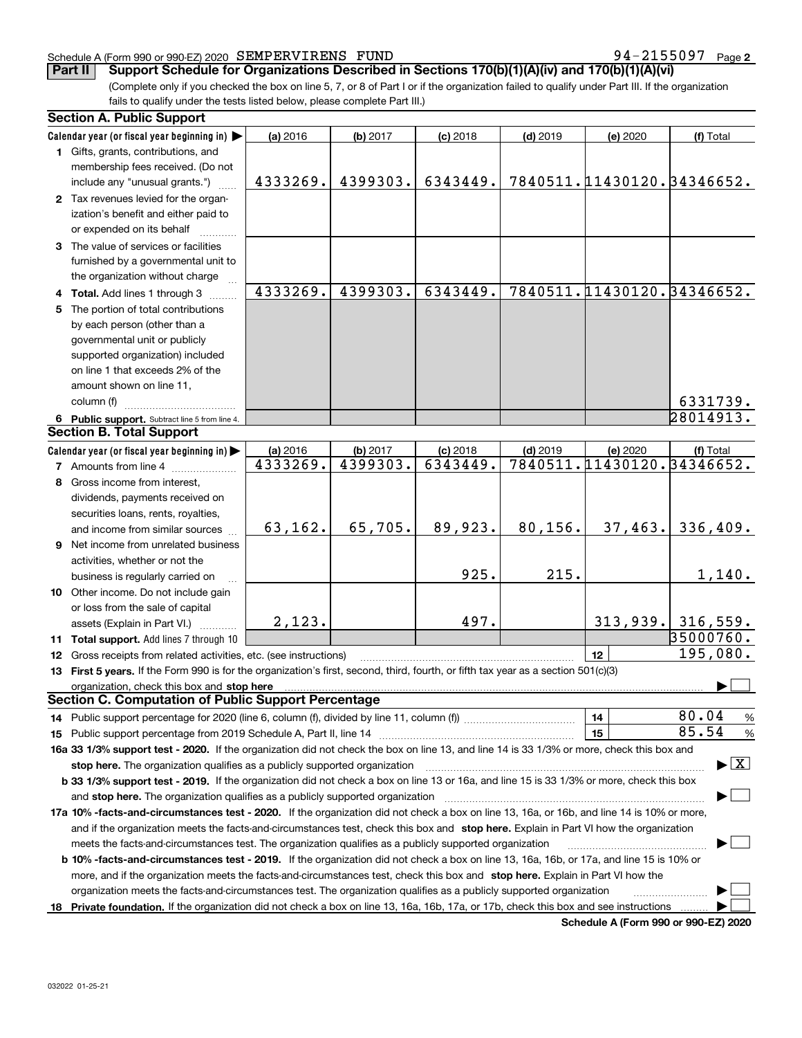## Schedule A (Form 990 or 990-EZ) 2020 Page SEMPERVIRENS FUND 94-2155097

**2**

**Part II Support Schedule for Organizations Described in Sections 170(b)(1)(A)(iv) and 170(b)(1)(A)(vi)**

(Complete only if you checked the box on line 5, 7, or 8 of Part I or if the organization failed to qualify under Part III. If the organization fails to qualify under the tests listed below, please complete Part III.)

|    | <b>Section A. Public Support</b>                                                                                                               |          |          |            |            |                              |                                          |
|----|------------------------------------------------------------------------------------------------------------------------------------------------|----------|----------|------------|------------|------------------------------|------------------------------------------|
|    | Calendar year (or fiscal year beginning in)                                                                                                    | (a) 2016 | (b) 2017 | $(c)$ 2018 | $(d)$ 2019 | (e) 2020                     | (f) Total                                |
|    | 1 Gifts, grants, contributions, and                                                                                                            |          |          |            |            |                              |                                          |
|    | membership fees received. (Do not                                                                                                              |          |          |            |            |                              |                                          |
|    | include any "unusual grants.")                                                                                                                 | 4333269. | 4399303. | 6343449.   |            | 7840511. 11430120. 34346652. |                                          |
|    | 2 Tax revenues levied for the organ-                                                                                                           |          |          |            |            |                              |                                          |
|    | ization's benefit and either paid to                                                                                                           |          |          |            |            |                              |                                          |
|    | or expended on its behalf                                                                                                                      |          |          |            |            |                              |                                          |
|    | 3 The value of services or facilities                                                                                                          |          |          |            |            |                              |                                          |
|    | furnished by a governmental unit to                                                                                                            |          |          |            |            |                              |                                          |
|    | the organization without charge                                                                                                                |          |          |            |            |                              |                                          |
|    | 4 Total. Add lines 1 through 3                                                                                                                 | 4333269. | 4399303. | 6343449.   |            | 7840511.11430120.34346652.   |                                          |
| 5. | The portion of total contributions                                                                                                             |          |          |            |            |                              |                                          |
|    | by each person (other than a                                                                                                                   |          |          |            |            |                              |                                          |
|    | governmental unit or publicly                                                                                                                  |          |          |            |            |                              |                                          |
|    | supported organization) included                                                                                                               |          |          |            |            |                              |                                          |
|    | on line 1 that exceeds 2% of the                                                                                                               |          |          |            |            |                              |                                          |
|    | amount shown on line 11,                                                                                                                       |          |          |            |            |                              |                                          |
|    | column (f)                                                                                                                                     |          |          |            |            |                              | 6331739.                                 |
|    | 6 Public support. Subtract line 5 from line 4.                                                                                                 |          |          |            |            |                              | $\sqrt{28014913}$ .                      |
|    | <b>Section B. Total Support</b>                                                                                                                |          |          |            |            |                              |                                          |
|    | Calendar year (or fiscal year beginning in)                                                                                                    | (a) 2016 | (b) 2017 | $(c)$ 2018 | $(d)$ 2019 | (e) 2020                     | (f) Total                                |
|    | <b>7</b> Amounts from line 4                                                                                                                   | 4333269. | 4399303. | 6343449.   |            | 7840511.11430120.34346652.   |                                          |
|    | 8 Gross income from interest,                                                                                                                  |          |          |            |            |                              |                                          |
|    | dividends, payments received on                                                                                                                |          |          |            |            |                              |                                          |
|    | securities loans, rents, royalties,                                                                                                            |          |          |            |            |                              |                                          |
|    | and income from similar sources                                                                                                                | 63,162.  | 65,705.  | 89,923.    | 80, 156.   | 37,463.                      | 336,409.                                 |
|    | 9 Net income from unrelated business                                                                                                           |          |          |            |            |                              |                                          |
|    | activities, whether or not the                                                                                                                 |          |          |            |            |                              |                                          |
|    | business is regularly carried on                                                                                                               |          |          | 925.       | 215.       |                              | 1,140.                                   |
|    | 10 Other income. Do not include gain                                                                                                           |          |          |            |            |                              |                                          |
|    | or loss from the sale of capital                                                                                                               |          |          |            |            |                              |                                          |
|    | assets (Explain in Part VI.)                                                                                                                   | 2,123.   |          | 497.       |            |                              | $313,939.$ 316,559.                      |
|    | 11 Total support. Add lines 7 through 10                                                                                                       |          |          |            |            |                              | 35000760.                                |
|    | 12 Gross receipts from related activities, etc. (see instructions)                                                                             |          |          |            |            | 12                           | 195,080.                                 |
|    | 13 First 5 years. If the Form 990 is for the organization's first, second, third, fourth, or fifth tax year as a section 501(c)(3)             |          |          |            |            |                              |                                          |
|    | organization, check this box and stop here                                                                                                     |          |          |            |            |                              |                                          |
|    | <b>Section C. Computation of Public Support Percentage</b>                                                                                     |          |          |            |            |                              |                                          |
|    |                                                                                                                                                |          |          |            |            | 14                           | 80.04<br>%                               |
|    |                                                                                                                                                |          |          |            |            | 15                           | 85.54<br>$\%$                            |
|    | 16a 33 1/3% support test - 2020. If the organization did not check the box on line 13, and line 14 is 33 1/3% or more, check this box and      |          |          |            |            |                              |                                          |
|    | stop here. The organization qualifies as a publicly supported organization                                                                     |          |          |            |            |                              | $\blacktriangleright$ $\boxed{\text{X}}$ |
|    | b 33 1/3% support test - 2019. If the organization did not check a box on line 13 or 16a, and line 15 is 33 1/3% or more, check this box       |          |          |            |            |                              |                                          |
|    | and stop here. The organization qualifies as a publicly supported organization                                                                 |          |          |            |            |                              |                                          |
|    | 17a 10% -facts-and-circumstances test - 2020. If the organization did not check a box on line 13, 16a, or 16b, and line 14 is 10% or more,     |          |          |            |            |                              |                                          |
|    | and if the organization meets the facts-and-circumstances test, check this box and stop here. Explain in Part VI how the organization          |          |          |            |            |                              |                                          |
|    | meets the facts-and-circumstances test. The organization qualifies as a publicly supported organization                                        |          |          |            |            |                              |                                          |
|    | <b>b 10% -facts-and-circumstances test - 2019.</b> If the organization did not check a box on line 13, 16a, 16b, or 17a, and line 15 is 10% or |          |          |            |            |                              |                                          |
|    | more, and if the organization meets the facts-and-circumstances test, check this box and stop here. Explain in Part VI how the                 |          |          |            |            |                              |                                          |
|    | organization meets the facts-and-circumstances test. The organization qualifies as a publicly supported organization                           |          |          |            |            |                              |                                          |
|    |                                                                                                                                                |          |          |            |            |                              |                                          |
|    | 18 Private foundation. If the organization did not check a box on line 13, 16a, 16b, 17a, or 17b, check this box and see instructions          |          |          |            |            |                              |                                          |

**Schedule A (Form 990 or 990-EZ) 2020**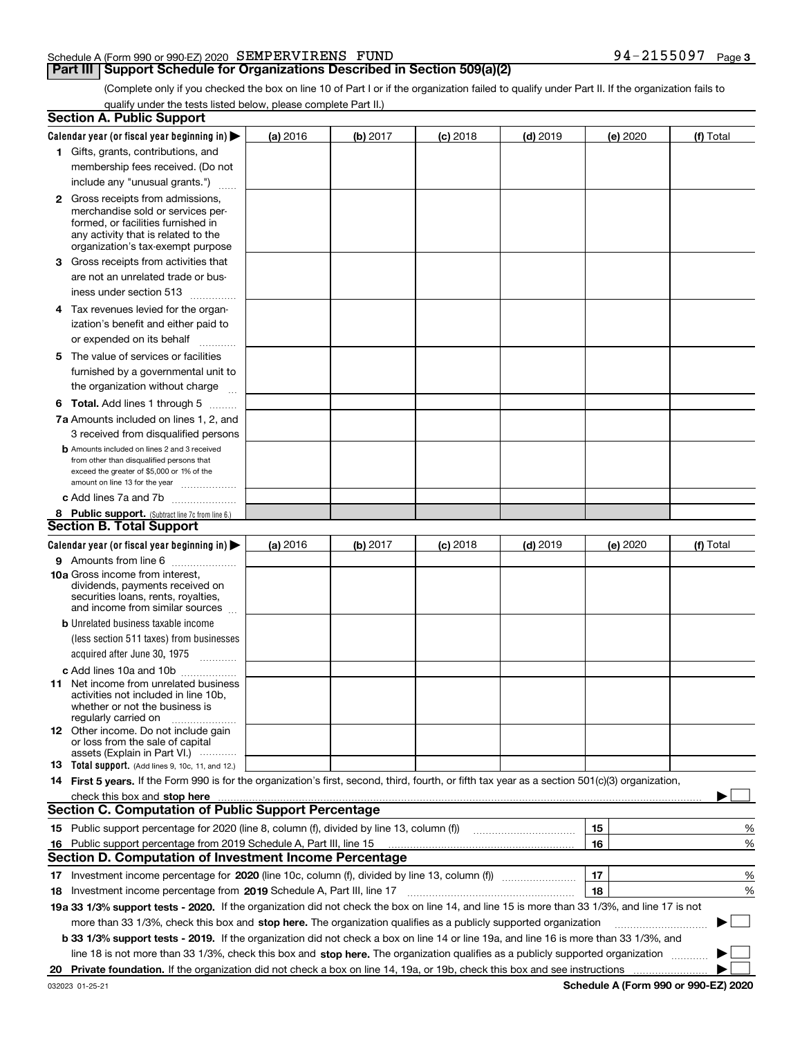### Schedule A (Form 990 or 990-EZ) 2020 Page SEMPERVIRENS FUND 94-2155097

## **Part III Support Schedule for Organizations Described in Section 509(a)(2)**

**3**

(Complete only if you checked the box on line 10 of Part I or if the organization failed to qualify under Part II. If the organization fails to qualify under the tests listed below, please complete Part II.)

|     | <b>Section A. Public Support</b>                                                                                                                                                                                               |          |          |            |            |          |           |
|-----|--------------------------------------------------------------------------------------------------------------------------------------------------------------------------------------------------------------------------------|----------|----------|------------|------------|----------|-----------|
|     | Calendar year (or fiscal year beginning in) $\blacktriangleright$                                                                                                                                                              | (a) 2016 | (b) 2017 | $(c)$ 2018 | $(d)$ 2019 | (e) 2020 | (f) Total |
|     | 1 Gifts, grants, contributions, and                                                                                                                                                                                            |          |          |            |            |          |           |
|     | membership fees received. (Do not                                                                                                                                                                                              |          |          |            |            |          |           |
|     | include any "unusual grants.")                                                                                                                                                                                                 |          |          |            |            |          |           |
|     | <b>2</b> Gross receipts from admissions,                                                                                                                                                                                       |          |          |            |            |          |           |
|     | merchandise sold or services per-                                                                                                                                                                                              |          |          |            |            |          |           |
|     | formed, or facilities furnished in                                                                                                                                                                                             |          |          |            |            |          |           |
|     | any activity that is related to the<br>organization's tax-exempt purpose                                                                                                                                                       |          |          |            |            |          |           |
|     | 3 Gross receipts from activities that                                                                                                                                                                                          |          |          |            |            |          |           |
|     | are not an unrelated trade or bus-                                                                                                                                                                                             |          |          |            |            |          |           |
|     | iness under section 513                                                                                                                                                                                                        |          |          |            |            |          |           |
|     | 4 Tax revenues levied for the organ-                                                                                                                                                                                           |          |          |            |            |          |           |
|     | ization's benefit and either paid to                                                                                                                                                                                           |          |          |            |            |          |           |
|     | or expended on its behalf                                                                                                                                                                                                      |          |          |            |            |          |           |
|     | .                                                                                                                                                                                                                              |          |          |            |            |          |           |
|     | 5 The value of services or facilities<br>furnished by a governmental unit to                                                                                                                                                   |          |          |            |            |          |           |
|     |                                                                                                                                                                                                                                |          |          |            |            |          |           |
|     | the organization without charge                                                                                                                                                                                                |          |          |            |            |          |           |
|     | <b>6 Total.</b> Add lines 1 through 5                                                                                                                                                                                          |          |          |            |            |          |           |
|     | 7a Amounts included on lines 1, 2, and                                                                                                                                                                                         |          |          |            |            |          |           |
|     | 3 received from disqualified persons                                                                                                                                                                                           |          |          |            |            |          |           |
|     | <b>b</b> Amounts included on lines 2 and 3 received<br>from other than disqualified persons that                                                                                                                               |          |          |            |            |          |           |
|     | exceed the greater of \$5,000 or 1% of the                                                                                                                                                                                     |          |          |            |            |          |           |
|     | amount on line 13 for the year                                                                                                                                                                                                 |          |          |            |            |          |           |
|     | c Add lines 7a and 7b                                                                                                                                                                                                          |          |          |            |            |          |           |
|     | 8 Public support. (Subtract line 7c from line 6.)                                                                                                                                                                              |          |          |            |            |          |           |
|     | <b>Section B. Total Support</b>                                                                                                                                                                                                |          |          |            |            |          |           |
|     | Calendar year (or fiscal year beginning in) $\blacktriangleright$                                                                                                                                                              | (a) 2016 | (b) 2017 | $(c)$ 2018 | $(d)$ 2019 | (e) 2020 | (f) Total |
|     | 9 Amounts from line 6                                                                                                                                                                                                          |          |          |            |            |          |           |
|     | <b>10a</b> Gross income from interest,<br>dividends, payments received on                                                                                                                                                      |          |          |            |            |          |           |
|     | securities loans, rents, royalties,                                                                                                                                                                                            |          |          |            |            |          |           |
|     | and income from similar sources                                                                                                                                                                                                |          |          |            |            |          |           |
|     | <b>b</b> Unrelated business taxable income                                                                                                                                                                                     |          |          |            |            |          |           |
|     | (less section 511 taxes) from businesses                                                                                                                                                                                       |          |          |            |            |          |           |
|     | acquired after June 30, 1975                                                                                                                                                                                                   |          |          |            |            |          |           |
|     | c Add lines 10a and 10b                                                                                                                                                                                                        |          |          |            |            |          |           |
|     | 11 Net income from unrelated business                                                                                                                                                                                          |          |          |            |            |          |           |
|     | activities not included in line 10b,<br>whether or not the business is                                                                                                                                                         |          |          |            |            |          |           |
|     | regularly carried on                                                                                                                                                                                                           |          |          |            |            |          |           |
|     | <b>12</b> Other income. Do not include gain                                                                                                                                                                                    |          |          |            |            |          |           |
|     | or loss from the sale of capital                                                                                                                                                                                               |          |          |            |            |          |           |
|     | assets (Explain in Part VI.)<br>13 Total support. (Add lines 9, 10c, 11, and 12.)                                                                                                                                              |          |          |            |            |          |           |
|     | 14 First 5 years. If the Form 990 is for the organization's first, second, third, fourth, or fifth tax year as a section 501(c)(3) organization,                                                                               |          |          |            |            |          |           |
|     | check this box and stop here measurements and contain the state of the state of the state of the state of the state of the state of the state of the state of the state of the state of the state of the state of the state of |          |          |            |            |          |           |
|     | <b>Section C. Computation of Public Support Percentage</b>                                                                                                                                                                     |          |          |            |            |          |           |
|     |                                                                                                                                                                                                                                |          |          |            |            | 15       | %         |
| 16. | Public support percentage from 2019 Schedule A, Part III, line 15                                                                                                                                                              |          |          |            |            | 16       | %         |
|     | <b>Section D. Computation of Investment Income Percentage</b>                                                                                                                                                                  |          |          |            |            |          |           |
|     | 17 Investment income percentage for 2020 (line 10c, column (f), divided by line 13, column (f))                                                                                                                                |          |          |            |            | 17       | %         |
|     | 18 Investment income percentage from 2019 Schedule A, Part III, line 17                                                                                                                                                        |          |          |            |            | 18       | %         |
|     | 19a 33 1/3% support tests - 2020. If the organization did not check the box on line 14, and line 15 is more than 33 1/3%, and line 17 is not                                                                                   |          |          |            |            |          |           |
|     |                                                                                                                                                                                                                                |          |          |            |            |          | $\sim$    |
|     | more than 33 1/3%, check this box and stop here. The organization qualifies as a publicly supported organization                                                                                                               |          |          |            |            |          | ▶         |
|     | b 33 1/3% support tests - 2019. If the organization did not check a box on line 14 or line 19a, and line 16 is more than 33 1/3%, and                                                                                          |          |          |            |            |          |           |
|     | line 18 is not more than 33 1/3%, check this box and stop here. The organization qualifies as a publicly supported organization                                                                                                |          |          |            |            |          |           |
| 20  |                                                                                                                                                                                                                                |          |          |            |            |          |           |

**Schedule A (Form 990 or 990-EZ) 2020**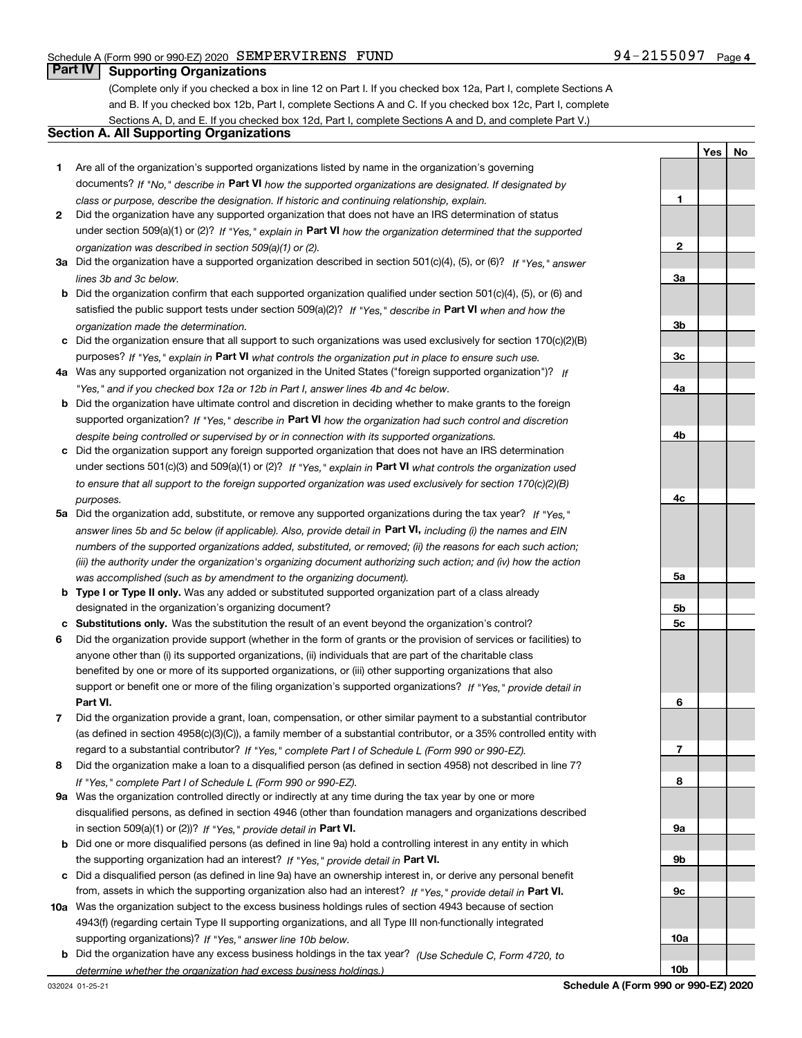**1**

**YesNo**

# **Part IV Supporting Organizations**

(Complete only if you checked a box in line 12 on Part I. If you checked box 12a, Part I, complete Sections A and B. If you checked box 12b, Part I, complete Sections A and C. If you checked box 12c, Part I, complete Sections A, D, and E. If you checked box 12d, Part I, complete Sections A and D, and complete Part V.)

## **Section A. All Supporting Organizations**

- **1** Are all of the organization's supported organizations listed by name in the organization's governing documents? If "No," describe in **Part VI** how the supported organizations are designated. If designated by *class or purpose, describe the designation. If historic and continuing relationship, explain.*
- **2** Did the organization have any supported organization that does not have an IRS determination of status under section 509(a)(1) or (2)? If "Yes," explain in Part VI how the organization determined that the supported *organization was described in section 509(a)(1) or (2).*
- **3a** Did the organization have a supported organization described in section 501(c)(4), (5), or (6)? If "Yes," answer *lines 3b and 3c below.*
- **b** Did the organization confirm that each supported organization qualified under section 501(c)(4), (5), or (6) and satisfied the public support tests under section 509(a)(2)? If "Yes," describe in **Part VI** when and how the *organization made the determination.*
- **c**Did the organization ensure that all support to such organizations was used exclusively for section 170(c)(2)(B) purposes? If "Yes," explain in **Part VI** what controls the organization put in place to ensure such use.
- **4a***If* Was any supported organization not organized in the United States ("foreign supported organization")? *"Yes," and if you checked box 12a or 12b in Part I, answer lines 4b and 4c below.*
- **b** Did the organization have ultimate control and discretion in deciding whether to make grants to the foreign supported organization? If "Yes," describe in **Part VI** how the organization had such control and discretion *despite being controlled or supervised by or in connection with its supported organizations.*
- **c** Did the organization support any foreign supported organization that does not have an IRS determination under sections 501(c)(3) and 509(a)(1) or (2)? If "Yes," explain in **Part VI** what controls the organization used *to ensure that all support to the foreign supported organization was used exclusively for section 170(c)(2)(B) purposes.*
- **5a***If "Yes,"* Did the organization add, substitute, or remove any supported organizations during the tax year? answer lines 5b and 5c below (if applicable). Also, provide detail in **Part VI,** including (i) the names and EIN *numbers of the supported organizations added, substituted, or removed; (ii) the reasons for each such action; (iii) the authority under the organization's organizing document authorizing such action; and (iv) how the action was accomplished (such as by amendment to the organizing document).*
- **b** Type I or Type II only. Was any added or substituted supported organization part of a class already designated in the organization's organizing document?
- **cSubstitutions only.**  Was the substitution the result of an event beyond the organization's control?
- **6** Did the organization provide support (whether in the form of grants or the provision of services or facilities) to **Part VI.** *If "Yes," provide detail in* support or benefit one or more of the filing organization's supported organizations? anyone other than (i) its supported organizations, (ii) individuals that are part of the charitable class benefited by one or more of its supported organizations, or (iii) other supporting organizations that also
- **7**Did the organization provide a grant, loan, compensation, or other similar payment to a substantial contributor *If "Yes," complete Part I of Schedule L (Form 990 or 990-EZ).* regard to a substantial contributor? (as defined in section 4958(c)(3)(C)), a family member of a substantial contributor, or a 35% controlled entity with
- **8** Did the organization make a loan to a disqualified person (as defined in section 4958) not described in line 7? *If "Yes," complete Part I of Schedule L (Form 990 or 990-EZ).*
- **9a** Was the organization controlled directly or indirectly at any time during the tax year by one or more in section 509(a)(1) or (2))? If "Yes," *provide detail in* <code>Part VI.</code> disqualified persons, as defined in section 4946 (other than foundation managers and organizations described
- **b** Did one or more disqualified persons (as defined in line 9a) hold a controlling interest in any entity in which the supporting organization had an interest? If "Yes," provide detail in P**art VI**.
- **c**Did a disqualified person (as defined in line 9a) have an ownership interest in, or derive any personal benefit from, assets in which the supporting organization also had an interest? If "Yes," provide detail in P**art VI.**
- **10a** Was the organization subject to the excess business holdings rules of section 4943 because of section supporting organizations)? If "Yes," answer line 10b below. 4943(f) (regarding certain Type II supporting organizations, and all Type III non-functionally integrated
- **b** Did the organization have any excess business holdings in the tax year? (Use Schedule C, Form 4720, to *determine whether the organization had excess business holdings.)*

**23a3b3c4a4b4c5a5b5c6789a 9b9c**

**10a**

**10b**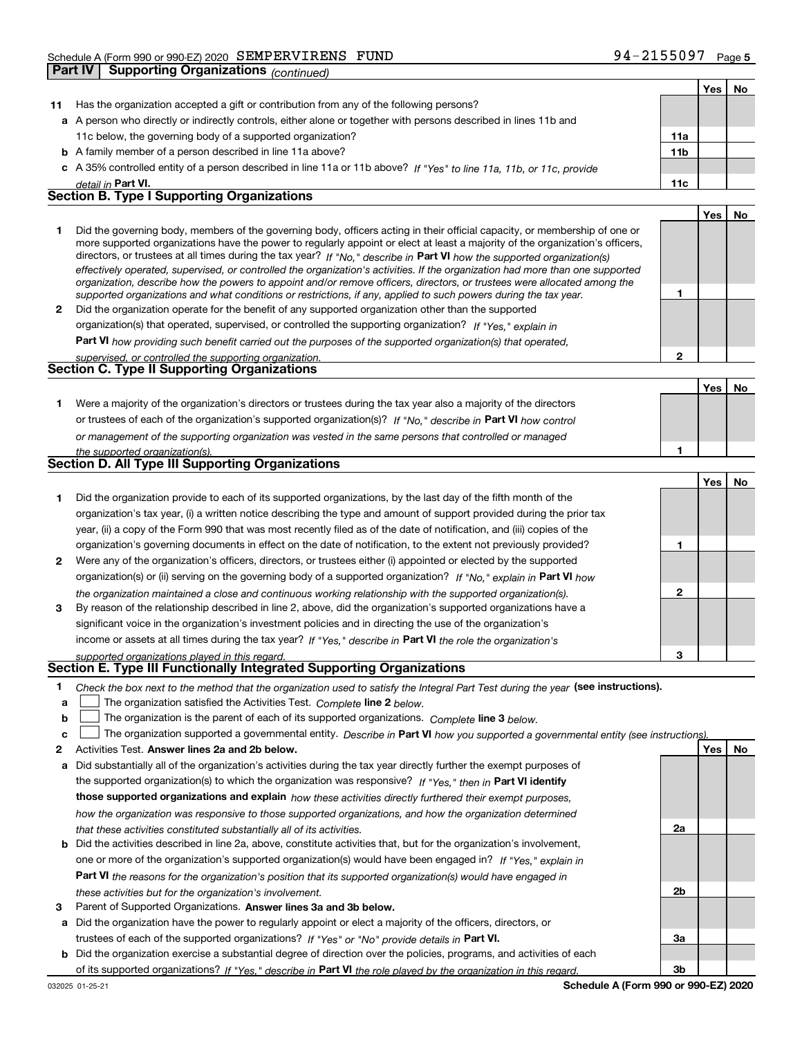|    | Supporting Organizations <sub>(continued)</sub><br>  Part IV                                                                                                                                                                                                                                                                                                                           |                 |     |    |
|----|----------------------------------------------------------------------------------------------------------------------------------------------------------------------------------------------------------------------------------------------------------------------------------------------------------------------------------------------------------------------------------------|-----------------|-----|----|
|    |                                                                                                                                                                                                                                                                                                                                                                                        |                 | Yes | No |
| 11 | Has the organization accepted a gift or contribution from any of the following persons?                                                                                                                                                                                                                                                                                                |                 |     |    |
|    | a A person who directly or indirectly controls, either alone or together with persons described in lines 11b and                                                                                                                                                                                                                                                                       |                 |     |    |
|    | 11c below, the governing body of a supported organization?                                                                                                                                                                                                                                                                                                                             | 11a             |     |    |
|    | <b>b</b> A family member of a person described in line 11a above?                                                                                                                                                                                                                                                                                                                      | 11 <sub>b</sub> |     |    |
|    | c A 35% controlled entity of a person described in line 11a or 11b above? If "Yes" to line 11a, 11b, or 11c, provide                                                                                                                                                                                                                                                                   |                 |     |    |
|    | detail in Part VI.                                                                                                                                                                                                                                                                                                                                                                     | 11c             |     |    |
|    | <b>Section B. Type I Supporting Organizations</b>                                                                                                                                                                                                                                                                                                                                      |                 |     |    |
|    |                                                                                                                                                                                                                                                                                                                                                                                        |                 | Yes | No |
| 1  | Did the governing body, members of the governing body, officers acting in their official capacity, or membership of one or<br>more supported organizations have the power to regularly appoint or elect at least a majority of the organization's officers,<br>directors, or trustees at all times during the tax year? If "No," describe in Part VI how the supported organization(s) |                 |     |    |
|    | effectively operated, supervised, or controlled the organization's activities. If the organization had more than one supported<br>organization, describe how the powers to appoint and/or remove officers, directors, or trustees were allocated among the                                                                                                                             |                 |     |    |
|    | supported organizations and what conditions or restrictions, if any, applied to such powers during the tax year.                                                                                                                                                                                                                                                                       | 1               |     |    |
| 2  | Did the organization operate for the benefit of any supported organization other than the supported                                                                                                                                                                                                                                                                                    |                 |     |    |
|    | organization(s) that operated, supervised, or controlled the supporting organization? If "Yes," explain in                                                                                                                                                                                                                                                                             |                 |     |    |
|    | Part VI how providing such benefit carried out the purposes of the supported organization(s) that operated,                                                                                                                                                                                                                                                                            |                 |     |    |
|    | supervised, or controlled the supporting organization.                                                                                                                                                                                                                                                                                                                                 | $\overline{2}$  |     |    |
|    | Section C. Type II Supporting Organizations                                                                                                                                                                                                                                                                                                                                            |                 |     |    |
|    |                                                                                                                                                                                                                                                                                                                                                                                        |                 | Yes | No |
| 1. | Were a majority of the organization's directors or trustees during the tax year also a majority of the directors                                                                                                                                                                                                                                                                       |                 |     |    |
|    | or trustees of each of the organization's supported organization(s)? If "No," describe in Part VI how control                                                                                                                                                                                                                                                                          |                 |     |    |
|    | or management of the supporting organization was vested in the same persons that controlled or managed                                                                                                                                                                                                                                                                                 |                 |     |    |
|    | the supported organization(s).                                                                                                                                                                                                                                                                                                                                                         | 1               |     |    |
|    | Section D. All Type III Supporting Organizations                                                                                                                                                                                                                                                                                                                                       |                 |     |    |
|    |                                                                                                                                                                                                                                                                                                                                                                                        |                 | Yes | No |
| 1. | Did the organization provide to each of its supported organizations, by the last day of the fifth month of the                                                                                                                                                                                                                                                                         |                 |     |    |
|    | organization's tax year, (i) a written notice describing the type and amount of support provided during the prior tax                                                                                                                                                                                                                                                                  |                 |     |    |
|    | year, (ii) a copy of the Form 990 that was most recently filed as of the date of notification, and (iii) copies of the                                                                                                                                                                                                                                                                 |                 |     |    |
|    | organization's governing documents in effect on the date of notification, to the extent not previously provided?                                                                                                                                                                                                                                                                       | 1               |     |    |
| 2  | Were any of the organization's officers, directors, or trustees either (i) appointed or elected by the supported                                                                                                                                                                                                                                                                       |                 |     |    |
|    | organization(s) or (ii) serving on the governing body of a supported organization? If "No," explain in Part VI how                                                                                                                                                                                                                                                                     |                 |     |    |
| 3  | the organization maintained a close and continuous working relationship with the supported organization(s).<br>By reason of the relationship described in line 2, above, did the organization's supported organizations have a                                                                                                                                                         | 2               |     |    |
|    | significant voice in the organization's investment policies and in directing the use of the organization's                                                                                                                                                                                                                                                                             |                 |     |    |
|    | income or assets at all times during the tax year? If "Yes," describe in Part VI the role the organization's                                                                                                                                                                                                                                                                           |                 |     |    |
|    | supported organizations played in this regard.                                                                                                                                                                                                                                                                                                                                         |                 |     |    |
|    | Section E. Type III Functionally Integrated Supporting Organizations                                                                                                                                                                                                                                                                                                                   |                 |     |    |
| 1  | Check the box next to the method that the organization used to satisfy the Integral Part Test during the year (see instructions).                                                                                                                                                                                                                                                      |                 |     |    |
| a  | The organization satisfied the Activities Test. Complete line 2 below.                                                                                                                                                                                                                                                                                                                 |                 |     |    |
| b  | The organization is the parent of each of its supported organizations. Complete line 3 below.                                                                                                                                                                                                                                                                                          |                 |     |    |
| c  | The organization supported a governmental entity. Describe in Part VI how you supported a governmental entity (see instructions)                                                                                                                                                                                                                                                       |                 |     |    |
| 2  | Activities Test. Answer lines 2a and 2b below.                                                                                                                                                                                                                                                                                                                                         |                 | Yes | No |
| а  | Did substantially all of the organization's activities during the tax year directly further the exempt purposes of                                                                                                                                                                                                                                                                     |                 |     |    |
|    | the supported organization(s) to which the organization was responsive? If "Yes." then in Part VI identify                                                                                                                                                                                                                                                                             |                 |     |    |
|    | those supported erganizations and evolution boundary settimizes                                                                                                                                                                                                                                                                                                                        |                 |     |    |

**b** Did the activities described in line 2a, above, constitute activities that, but for the organization's involvement, **those supported organizations and explain**  *how these activities directly furthered their exempt purposes, how the organization was responsive to those supported organizations, and how the organization determined that these activities constituted substantially all of its activities.* one or more of the organization's supported organization(s) would have been engaged in? If "Yes," e*xplain in* 

# **Part VI**  *the reasons for the organization's position that its supported organization(s) would have engaged in these activities but for the organization's involvement.*

**3** Parent of Supported Organizations. Answer lines 3a and 3b below.

**a** Did the organization have the power to regularly appoint or elect a majority of the officers, directors, or trustees of each of the supported organizations? If "Yes" or "No" provide details in **Part VI.** 

**b** Did the organization exercise a substantial degree of direction over the policies, programs, and activities of each of its supported organizations? If "Yes," describe in Part VI the role played by the organization in this regard.

**2a**

**2b**

**3a**

**3b**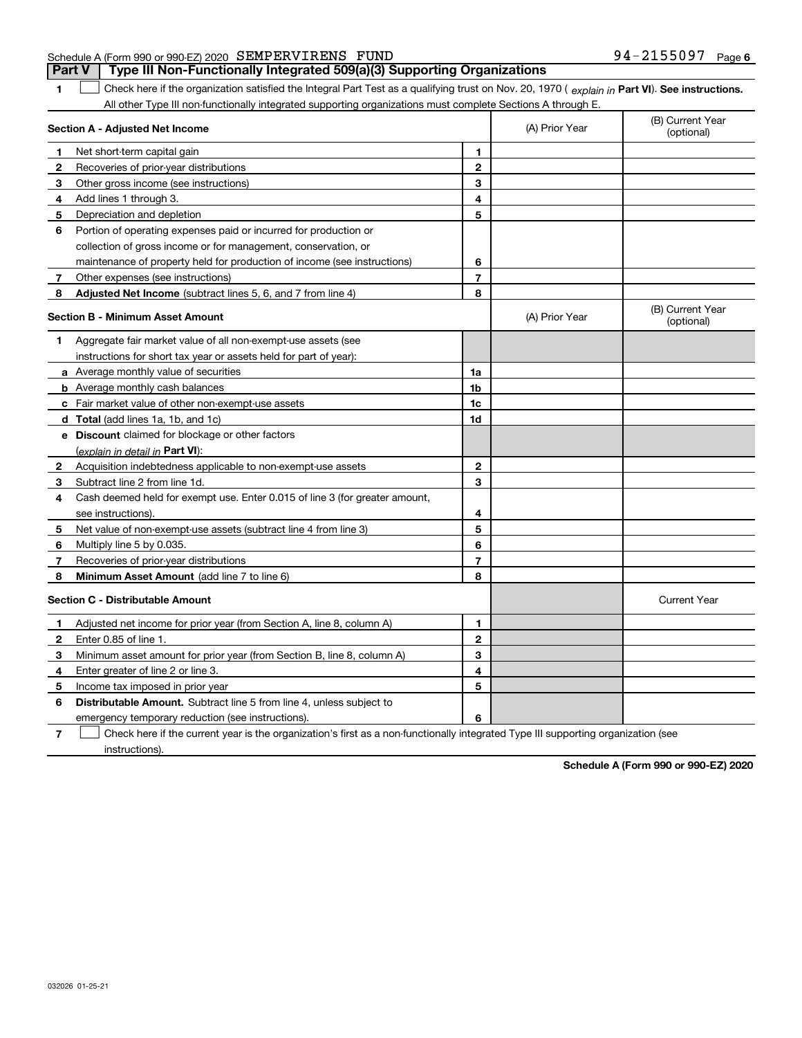|   | All other Type III non-functionally integrated supporting organizations must complete Sections A through E. |                |                |                                |
|---|-------------------------------------------------------------------------------------------------------------|----------------|----------------|--------------------------------|
|   | Section A - Adjusted Net Income                                                                             |                | (A) Prior Year | (B) Current Year<br>(optional) |
| 1 | Net short-term capital gain                                                                                 | 1.             |                |                                |
| 2 | Recoveries of prior-year distributions                                                                      | $\mathbf 2$    |                |                                |
| 3 | Other gross income (see instructions)                                                                       | 3              |                |                                |
| 4 | Add lines 1 through 3.                                                                                      | 4              |                |                                |
| 5 | Depreciation and depletion                                                                                  | 5              |                |                                |
| 6 | Portion of operating expenses paid or incurred for production or                                            |                |                |                                |
|   | collection of gross income or for management, conservation, or                                              |                |                |                                |
|   | maintenance of property held for production of income (see instructions)                                    | 6              |                |                                |
| 7 | Other expenses (see instructions)                                                                           | $\overline{7}$ |                |                                |
| 8 | Adjusted Net Income (subtract lines 5, 6, and 7 from line 4)                                                | 8              |                |                                |
|   | Section B - Minimum Asset Amount                                                                            |                | (A) Prior Year | (B) Current Year<br>(optional) |
| 1 | Aggregate fair market value of all non-exempt-use assets (see                                               |                |                |                                |
|   | instructions for short tax year or assets held for part of year):                                           |                |                |                                |
|   | a Average monthly value of securities                                                                       | 1a             |                |                                |
|   | <b>b</b> Average monthly cash balances                                                                      | 1 <sub>b</sub> |                |                                |
|   | c Fair market value of other non-exempt-use assets                                                          | 1c             |                |                                |
|   | d Total (add lines 1a, 1b, and 1c)                                                                          | 1d             |                |                                |
|   | e Discount claimed for blockage or other factors                                                            |                |                |                                |
|   | (explain in detail in Part VI):                                                                             |                |                |                                |
| 2 | Acquisition indebtedness applicable to non-exempt-use assets                                                | $\mathbf{2}$   |                |                                |
| 3 | Subtract line 2 from line 1d.                                                                               | 3              |                |                                |
| 4 | Cash deemed held for exempt use. Enter 0.015 of line 3 (for greater amount,                                 |                |                |                                |
|   | see instructions)                                                                                           | 4              |                |                                |
| 5 | Net value of non-exempt-use assets (subtract line 4 from line 3)                                            | 5              |                |                                |
| 6 | Multiply line 5 by 0.035.                                                                                   | 6              |                |                                |
| 7 | Recoveries of prior-year distributions                                                                      | $\overline{7}$ |                |                                |
| 8 | <b>Minimum Asset Amount</b> (add line 7 to line 6)                                                          | 8              |                |                                |
|   | <b>Section C - Distributable Amount</b>                                                                     |                |                | <b>Current Year</b>            |
| 1 | Adjusted net income for prior year (from Section A, line 8, column A)                                       | $\blacksquare$ |                |                                |
| 2 | Enter 0.85 of line 1.                                                                                       | $\mathbf{2}$   |                |                                |
| 3 | Minimum asset amount for prior year (from Section B, line 8, column A)                                      | 3              |                |                                |
| 4 | Enter greater of line 2 or line 3.                                                                          | 4              |                |                                |
| 5 | Income tax imposed in prior year                                                                            | 5              |                |                                |
| 6 | <b>Distributable Amount.</b> Subtract line 5 from line 4, unless subject to                                 |                |                |                                |
|   | emergency temporary reduction (see instructions).                                                           | 6              |                |                                |

Check here if the current year is the organization's first as a non-functionally integrated Type III supporting organization (see

**1**

1 Check here if the organization satisfied the Integral Part Test as a qualifying trust on Nov. 20, 1970 (explain in Part VI). See instructions. **Part V Type III Non-Functionally Integrated 509(a)(3) Supporting Organizations** 

**6** Schedule A (Form 990 or 990-EZ) 2020 Page SEMPERVIRENS FUND 94-2155097

instructions).

**7**

**Schedule A (Form 990 or 990-EZ) 2020**

**6**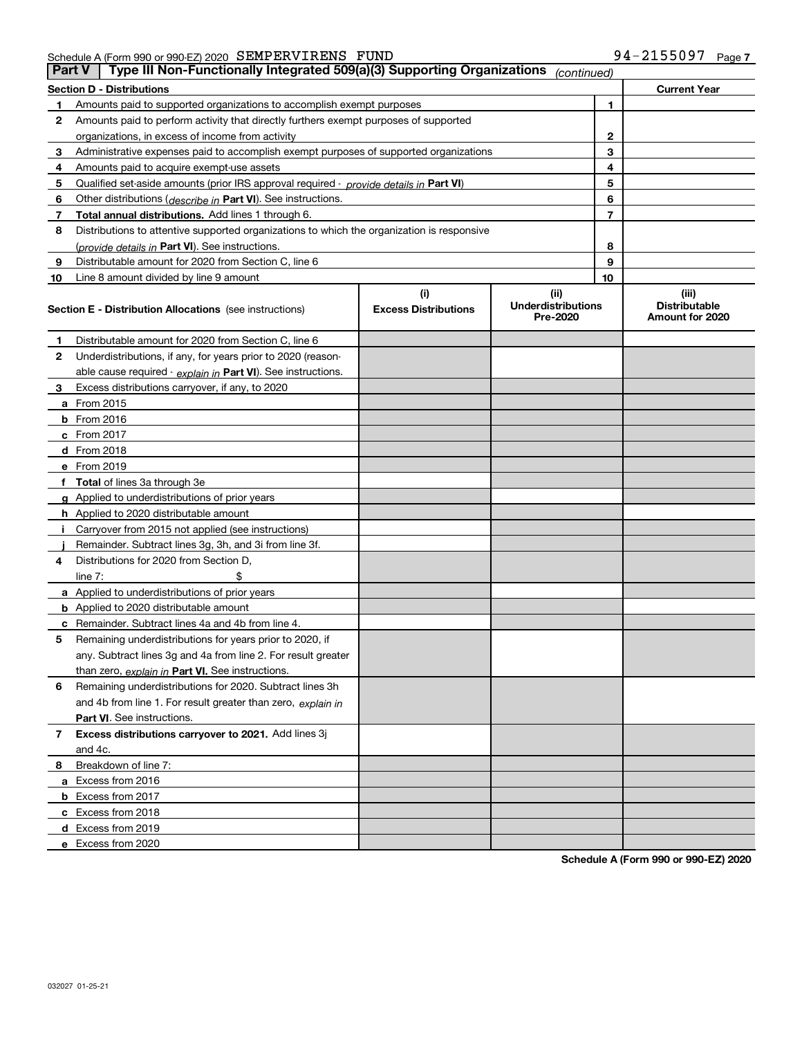Schedule A (Form 990 or 990-EZ) 2020 Page SEMPERVIRENS FUND 94-2155097

| <b>Part V</b> | Type III Non-Functionally Integrated 509(a)(3) Supporting Organizations                    |                             | (continued)                           |                                         |  |  |  |
|---------------|--------------------------------------------------------------------------------------------|-----------------------------|---------------------------------------|-----------------------------------------|--|--|--|
|               | <b>Section D - Distributions</b><br><b>Current Year</b>                                    |                             |                                       |                                         |  |  |  |
| 1             | Amounts paid to supported organizations to accomplish exempt purposes                      |                             | 1                                     |                                         |  |  |  |
| 2             | Amounts paid to perform activity that directly furthers exempt purposes of supported       |                             |                                       |                                         |  |  |  |
|               | organizations, in excess of income from activity                                           | $\mathbf{2}$                |                                       |                                         |  |  |  |
| 3             | Administrative expenses paid to accomplish exempt purposes of supported organizations      | 3                           |                                       |                                         |  |  |  |
| 4             | Amounts paid to acquire exempt-use assets                                                  |                             | 4                                     |                                         |  |  |  |
| 5             | Qualified set-aside amounts (prior IRS approval required - provide details in Part VI)     |                             | 5                                     |                                         |  |  |  |
| 6             | Other distributions ( <i>describe in</i> Part VI). See instructions.                       |                             | 6                                     |                                         |  |  |  |
| 7             | Total annual distributions. Add lines 1 through 6.                                         |                             | $\overline{7}$                        |                                         |  |  |  |
| 8             | Distributions to attentive supported organizations to which the organization is responsive |                             |                                       |                                         |  |  |  |
|               | (provide details in Part VI). See instructions.                                            |                             | 8                                     |                                         |  |  |  |
| 9             | Distributable amount for 2020 from Section C, line 6                                       |                             | 9                                     |                                         |  |  |  |
| 10            | Line 8 amount divided by line 9 amount                                                     |                             | 10                                    |                                         |  |  |  |
|               |                                                                                            | (i)                         | (ii)                                  | (iii)                                   |  |  |  |
|               | <b>Section E - Distribution Allocations</b> (see instructions)                             | <b>Excess Distributions</b> | <b>Underdistributions</b><br>Pre-2020 | <b>Distributable</b><br>Amount for 2020 |  |  |  |
| 1             | Distributable amount for 2020 from Section C, line 6                                       |                             |                                       |                                         |  |  |  |
| 2             | Underdistributions, if any, for years prior to 2020 (reason-                               |                             |                                       |                                         |  |  |  |
|               | able cause required - explain in Part VI). See instructions.                               |                             |                                       |                                         |  |  |  |
| 3             | Excess distributions carryover, if any, to 2020                                            |                             |                                       |                                         |  |  |  |
|               | a From 2015                                                                                |                             |                                       |                                         |  |  |  |
|               | <b>b</b> From 2016                                                                         |                             |                                       |                                         |  |  |  |
|               | $c$ From 2017                                                                              |                             |                                       |                                         |  |  |  |
|               | d From 2018                                                                                |                             |                                       |                                         |  |  |  |
|               | e From 2019                                                                                |                             |                                       |                                         |  |  |  |
|               | f Total of lines 3a through 3e                                                             |                             |                                       |                                         |  |  |  |
|               | g Applied to underdistributions of prior years                                             |                             |                                       |                                         |  |  |  |
|               | <b>h</b> Applied to 2020 distributable amount                                              |                             |                                       |                                         |  |  |  |
|               | Carryover from 2015 not applied (see instructions)                                         |                             |                                       |                                         |  |  |  |
|               | Remainder. Subtract lines 3g, 3h, and 3i from line 3f.                                     |                             |                                       |                                         |  |  |  |
| 4             | Distributions for 2020 from Section D,                                                     |                             |                                       |                                         |  |  |  |
|               | line $7:$                                                                                  |                             |                                       |                                         |  |  |  |
|               | a Applied to underdistributions of prior years                                             |                             |                                       |                                         |  |  |  |
|               | <b>b</b> Applied to 2020 distributable amount                                              |                             |                                       |                                         |  |  |  |
|               | c Remainder. Subtract lines 4a and 4b from line 4.                                         |                             |                                       |                                         |  |  |  |
| 5.            | Remaining underdistributions for years prior to 2020, if                                   |                             |                                       |                                         |  |  |  |
|               | any. Subtract lines 3g and 4a from line 2. For result greater                              |                             |                                       |                                         |  |  |  |
|               | than zero, explain in Part VI. See instructions.                                           |                             |                                       |                                         |  |  |  |
| 6             | Remaining underdistributions for 2020. Subtract lines 3h                                   |                             |                                       |                                         |  |  |  |
|               | and 4b from line 1. For result greater than zero, explain in                               |                             |                                       |                                         |  |  |  |
|               | Part VI. See instructions.                                                                 |                             |                                       |                                         |  |  |  |
| 7             | Excess distributions carryover to 2021. Add lines 3j                                       |                             |                                       |                                         |  |  |  |
|               | and 4c.                                                                                    |                             |                                       |                                         |  |  |  |
| 8             | Breakdown of line 7:                                                                       |                             |                                       |                                         |  |  |  |
|               | a Excess from 2016                                                                         |                             |                                       |                                         |  |  |  |
|               | <b>b</b> Excess from 2017                                                                  |                             |                                       |                                         |  |  |  |
|               | c Excess from 2018                                                                         |                             |                                       |                                         |  |  |  |
|               | d Excess from 2019                                                                         |                             |                                       |                                         |  |  |  |
|               | e Excess from 2020                                                                         |                             |                                       |                                         |  |  |  |

**Schedule A (Form 990 or 990-EZ) 2020**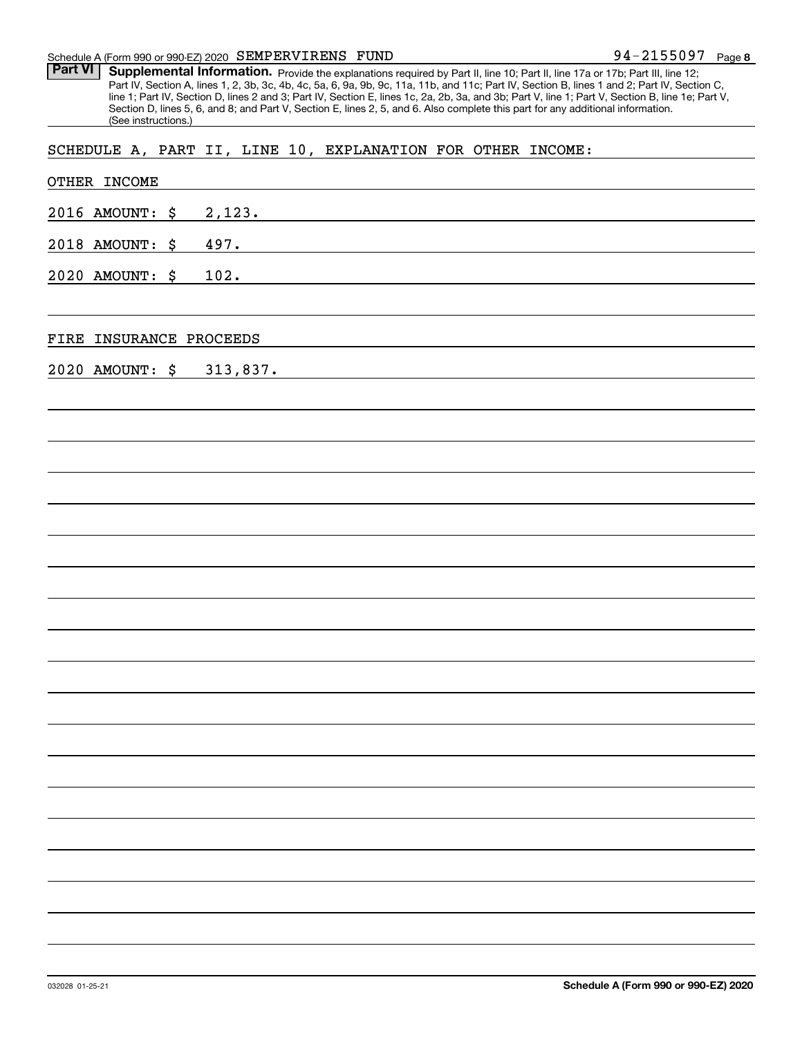Schedule A (Form 990 or 990-EZ) 2020 Page SEMPERVIRENS FUND

Part VI | Supplemental Information. Provide the explanations required by Part II, line 10; Part II, line 17a or 17b; Part III, line 12; Part IV, Section A, lines 1, 2, 3b, 3c, 4b, 4c, 5a, 6, 9a, 9b, 9c, 11a, 11b, and 11c; Part IV, Section B, lines 1 and 2; Part IV, Section C, line 1; Part IV, Section D, lines 2 and 3; Part IV, Section E, lines 1c, 2a, 2b, 3a, and 3b; Part V, line 1; Part V, Section B, line 1e; Part V, Section D, lines 5, 6, and 8; and Part V, Section E, lines 2, 5, and 6. Also complete this part for any additional information. (See instructions.)

SCHEDULE A, PART II, LINE 10, EXPLANATION FOR OTHER INCOME:

| 2016 AMOUNT: \$2,123.    |
|--------------------------|
| 2018 AMOUNT: \$ 497.     |
| 2020 AMOUNT: \$ 102.     |
|                          |
| FIRE INSURANCE PROCEEDS  |
| 2020 AMOUNT: \$ 313,837. |
|                          |
|                          |
|                          |
|                          |
|                          |
|                          |
|                          |
|                          |
|                          |
|                          |
|                          |
|                          |
|                          |
|                          |
|                          |
|                          |
|                          |
|                          |
|                          |
|                          |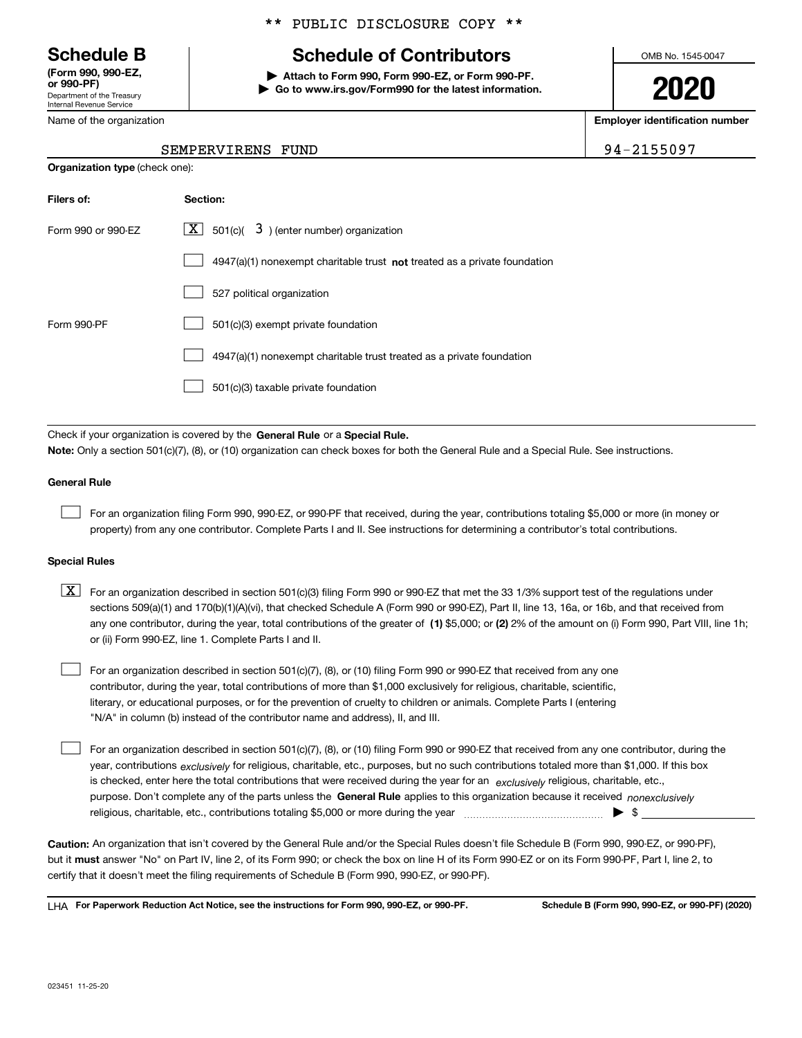Department of the Treasury Internal Revenue Service **(Form 990, 990-EZ, or 990-PF)**

Name of the organization

## \*\* PUBLIC DISCLOSURE COPY \*\*

# **Schedule B Schedule of Contributors**

**| Attach to Form 990, Form 990-EZ, or Form 990-PF. | Go to www.irs.gov/Form990 for the latest information.** OMB No. 1545-0047

**2020**

**Employer identification number**

94-2155097

| <b>Organization type (check one):</b> |                                                                                    |  |  |  |  |  |  |
|---------------------------------------|------------------------------------------------------------------------------------|--|--|--|--|--|--|
| Filers of:                            | Section:                                                                           |  |  |  |  |  |  |
| Form 990 or 990-EZ                    | $\underline{\mathbf{X}}$ 501(c)( $3$ ) (enter number) organization                 |  |  |  |  |  |  |
|                                       | $4947(a)(1)$ nonexempt charitable trust <b>not</b> treated as a private foundation |  |  |  |  |  |  |
|                                       | 527 political organization                                                         |  |  |  |  |  |  |
| Form 990-PF                           | 501(c)(3) exempt private foundation                                                |  |  |  |  |  |  |
|                                       | 4947(a)(1) nonexempt charitable trust treated as a private foundation              |  |  |  |  |  |  |
|                                       | 501(c)(3) taxable private foundation                                               |  |  |  |  |  |  |

Check if your organization is covered by the **General Rule** or a **Special Rule. Note:**  Only a section 501(c)(7), (8), or (10) organization can check boxes for both the General Rule and a Special Rule. See instructions.

## **General Rule**

 $\mathcal{L}^{\text{max}}$ 

For an organization filing Form 990, 990-EZ, or 990-PF that received, during the year, contributions totaling \$5,000 or more (in money or property) from any one contributor. Complete Parts I and II. See instructions for determining a contributor's total contributions.

### **Special Rules**

any one contributor, during the year, total contributions of the greater of  $\,$  (1) \$5,000; or **(2)** 2% of the amount on (i) Form 990, Part VIII, line 1h;  $\boxed{\textbf{X}}$  For an organization described in section 501(c)(3) filing Form 990 or 990-EZ that met the 33 1/3% support test of the regulations under sections 509(a)(1) and 170(b)(1)(A)(vi), that checked Schedule A (Form 990 or 990-EZ), Part II, line 13, 16a, or 16b, and that received from or (ii) Form 990-EZ, line 1. Complete Parts I and II.

For an organization described in section 501(c)(7), (8), or (10) filing Form 990 or 990-EZ that received from any one contributor, during the year, total contributions of more than \$1,000 exclusively for religious, charitable, scientific, literary, or educational purposes, or for the prevention of cruelty to children or animals. Complete Parts I (entering "N/A" in column (b) instead of the contributor name and address), II, and III.  $\mathcal{L}^{\text{max}}$ 

purpose. Don't complete any of the parts unless the **General Rule** applies to this organization because it received *nonexclusively* year, contributions <sub>exclusively</sub> for religious, charitable, etc., purposes, but no such contributions totaled more than \$1,000. If this box is checked, enter here the total contributions that were received during the year for an  $\;$ exclusively religious, charitable, etc., For an organization described in section 501(c)(7), (8), or (10) filing Form 990 or 990-EZ that received from any one contributor, during the religious, charitable, etc., contributions totaling \$5,000 or more during the year  $\Box$ — $\Box$   $\Box$  $\mathcal{L}^{\text{max}}$ 

**Caution:**  An organization that isn't covered by the General Rule and/or the Special Rules doesn't file Schedule B (Form 990, 990-EZ, or 990-PF),  **must** but it answer "No" on Part IV, line 2, of its Form 990; or check the box on line H of its Form 990-EZ or on its Form 990-PF, Part I, line 2, to certify that it doesn't meet the filing requirements of Schedule B (Form 990, 990-EZ, or 990-PF).

**For Paperwork Reduction Act Notice, see the instructions for Form 990, 990-EZ, or 990-PF. Schedule B (Form 990, 990-EZ, or 990-PF) (2020)** LHA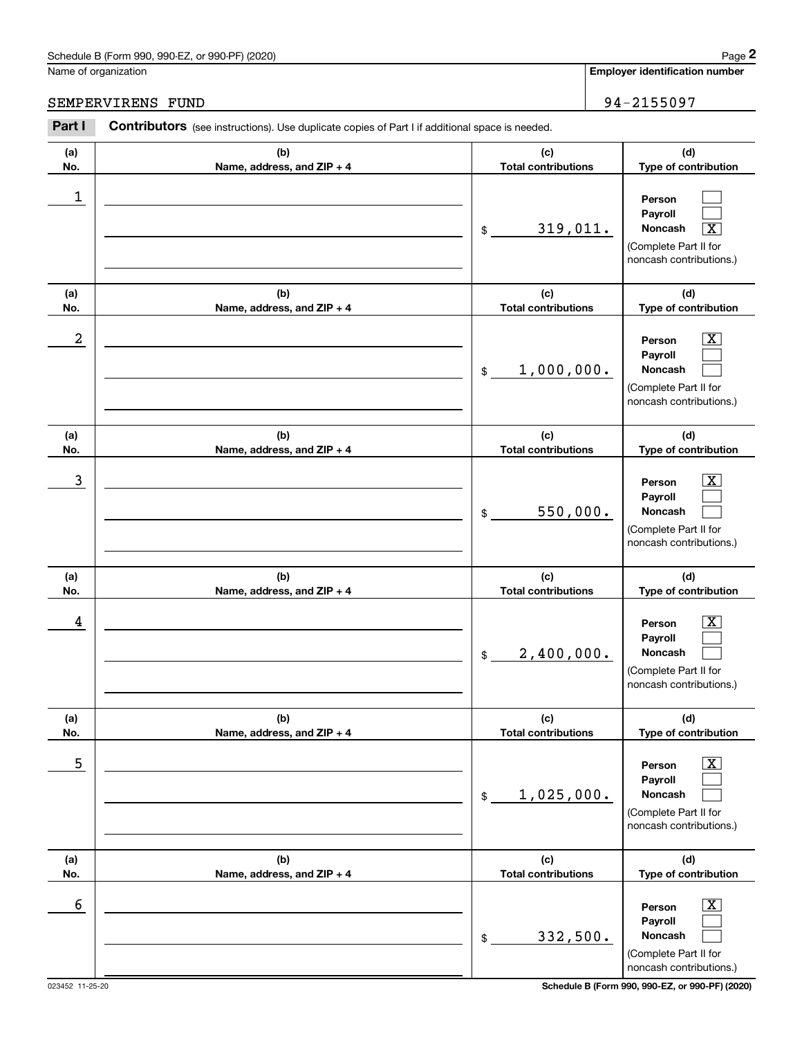# Schedule B (Form 990, 990-EZ, or 990-PF) (2020) Page 2

|            | Schedule B (Form 990, 990-EZ, or 990-PF) (2020)                                                       |                                   | Page 2                                                                                                      |
|------------|-------------------------------------------------------------------------------------------------------|-----------------------------------|-------------------------------------------------------------------------------------------------------------|
|            | Name of organization                                                                                  |                                   | <b>Employer identification number</b>                                                                       |
|            | SEMPERVIRENS FUND                                                                                     |                                   | 94-2155097                                                                                                  |
| Part I     | <b>Contributors</b> (see instructions). Use duplicate copies of Part I if additional space is needed. |                                   |                                                                                                             |
| (a)<br>No. | (b)<br>Name, address, and ZIP + 4                                                                     | (c)<br><b>Total contributions</b> | (d)<br>Type of contribution                                                                                 |
| 1          |                                                                                                       | 319,011.<br>\$                    | Person<br>Payroll<br>Noncash<br>$\overline{\texttt{X}}$<br>(Complete Part II for<br>noncash contributions.) |
| (a)<br>No. | (b)<br>Name, address, and ZIP + 4                                                                     | (c)<br><b>Total contributions</b> | (d)<br>Type of contribution                                                                                 |
| 2          |                                                                                                       | 1,000,000.<br>\$                  | $\overline{\text{X}}$<br>Person<br>Payroll<br>Noncash<br>(Complete Part II for<br>noncash contributions.)   |
| (a)<br>No. | (b)<br>Name, address, and ZIP + 4                                                                     | (c)<br><b>Total contributions</b> | (d)<br>Type of contribution                                                                                 |
| 3          |                                                                                                       | 550,000.<br>\$                    | X<br>Person<br>Payroll<br>Noncash<br>(Complete Part II for<br>noncash contributions.)                       |
| (a)<br>No. | (b)<br>Name, address, and ZIP + 4                                                                     | (c)<br><b>Total contributions</b> | (d)<br>Type of contribution                                                                                 |
| 4          |                                                                                                       | 2,400,000.<br>\$                  | $\overline{\text{X}}$<br>Person<br>Payroll<br>Noncash<br>(Complete Part II for<br>noncash contributions.)   |
| (a)<br>No. | (b)<br>Name, address, and ZIP + 4                                                                     | (c)<br><b>Total contributions</b> | (d)<br>Type of contribution                                                                                 |
| 5          |                                                                                                       | 1,025,000.<br>\$                  | $\overline{\mathbf{X}}$<br>Person<br>Payroll<br>Noncash<br>(Complete Part II for<br>noncash contributions.) |
| (a)<br>No. | (b)<br>Name, address, and ZIP + 4                                                                     | (c)<br><b>Total contributions</b> | (d)<br>Type of contribution                                                                                 |
| 6          |                                                                                                       | 332,500.<br>\$                    | $\overline{\mathbf{X}}$<br>Person<br>Payroll<br>Noncash<br>(Complete Part II for<br>noncash contributions.) |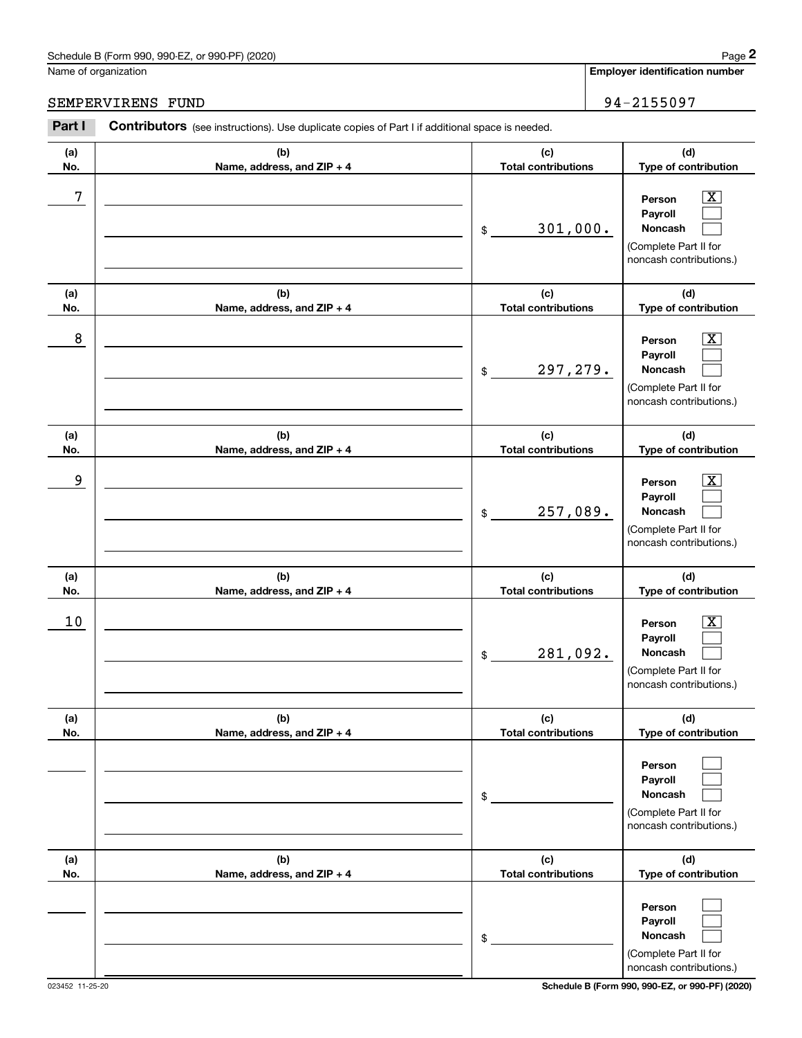# Schedule B (Form 990, 990-EZ, or 990-PF) (2020) Page 2

Name of organization

|            | Chedule B (Form 990, 990-EZ, or 990-PF) (2020)                                                        |                                   | Page 2                                                                                           |
|------------|-------------------------------------------------------------------------------------------------------|-----------------------------------|--------------------------------------------------------------------------------------------------|
|            | lame of organization                                                                                  |                                   | Employer identification number                                                                   |
|            | EMPERVIRENS FUND                                                                                      |                                   | 94-2155097                                                                                       |
| Part I     | <b>Contributors</b> (see instructions). Use duplicate copies of Part I if additional space is needed. |                                   |                                                                                                  |
| (a)<br>No. | (b)<br>Name, address, and ZIP + 4                                                                     | (c)<br><b>Total contributions</b> | (d)<br>Type of contribution                                                                      |
| 7          |                                                                                                       | 301,000.<br>\$                    | $\mathbf{X}$<br>Person<br>Payroll<br>Noncash<br>(Complete Part II for<br>noncash contributions.) |
| (a)<br>No. | (b)<br>Name, address, and ZIP + 4                                                                     | (c)<br><b>Total contributions</b> | (d)<br>Type of contribution                                                                      |
| 8          |                                                                                                       | 297,279.<br>\$                    | $\mathbf{X}$<br>Person<br>Payroll<br>Noncash<br>(Complete Part II for<br>noncash contributions.) |
| (a)<br>No. | (b)<br>Name, address, and ZIP + 4                                                                     | (c)<br><b>Total contributions</b> | (d)<br>Type of contribution                                                                      |
| 9          |                                                                                                       | 257,089.<br>\$                    | $\mathbf{X}$<br>Person<br>Payroll<br>Noncash<br>(Complete Part II for<br>noncash contributions.) |
| (a)<br>No. | (b)<br>Name, address, and ZIP + 4                                                                     | (c)<br><b>Total contributions</b> | (d)<br>Type of contribution                                                                      |
| 10         |                                                                                                       | 281,092.<br>$\mathfrak{S}$        | $\vert$ X<br>Person<br>Payroll<br>Noncash<br>(Complete Part II for<br>noncash contributions.)    |
| (a)<br>No. | (b)<br>Name, address, and ZIP + 4                                                                     | (c)<br><b>Total contributions</b> | (d)<br>Type of contribution                                                                      |
|            |                                                                                                       | \$                                | Person<br>Payroll<br>Noncash<br>(Complete Part II for<br>noncash contributions.)                 |
| (a)<br>No. | (b)<br>Name, address, and ZIP + 4                                                                     | (c)<br><b>Total contributions</b> | (d)<br>Type of contribution                                                                      |
|            |                                                                                                       | \$                                | Person<br>Payroll<br>Noncash                                                                     |

023452 11-25-20 **Schedule B (Form 990, 990-EZ, or 990-PF) (2020)**

(Complete Part II for noncash contributions.)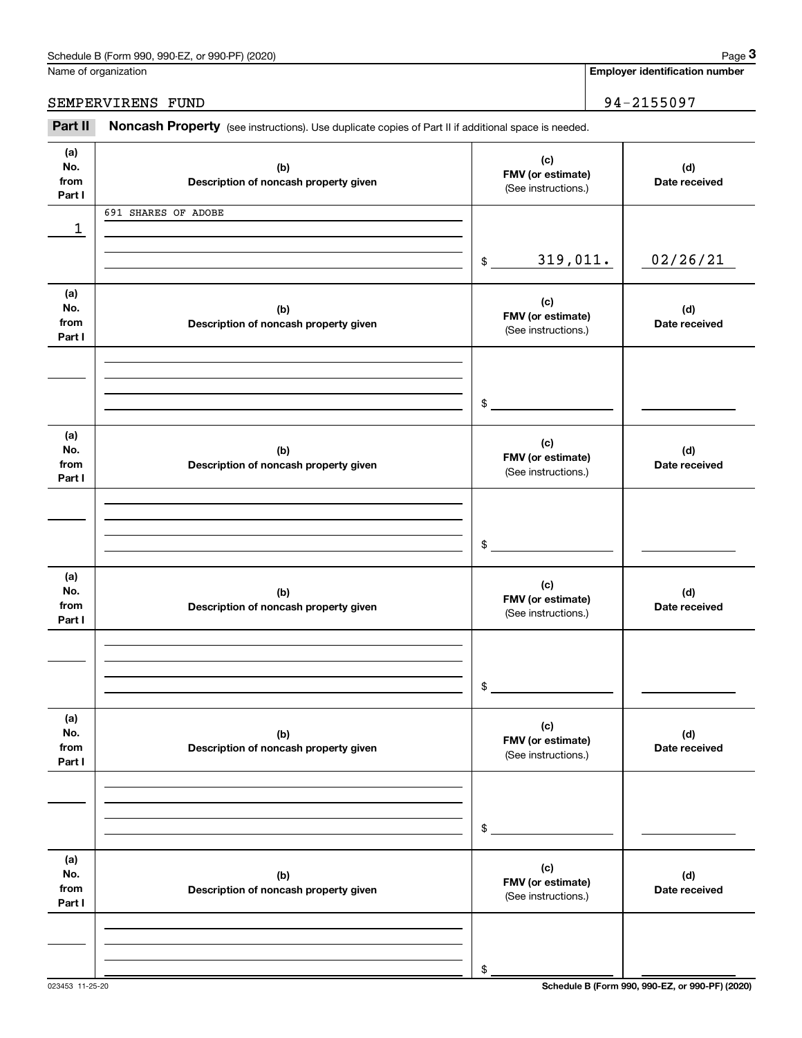|                              | Schedule B (Form 990, 990-EZ, or 990-PF) (2020)<br>Name of organization                             |                                                 |            | Page 3<br><b>Employer identification number</b> |
|------------------------------|-----------------------------------------------------------------------------------------------------|-------------------------------------------------|------------|-------------------------------------------------|
|                              |                                                                                                     |                                                 |            |                                                 |
|                              | SEMPERVIRENS FUND                                                                                   |                                                 | 94-2155097 |                                                 |
| Part II                      | Noncash Property (see instructions). Use duplicate copies of Part II if additional space is needed. |                                                 |            |                                                 |
| (a)<br>No.<br>from<br>Part I | (c)<br>(b)<br>FMV (or estimate)<br>Description of noncash property given<br>(See instructions.)     |                                                 |            | (d)<br>Date received                            |
|                              | 691 SHARES OF ADOBE                                                                                 |                                                 |            |                                                 |
| 1                            |                                                                                                     | 319,011.<br>$$\mathbb{S}$$                      |            | 02/26/21                                        |
| (a)<br>No.<br>from<br>Part I | (b)<br>Description of noncash property given                                                        | (c)<br>FMV (or estimate)<br>(See instructions.) |            | (d)<br>Date received                            |
|                              |                                                                                                     | \$                                              |            |                                                 |
| (a)<br>No.<br>from<br>Part I | (b)<br>Description of noncash property given                                                        | (c)<br>FMV (or estimate)<br>(See instructions.) |            | (d)<br>Date received                            |
|                              |                                                                                                     | \$                                              |            |                                                 |
| (a)<br>No.<br>from<br>Part I | (b)<br>Description of noncash property given                                                        | (c)<br>FMV (or estimate)<br>(See instructions.) |            | (d)<br>Date received                            |
|                              |                                                                                                     | \$                                              |            |                                                 |
| (a)<br>No.<br>from<br>Part I | (b)<br>Description of noncash property given                                                        | (c)<br>FMV (or estimate)<br>(See instructions.) |            | (d)<br>Date received                            |
|                              |                                                                                                     | \$                                              |            |                                                 |
| (a)<br>No.<br>from<br>Part I | (b)<br>Description of noncash property given                                                        | (c)<br>FMV (or estimate)<br>(See instructions.) |            | (d)<br>Date received                            |
|                              |                                                                                                     | \$                                              |            |                                                 |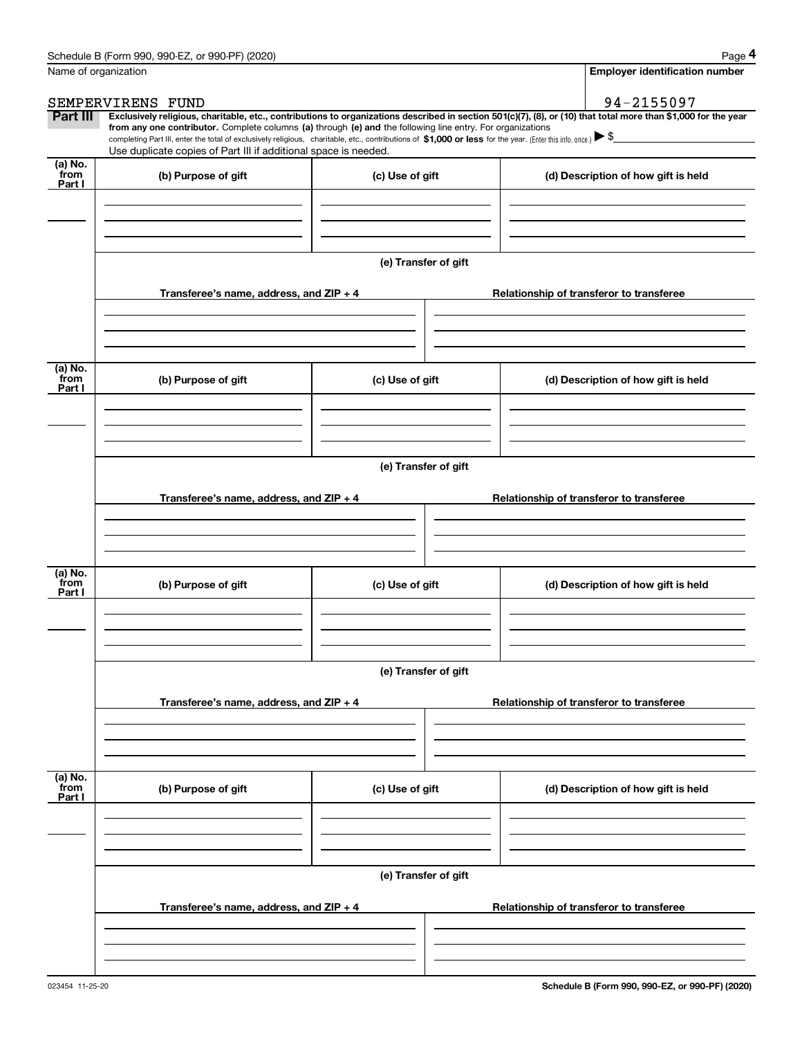|                           | Schedule B (Form 990, 990-EZ, or 990-PF) (2020)                                                                                                                                   |                      | Page 4                                                                                                                                                         |  |  |  |  |
|---------------------------|-----------------------------------------------------------------------------------------------------------------------------------------------------------------------------------|----------------------|----------------------------------------------------------------------------------------------------------------------------------------------------------------|--|--|--|--|
|                           | Name of organization                                                                                                                                                              |                      | <b>Employer identification number</b>                                                                                                                          |  |  |  |  |
|                           | SEMPERVIRENS FUND                                                                                                                                                                 |                      | 94-2155097                                                                                                                                                     |  |  |  |  |
| Part III                  | from any one contributor. Complete columns (a) through (e) and the following line entry. For organizations                                                                        |                      | Exclusively religious, charitable, etc., contributions to organizations described in section 501(c)(7), (8), or (10) that total more than \$1,000 for the year |  |  |  |  |
|                           | completing Part III, enter the total of exclusively religious, charitable, etc., contributions of \$1,000 or less for the year. (Enter this info. once.) $\blacktriangleright$ \$ |                      |                                                                                                                                                                |  |  |  |  |
| (a) No.                   | Use duplicate copies of Part III if additional space is needed.                                                                                                                   |                      |                                                                                                                                                                |  |  |  |  |
| from<br>Part I            | (b) Purpose of gift                                                                                                                                                               | (c) Use of gift      | (d) Description of how gift is held                                                                                                                            |  |  |  |  |
|                           |                                                                                                                                                                                   |                      |                                                                                                                                                                |  |  |  |  |
|                           |                                                                                                                                                                                   |                      |                                                                                                                                                                |  |  |  |  |
|                           |                                                                                                                                                                                   |                      |                                                                                                                                                                |  |  |  |  |
|                           |                                                                                                                                                                                   | (e) Transfer of gift |                                                                                                                                                                |  |  |  |  |
|                           | Transferee's name, address, and ZIP + 4                                                                                                                                           |                      | Relationship of transferor to transferee                                                                                                                       |  |  |  |  |
|                           |                                                                                                                                                                                   |                      |                                                                                                                                                                |  |  |  |  |
|                           |                                                                                                                                                                                   |                      |                                                                                                                                                                |  |  |  |  |
|                           |                                                                                                                                                                                   |                      |                                                                                                                                                                |  |  |  |  |
| (a) No.<br>from<br>Part I | (b) Purpose of gift                                                                                                                                                               | (c) Use of gift      | (d) Description of how gift is held                                                                                                                            |  |  |  |  |
|                           |                                                                                                                                                                                   |                      |                                                                                                                                                                |  |  |  |  |
|                           |                                                                                                                                                                                   |                      |                                                                                                                                                                |  |  |  |  |
|                           |                                                                                                                                                                                   |                      |                                                                                                                                                                |  |  |  |  |
|                           | (e) Transfer of gift                                                                                                                                                              |                      |                                                                                                                                                                |  |  |  |  |
|                           | Transferee's name, address, and $ZIP + 4$                                                                                                                                         |                      | Relationship of transferor to transferee                                                                                                                       |  |  |  |  |
|                           |                                                                                                                                                                                   |                      |                                                                                                                                                                |  |  |  |  |
|                           |                                                                                                                                                                                   |                      |                                                                                                                                                                |  |  |  |  |
|                           |                                                                                                                                                                                   |                      |                                                                                                                                                                |  |  |  |  |
| (a) No.<br>from           | (b) Purpose of gift                                                                                                                                                               | (c) Use of gift      | (d) Description of how gift is held                                                                                                                            |  |  |  |  |
| Part I                    |                                                                                                                                                                                   |                      |                                                                                                                                                                |  |  |  |  |
|                           |                                                                                                                                                                                   |                      |                                                                                                                                                                |  |  |  |  |
|                           |                                                                                                                                                                                   |                      |                                                                                                                                                                |  |  |  |  |
|                           |                                                                                                                                                                                   | (e) Transfer of gift |                                                                                                                                                                |  |  |  |  |
|                           |                                                                                                                                                                                   |                      |                                                                                                                                                                |  |  |  |  |
|                           | Transferee's name, address, and $ZIP + 4$                                                                                                                                         |                      | Relationship of transferor to transferee                                                                                                                       |  |  |  |  |
|                           |                                                                                                                                                                                   |                      |                                                                                                                                                                |  |  |  |  |
|                           |                                                                                                                                                                                   |                      |                                                                                                                                                                |  |  |  |  |
| (a) No.<br>from           |                                                                                                                                                                                   |                      |                                                                                                                                                                |  |  |  |  |
| Part I                    | (b) Purpose of gift                                                                                                                                                               | (c) Use of gift      | (d) Description of how gift is held                                                                                                                            |  |  |  |  |
|                           |                                                                                                                                                                                   |                      |                                                                                                                                                                |  |  |  |  |
|                           |                                                                                                                                                                                   |                      |                                                                                                                                                                |  |  |  |  |
|                           |                                                                                                                                                                                   |                      |                                                                                                                                                                |  |  |  |  |
|                           |                                                                                                                                                                                   | (e) Transfer of gift |                                                                                                                                                                |  |  |  |  |
|                           | Transferee's name, address, and $ZIP + 4$                                                                                                                                         |                      | Relationship of transferor to transferee                                                                                                                       |  |  |  |  |
|                           |                                                                                                                                                                                   |                      |                                                                                                                                                                |  |  |  |  |
|                           |                                                                                                                                                                                   |                      |                                                                                                                                                                |  |  |  |  |
|                           |                                                                                                                                                                                   |                      |                                                                                                                                                                |  |  |  |  |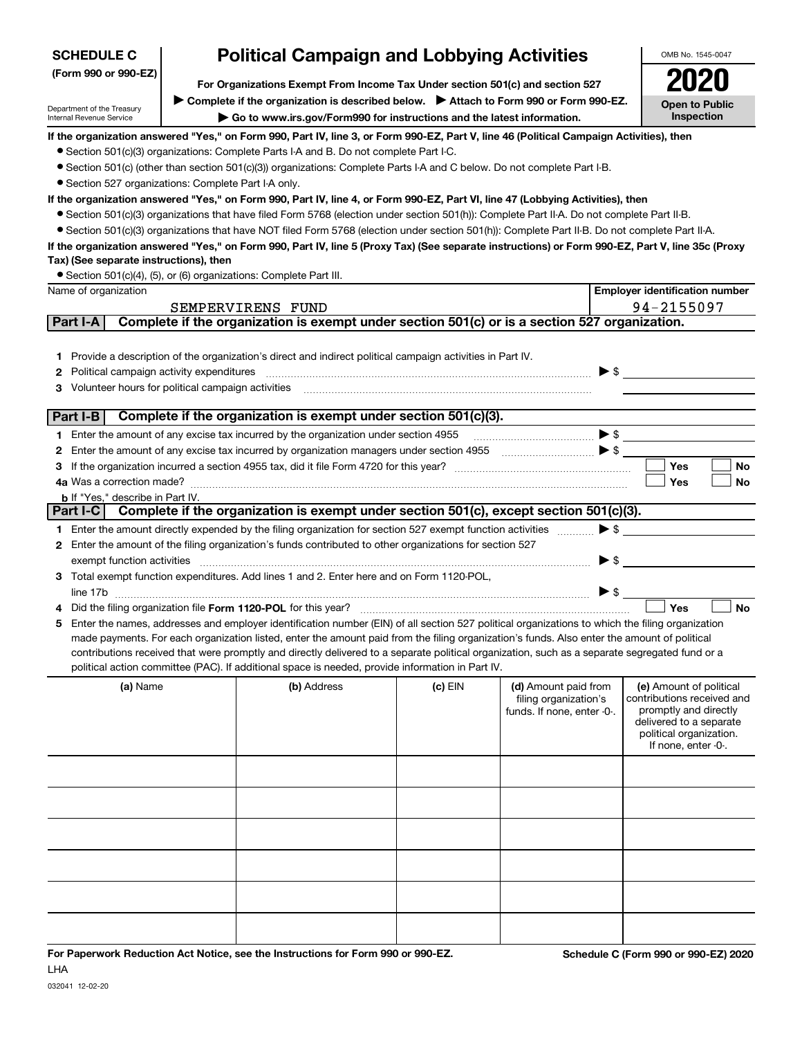| <b>SCHEDULE C</b>                                                                                                                                                                                                                                                                                                                    | <b>Political Campaign and Lobbying Activities</b> |                                                                                                                                                                                                                                                                                                                                                                                                                                                                                                                                                                                                                                                                                                                                                                                                                                                                                                                                                                                                                                                                                                                                                                                                                                                                  |         |                                                                             |                                                                                                         | OMB No. 1545-0047                                                                                                                                           |  |
|--------------------------------------------------------------------------------------------------------------------------------------------------------------------------------------------------------------------------------------------------------------------------------------------------------------------------------------|---------------------------------------------------|------------------------------------------------------------------------------------------------------------------------------------------------------------------------------------------------------------------------------------------------------------------------------------------------------------------------------------------------------------------------------------------------------------------------------------------------------------------------------------------------------------------------------------------------------------------------------------------------------------------------------------------------------------------------------------------------------------------------------------------------------------------------------------------------------------------------------------------------------------------------------------------------------------------------------------------------------------------------------------------------------------------------------------------------------------------------------------------------------------------------------------------------------------------------------------------------------------------------------------------------------------------|---------|-----------------------------------------------------------------------------|---------------------------------------------------------------------------------------------------------|-------------------------------------------------------------------------------------------------------------------------------------------------------------|--|
| (Form 990 or 990-EZ)<br>For Organizations Exempt From Income Tax Under section 501(c) and section 527<br>> Complete if the organization is described below. > Attach to Form 990 or Form 990-EZ.<br>Department of the Treasury<br>Go to www.irs.gov/Form990 for instructions and the latest information.<br>Internal Revenue Service |                                                   |                                                                                                                                                                                                                                                                                                                                                                                                                                                                                                                                                                                                                                                                                                                                                                                                                                                                                                                                                                                                                                                                                                                                                                                                                                                                  |         |                                                                             |                                                                                                         | <b>Open to Public</b><br>Inspection                                                                                                                         |  |
| • Section 527 organizations: Complete Part I-A only.<br>Tax) (See separate instructions), then                                                                                                                                                                                                                                       |                                                   | If the organization answered "Yes," on Form 990, Part IV, line 3, or Form 990-EZ, Part V, line 46 (Political Campaign Activities), then<br>• Section 501(c)(3) organizations: Complete Parts I-A and B. Do not complete Part I-C.<br>• Section 501(c) (other than section 501(c)(3)) organizations: Complete Parts I-A and C below. Do not complete Part I-B.<br>If the organization answered "Yes," on Form 990, Part IV, line 4, or Form 990-EZ, Part VI, line 47 (Lobbying Activities), then<br>• Section 501(c)(3) organizations that have filed Form 5768 (election under section 501(h)): Complete Part II-A. Do not complete Part II-B.<br>• Section 501(c)(3) organizations that have NOT filed Form 5768 (election under section 501(h)): Complete Part II-B. Do not complete Part II-A.<br>If the organization answered "Yes," on Form 990, Part IV, line 5 (Proxy Tax) (See separate instructions) or Form 990-EZ, Part V, line 35c (Proxy                                                                                                                                                                                                                                                                                                            |         |                                                                             |                                                                                                         |                                                                                                                                                             |  |
|                                                                                                                                                                                                                                                                                                                                      |                                                   | • Section 501(c)(4), (5), or (6) organizations: Complete Part III.                                                                                                                                                                                                                                                                                                                                                                                                                                                                                                                                                                                                                                                                                                                                                                                                                                                                                                                                                                                                                                                                                                                                                                                               |         |                                                                             |                                                                                                         |                                                                                                                                                             |  |
| Name of organization                                                                                                                                                                                                                                                                                                                 |                                                   | SEMPERVIRENS FUND                                                                                                                                                                                                                                                                                                                                                                                                                                                                                                                                                                                                                                                                                                                                                                                                                                                                                                                                                                                                                                                                                                                                                                                                                                                |         |                                                                             |                                                                                                         | <b>Employer identification number</b><br>94-2155097                                                                                                         |  |
| Part I-A                                                                                                                                                                                                                                                                                                                             |                                                   | Complete if the organization is exempt under section 501(c) or is a section 527 organization.                                                                                                                                                                                                                                                                                                                                                                                                                                                                                                                                                                                                                                                                                                                                                                                                                                                                                                                                                                                                                                                                                                                                                                    |         |                                                                             |                                                                                                         |                                                                                                                                                             |  |
| <b>2</b> Political campaign activity expenditures<br>Volunteer hours for political campaign activities<br>З                                                                                                                                                                                                                          |                                                   | 1 Provide a description of the organization's direct and indirect political campaign activities in Part IV.                                                                                                                                                                                                                                                                                                                                                                                                                                                                                                                                                                                                                                                                                                                                                                                                                                                                                                                                                                                                                                                                                                                                                      |         |                                                                             | $\blacktriangleright$ \$                                                                                |                                                                                                                                                             |  |
| Part I-B                                                                                                                                                                                                                                                                                                                             |                                                   | Complete if the organization is exempt under section 501(c)(3).                                                                                                                                                                                                                                                                                                                                                                                                                                                                                                                                                                                                                                                                                                                                                                                                                                                                                                                                                                                                                                                                                                                                                                                                  |         |                                                                             |                                                                                                         |                                                                                                                                                             |  |
| <b>b</b> If "Yes," describe in Part IV.<br>Part I-C<br>exempt function activities<br>5.                                                                                                                                                                                                                                              |                                                   | 1 Enter the amount of any excise tax incurred by the organization under section 4955<br>2 Enter the amount of any excise tax incurred by organization managers under section 4955 [11, 11, 11, 11, 11, 11, 11, 12, 13]<br>Complete if the organization is exempt under section 501(c), except section 501(c)(3).<br>1 Enter the amount directly expended by the filing organization for section 527 exempt function activities<br>2 Enter the amount of the filing organization's funds contributed to other organizations for section 527<br>3 Total exempt function expenditures. Add lines 1 and 2. Enter here and on Form 1120-POL,<br>Did the filing organization file Form 1120-POL for this year?<br>Enter the names, addresses and employer identification number (EIN) of all section 527 political organizations to which the filing organization<br>made payments. For each organization listed, enter the amount paid from the filing organization's funds. Also enter the amount of political<br>contributions received that were promptly and directly delivered to a separate political organization, such as a separate segregated fund or a<br>political action committee (PAC). If additional space is needed, provide information in Part IV. |         |                                                                             | $\blacktriangleright$ \$<br>$\blacktriangleright$ \$<br>$\blacktriangleright$ \$<br>$\triangleright$ \$ | Yes<br>No<br>Yes<br>No<br>Yes<br><b>No</b>                                                                                                                  |  |
| (a) Name                                                                                                                                                                                                                                                                                                                             |                                                   | (b) Address                                                                                                                                                                                                                                                                                                                                                                                                                                                                                                                                                                                                                                                                                                                                                                                                                                                                                                                                                                                                                                                                                                                                                                                                                                                      | (c) EIN | (d) Amount paid from<br>filing organization's<br>funds. If none, enter -0-. |                                                                                                         | (e) Amount of political<br>contributions received and<br>promptly and directly<br>delivered to a separate<br>political organization.<br>If none, enter -0-. |  |
|                                                                                                                                                                                                                                                                                                                                      |                                                   |                                                                                                                                                                                                                                                                                                                                                                                                                                                                                                                                                                                                                                                                                                                                                                                                                                                                                                                                                                                                                                                                                                                                                                                                                                                                  |         |                                                                             |                                                                                                         |                                                                                                                                                             |  |
|                                                                                                                                                                                                                                                                                                                                      |                                                   |                                                                                                                                                                                                                                                                                                                                                                                                                                                                                                                                                                                                                                                                                                                                                                                                                                                                                                                                                                                                                                                                                                                                                                                                                                                                  |         |                                                                             |                                                                                                         |                                                                                                                                                             |  |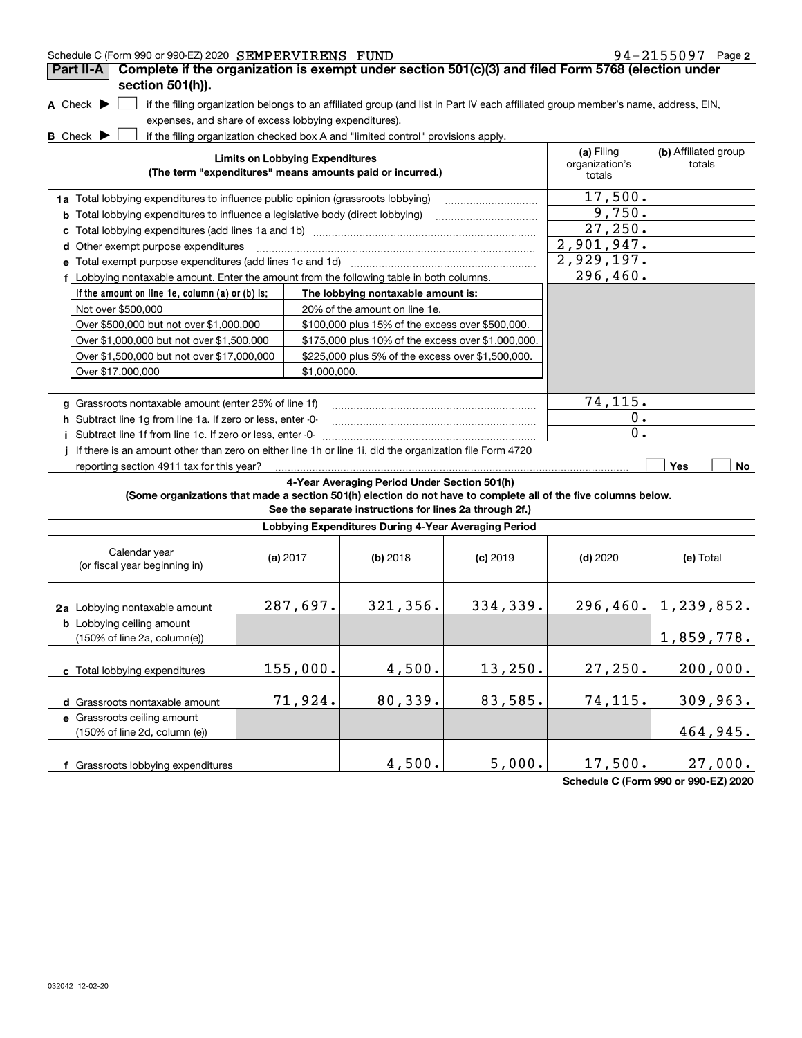| Schedule C (Form 990 or 990-EZ) 2020 SEMPERVIRENS FUND                                                          |                                                       |                                                                                                                                   |            |                                        | 94-2155097 Page 2              |
|-----------------------------------------------------------------------------------------------------------------|-------------------------------------------------------|-----------------------------------------------------------------------------------------------------------------------------------|------------|----------------------------------------|--------------------------------|
| Complete if the organization is exempt under section 501(c)(3) and filed Form 5768 (election under<br>Part II-A |                                                       |                                                                                                                                   |            |                                        |                                |
| section 501(h)).                                                                                                |                                                       |                                                                                                                                   |            |                                        |                                |
| A Check $\blacktriangleright$                                                                                   |                                                       | if the filing organization belongs to an affiliated group (and list in Part IV each affiliated group member's name, address, EIN, |            |                                        |                                |
|                                                                                                                 | expenses, and share of excess lobbying expenditures). |                                                                                                                                   |            |                                        |                                |
| <b>B</b> Check $\blacktriangleright$                                                                            |                                                       | if the filing organization checked box A and "limited control" provisions apply.                                                  |            |                                        |                                |
|                                                                                                                 | <b>Limits on Lobbying Expenditures</b>                | (The term "expenditures" means amounts paid or incurred.)                                                                         |            | (a) Filing<br>organization's<br>totals | (b) Affiliated group<br>totals |
| <b>1a</b> Total lobbying expenditures to influence public opinion (grassroots lobbying)                         |                                                       |                                                                                                                                   |            | 17,500.                                |                                |
| <b>b</b> Total lobbying expenditures to influence a legislative body (direct lobbying)                          |                                                       |                                                                                                                                   |            | 9,750.                                 |                                |
|                                                                                                                 |                                                       |                                                                                                                                   |            | 27,250.                                |                                |
| d Other exempt purpose expenditures                                                                             |                                                       |                                                                                                                                   |            | 2,901,947.                             |                                |
| e Total exempt purpose expenditures (add lines 1c and 1d)                                                       |                                                       |                                                                                                                                   |            | $\overline{2,929},197.$                |                                |
| f Lobbying nontaxable amount. Enter the amount from the following table in both columns.                        |                                                       |                                                                                                                                   |            | 296,460.                               |                                |
| If the amount on line 1e, column $(a)$ or $(b)$ is:                                                             |                                                       | The lobbying nontaxable amount is:                                                                                                |            |                                        |                                |
| Not over \$500,000                                                                                              |                                                       | 20% of the amount on line 1e.                                                                                                     |            |                                        |                                |
| Over \$500,000 but not over \$1,000,000                                                                         |                                                       | \$100,000 plus 15% of the excess over \$500,000.                                                                                  |            |                                        |                                |
| Over \$1,000,000 but not over \$1,500,000                                                                       |                                                       | \$175,000 plus 10% of the excess over \$1,000,000.                                                                                |            |                                        |                                |
| Over \$1,500,000 but not over \$17,000,000                                                                      |                                                       | \$225,000 plus 5% of the excess over \$1,500,000.                                                                                 |            |                                        |                                |
| Over \$17,000,000                                                                                               | \$1,000,000.                                          |                                                                                                                                   |            |                                        |                                |
|                                                                                                                 |                                                       |                                                                                                                                   |            |                                        |                                |
| g Grassroots nontaxable amount (enter 25% of line 1f)                                                           |                                                       |                                                                                                                                   |            | 74,115.                                |                                |
| h Subtract line 1g from line 1a. If zero or less, enter -0-                                                     |                                                       |                                                                                                                                   |            | 0.                                     |                                |
| i Subtract line 1f from line 1c. If zero or less, enter -0-                                                     |                                                       |                                                                                                                                   |            | $\mathbf 0$ .                          |                                |
| j If there is an amount other than zero on either line 1h or line 1i, did the organization file Form 4720       |                                                       |                                                                                                                                   |            |                                        |                                |
| reporting section 4911 tax for this year?                                                                       |                                                       |                                                                                                                                   |            |                                        | Yes<br>No                      |
|                                                                                                                 |                                                       | 4-Year Averaging Period Under Section 501(h)                                                                                      |            |                                        |                                |
| (Some organizations that made a section 501(h) election do not have to complete all of the five columns below.  |                                                       |                                                                                                                                   |            |                                        |                                |
|                                                                                                                 |                                                       | See the separate instructions for lines 2a through 2f.)                                                                           |            |                                        |                                |
|                                                                                                                 |                                                       | Lobbying Expenditures During 4-Year Averaging Period                                                                              |            |                                        |                                |
| Calendar year<br>(or fiscal year beginning in)                                                                  | (a) $2017$                                            | $(b)$ 2018                                                                                                                        | $(c)$ 2019 | $(d)$ 2020                             | (e) Total                      |
| 2a Lobbying nontaxable amount                                                                                   | 287,697.                                              | 321, 356.                                                                                                                         | 334,339.   |                                        | $296, 460.$ 1, 239, 852.       |
| <b>b</b> Lobbying ceiling amount<br>$(150\% \text{ of line } 2a, \text{ column}(e))$                            |                                                       |                                                                                                                                   |            |                                        | 1,859,778.                     |
| c Total lobbying expenditures                                                                                   | 155,000.                                              | 4,500.                                                                                                                            | 13,250.    | 27, 250.                               | 200,000.                       |
| d Grassroots nontaxable amount                                                                                  | 71,924.                                               | 80,339.                                                                                                                           | 83,585.    | 74, 115.                               | 309,963.                       |

**Schedule C (Form 990 or 990-EZ) 2020** 27,000. 4,500. 5,000. 17,500.

464,945.

**e** Grassroots ceiling amount

(150% of line 2d, column (e))

**f** Grassroots lobbying expenditures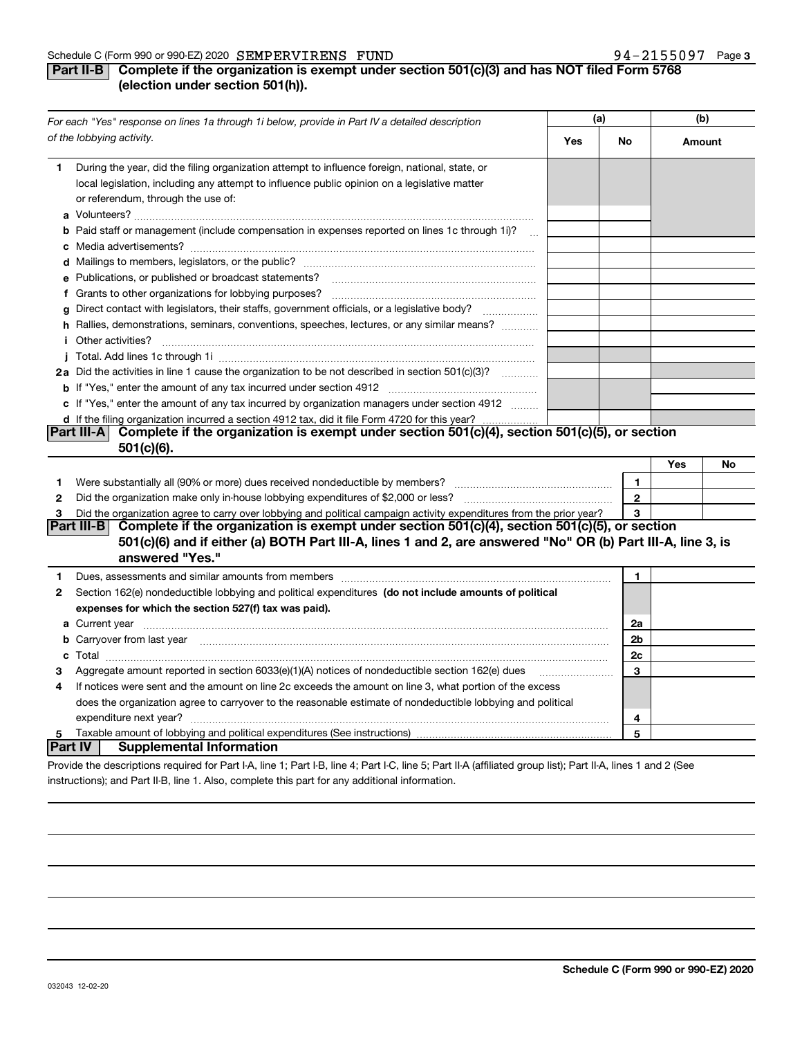### Schedule C (Form 990 or 990-EZ) 2020 Page SEMPERVIRENS FUND 94-2155097

## **3**

# **Part II-B Complete if the organization is exempt under section 501(c)(3) and has NOT filed Form 5768 (election under section 501(h)).**

|              | For each "Yes" response on lines 1a through 1i below, provide in Part IV a detailed description                                                                                                                                      |     |              | (b)    |    |
|--------------|--------------------------------------------------------------------------------------------------------------------------------------------------------------------------------------------------------------------------------------|-----|--------------|--------|----|
|              | of the lobbying activity.                                                                                                                                                                                                            | Yes | No           | Amount |    |
| 1            | During the year, did the filing organization attempt to influence foreign, national, state, or<br>local legislation, including any attempt to influence public opinion on a legislative matter<br>or referendum, through the use of: |     |              |        |    |
|              | <b>b</b> Paid staff or management (include compensation in expenses reported on lines 1c through 1i)?<br>$\mathbf{r}$                                                                                                                |     |              |        |    |
|              |                                                                                                                                                                                                                                      |     |              |        |    |
|              | e Publications, or published or broadcast statements?                                                                                                                                                                                |     |              |        |    |
|              | f Grants to other organizations for lobbying purposes?                                                                                                                                                                               |     |              |        |    |
| g            | Direct contact with legislators, their staffs, government officials, or a legislative body?                                                                                                                                          |     |              |        |    |
|              | h Rallies, demonstrations, seminars, conventions, speeches, lectures, or any similar means?                                                                                                                                          |     |              |        |    |
|              | <i>i</i> Other activities?                                                                                                                                                                                                           |     |              |        |    |
|              |                                                                                                                                                                                                                                      |     |              |        |    |
|              | 2a Did the activities in line 1 cause the organization to be not described in section 501(c)(3)?                                                                                                                                     |     |              |        |    |
|              |                                                                                                                                                                                                                                      |     |              |        |    |
|              | c If "Yes," enter the amount of any tax incurred by organization managers under section 4912                                                                                                                                         |     |              |        |    |
|              | d If the filing organization incurred a section 4912 tax, did it file Form 4720 for this year?<br>Complete if the organization is exempt under section $501(c)(4)$ , section $501(c)(5)$ , or section<br> Part III-A                 |     |              |        |    |
|              | 501(c)(6).                                                                                                                                                                                                                           |     |              |        |    |
|              |                                                                                                                                                                                                                                      |     |              | Yes    | No |
| 1            |                                                                                                                                                                                                                                      |     | 1            |        |    |
| $\mathbf{2}$ | Did the organization make only in house lobbying expenditures of \$2,000 or less?                                                                                                                                                    |     | $\mathbf{2}$ |        |    |
| 3            | Did the organization agree to carry over lobbying and political campaign activity expenditures from the prior year?                                                                                                                  |     | 3            |        |    |
|              | Complete if the organization is exempt under section 501(c)(4), section 501(c)(5), or section<br> Part III-B                                                                                                                         |     |              |        |    |
|              | 501(c)(6) and if either (a) BOTH Part III-A, lines 1 and 2, are answered "No" OR (b) Part III-A, line 3, is                                                                                                                          |     |              |        |    |
|              | answered "Yes."                                                                                                                                                                                                                      |     |              |        |    |
| 1            |                                                                                                                                                                                                                                      |     | 1            |        |    |
| 2            | Section 162(e) nondeductible lobbying and political expenditures (do not include amounts of political                                                                                                                                |     |              |        |    |
|              | expenses for which the section 527(f) tax was paid).                                                                                                                                                                                 |     |              |        |    |
|              |                                                                                                                                                                                                                                      |     | 2a           |        |    |
|              |                                                                                                                                                                                                                                      |     | 2b           |        |    |
|              |                                                                                                                                                                                                                                      |     | 2c           |        |    |
| 3            | Aggregate amount reported in section 6033(e)(1)(A) notices of nondeductible section 162(e) dues                                                                                                                                      |     | 3            |        |    |
| 4            | If notices were sent and the amount on line 2c exceeds the amount on line 3, what portion of the excess                                                                                                                              |     |              |        |    |
|              | does the organization agree to carryover to the reasonable estimate of nondeductible lobbying and political                                                                                                                          |     |              |        |    |
|              | expenditure next year?                                                                                                                                                                                                               |     | 4            |        |    |
| 5            |                                                                                                                                                                                                                                      |     | 5            |        |    |
|              | Part IV <br><b>Supplemental Information</b>                                                                                                                                                                                          |     |              |        |    |
|              | Provide the descriptions required for Part I-A, line 1; Part I-B, line 4; Part I-C, line 5; Part II-A (affiliated group list); Part II-A, lines 1 and 2 (See                                                                         |     |              |        |    |

instructions); and Part II-B, line 1. Also, complete this part for any additional information.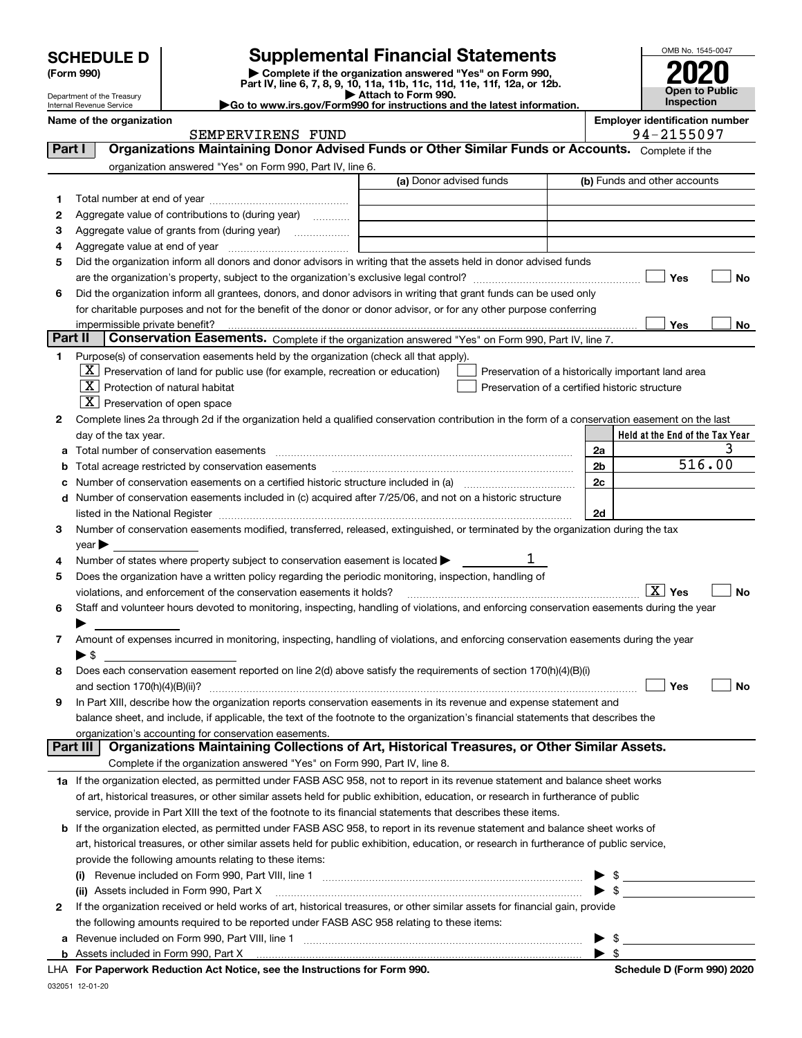|         | <b>SCHEDULE D</b><br>(Form 990)                                                 |                                                                                                        | <b>Supplemental Financial Statements</b><br>Complete if the organization answered "Yes" on Form 990.                                                                                                                           |                | OMB No. 1545-0047                     |
|---------|---------------------------------------------------------------------------------|--------------------------------------------------------------------------------------------------------|--------------------------------------------------------------------------------------------------------------------------------------------------------------------------------------------------------------------------------|----------------|---------------------------------------|
|         | Department of the Treasury                                                      |                                                                                                        | Part IV, line 6, 7, 8, 9, 10, 11a, 11b, 11c, 11d, 11e, 11f, 12a, or 12b.<br>Attach to Form 990.                                                                                                                                |                | <b>Open to Public</b>                 |
|         | Internal Revenue Service                                                        |                                                                                                        | Go to www.irs.gov/Form990 for instructions and the latest information.                                                                                                                                                         |                | <b>Inspection</b>                     |
|         | Name of the organization                                                        |                                                                                                        |                                                                                                                                                                                                                                |                | <b>Employer identification number</b> |
|         | Part I                                                                          | SEMPERVIRENS FUND                                                                                      | Organizations Maintaining Donor Advised Funds or Other Similar Funds or Accounts. Complete if the                                                                                                                              |                | 94-2155097                            |
|         |                                                                                 | organization answered "Yes" on Form 990, Part IV, line 6.                                              |                                                                                                                                                                                                                                |                |                                       |
|         |                                                                                 |                                                                                                        | (a) Donor advised funds                                                                                                                                                                                                        |                | (b) Funds and other accounts          |
| 1       |                                                                                 |                                                                                                        |                                                                                                                                                                                                                                |                |                                       |
| 2       |                                                                                 | Aggregate value of contributions to (during year)                                                      |                                                                                                                                                                                                                                |                |                                       |
| з       |                                                                                 |                                                                                                        |                                                                                                                                                                                                                                |                |                                       |
| 4       |                                                                                 |                                                                                                        |                                                                                                                                                                                                                                |                |                                       |
| 5       |                                                                                 |                                                                                                        | Did the organization inform all donors and donor advisors in writing that the assets held in donor advised funds                                                                                                               |                |                                       |
|         |                                                                                 |                                                                                                        |                                                                                                                                                                                                                                |                | Yes<br>No                             |
| 6       |                                                                                 |                                                                                                        | Did the organization inform all grantees, donors, and donor advisors in writing that grant funds can be used only                                                                                                              |                |                                       |
|         |                                                                                 |                                                                                                        | for charitable purposes and not for the benefit of the donor or donor advisor, or for any other purpose conferring                                                                                                             |                |                                       |
|         | impermissible private benefit?                                                  |                                                                                                        |                                                                                                                                                                                                                                |                | Yes<br>No                             |
| Part II |                                                                                 |                                                                                                        | Conservation Easements. Complete if the organization answered "Yes" on Form 990, Part IV, line 7.                                                                                                                              |                |                                       |
|         | $\mid$ X $\mid$ Protection of natural habitat<br>$X$ Preservation of open space | $\boxed{\textbf{X}}$ Preservation of land for public use (for example, recreation or education)        | Preservation of a historically important land area<br>Preservation of a certified historic structure                                                                                                                           |                |                                       |
| 2       |                                                                                 |                                                                                                        | Complete lines 2a through 2d if the organization held a qualified conservation contribution in the form of a conservation easement on the last                                                                                 |                |                                       |
|         | day of the tax year.                                                            | Total number of conservation easements                                                                 |                                                                                                                                                                                                                                | 2a             | Held at the End of the Tax Year<br>3  |
| b       |                                                                                 | Total acreage restricted by conservation easements                                                     |                                                                                                                                                                                                                                | 2 <sub>b</sub> | 516.00                                |
|         |                                                                                 |                                                                                                        |                                                                                                                                                                                                                                | 2c             |                                       |
| d       |                                                                                 |                                                                                                        | Number of conservation easements included in (c) acquired after 7/25/06, and not on a historic structure                                                                                                                       |                |                                       |
|         |                                                                                 |                                                                                                        | listed in the National Register [[11] matter contract the National Register [11] matter is not all the National Register [11] matter is not all the National Register [11] matter is not all the National Register [11] matter | 2d             |                                       |
| з       |                                                                                 |                                                                                                        | Number of conservation easements modified, transferred, released, extinguished, or terminated by the organization during the tax                                                                                               |                |                                       |
|         | $year \blacktriangleright$                                                      |                                                                                                        |                                                                                                                                                                                                                                |                |                                       |
| 4       |                                                                                 | Number of states where property subject to conservation easement is located $\blacktriangleright$      |                                                                                                                                                                                                                                |                |                                       |
| 5       |                                                                                 | Does the organization have a written policy regarding the periodic monitoring, inspection, handling of |                                                                                                                                                                                                                                |                |                                       |
|         |                                                                                 | violations, and enforcement of the conservation easements it holds?                                    |                                                                                                                                                                                                                                |                | $\boxed{X}$ Yes<br><b>No</b>          |
| 6       |                                                                                 |                                                                                                        | Staff and volunteer hours devoted to monitoring, inspecting, handling of violations, and enforcing conservation easements during the year                                                                                      |                |                                       |
|         |                                                                                 |                                                                                                        |                                                                                                                                                                                                                                |                |                                       |
| 7       | $\blacktriangleright$ \$                                                        |                                                                                                        | Amount of expenses incurred in monitoring, inspecting, handling of violations, and enforcing conservation easements during the year                                                                                            |                |                                       |
| 8       | and section 170(h)(4)(B)(ii)?                                                   |                                                                                                        | Does each conservation easement reported on line 2(d) above satisfy the requirements of section 170(h)(4)(B)(i)                                                                                                                |                | ∣ Yes<br>No                           |
| 9       |                                                                                 |                                                                                                        | In Part XIII, describe how the organization reports conservation easements in its revenue and expense statement and                                                                                                            |                |                                       |
|         |                                                                                 |                                                                                                        | balance sheet, and include, if applicable, the text of the footnote to the organization's financial statements that describes the                                                                                              |                |                                       |
|         | Part III                                                                        | organization's accounting for conservation easements.                                                  | Organizations Maintaining Collections of Art, Historical Treasures, or Other Similar Assets.                                                                                                                                   |                |                                       |
|         |                                                                                 | Complete if the organization answered "Yes" on Form 990, Part IV, line 8.                              |                                                                                                                                                                                                                                |                |                                       |
|         |                                                                                 |                                                                                                        | 1a If the organization elected, as permitted under FASB ASC 958, not to report in its revenue statement and balance sheet works                                                                                                |                |                                       |

| of art, historical treasures, or other similar assets held for public exhibition, education, or research in furtherance of public      |
|----------------------------------------------------------------------------------------------------------------------------------------|
| service, provide in Part XIII the text of the footnote to its financial statements that describes these items.                         |
| <b>b</b> If the organization elected, as permitted under FASB ASC 958, to report in its revenue statement and balance sheet works of   |
| ort biotorical tracquires, ar other similar seeste beld for public exhibition, of usetion, ar research in furthermea of public service |

|   | art, instorted treasures, or other similar assets held for public exhibition, education, or research in furtherance or public service, |  |  |  |  |  |
|---|----------------------------------------------------------------------------------------------------------------------------------------|--|--|--|--|--|
|   | provide the following amounts relating to these items:                                                                                 |  |  |  |  |  |
|   | (i)                                                                                                                                    |  |  |  |  |  |
|   | (ii) Assets included in Form 990, Part X [11] [12] Assets included in Form 990, Part X                                                 |  |  |  |  |  |
| 2 | If the organization received or held works of art, historical treasures, or other similar assets for financial gain, provide           |  |  |  |  |  |
|   | the following amounts required to be reported under FASB ASC 958 relating to these items:                                              |  |  |  |  |  |
|   | <b>a</b> Revenue included on Form 990, Part VIII, line 1                                                                               |  |  |  |  |  |
|   |                                                                                                                                        |  |  |  |  |  |

| <b>b</b> Assets included in Form 990. Part X                               |                            |
|----------------------------------------------------------------------------|----------------------------|
| LHA For Paperwork Reduction Act Notice, see the Instructions for Form 990. | Schedule D (Form 990) 2020 |

 $\overline{\phantom{0}}$ 

032051 12-01-20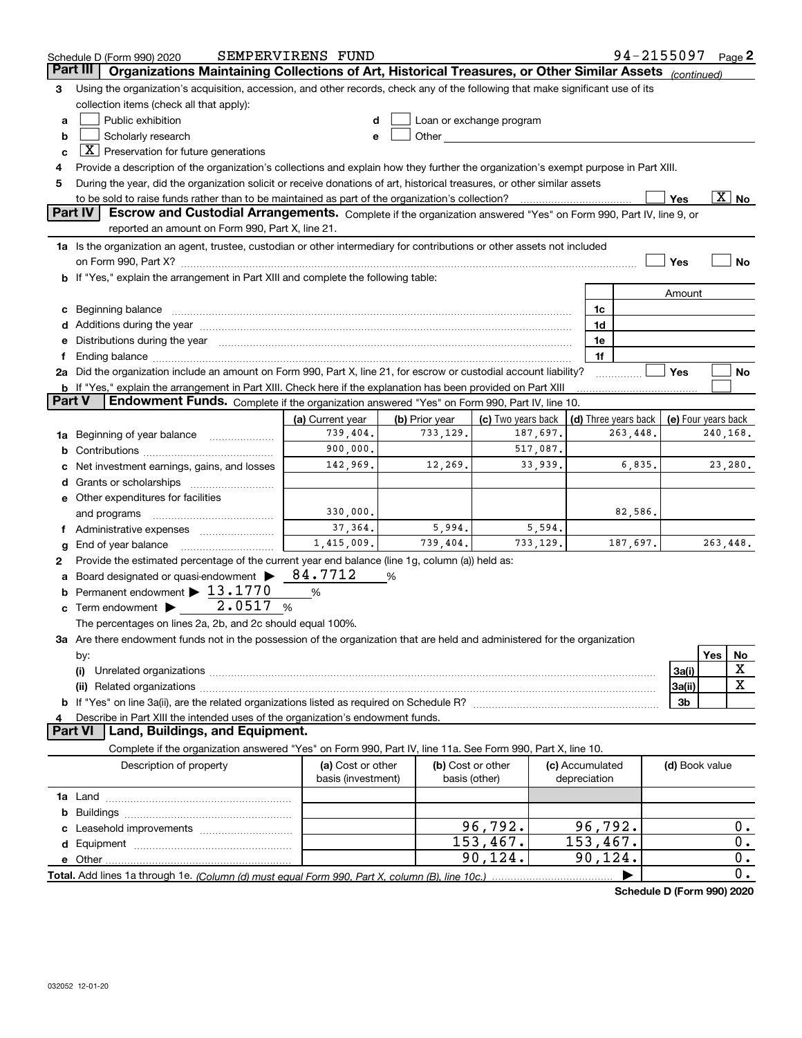|               | Schedule D (Form 990) 2020                                                                                                                                                                                           | SEMPERVIRENS FUND  |                |                    |                      | 94-2155097                 |                     |          | Page 2                   |
|---------------|----------------------------------------------------------------------------------------------------------------------------------------------------------------------------------------------------------------------|--------------------|----------------|--------------------|----------------------|----------------------------|---------------------|----------|--------------------------|
|               | Part III<br>Organizations Maintaining Collections of Art, Historical Treasures, or Other Similar Assets (continued)                                                                                                  |                    |                |                    |                      |                            |                     |          |                          |
| 3             | Using the organization's acquisition, accession, and other records, check any of the following that make significant use of its                                                                                      |                    |                |                    |                      |                            |                     |          |                          |
|               | collection items (check all that apply):                                                                                                                                                                             |                    |                |                    |                      |                            |                     |          |                          |
| a             | Public exhibition<br>Loan or exchange program<br>d                                                                                                                                                                   |                    |                |                    |                      |                            |                     |          |                          |
| b             | Scholarly research                                                                                                                                                                                                   | e                  | Other $_{-}$   |                    |                      |                            |                     |          |                          |
| c             | $X$ Preservation for future generations                                                                                                                                                                              |                    |                |                    |                      |                            |                     |          |                          |
| 4             | Provide a description of the organization's collections and explain how they further the organization's exempt purpose in Part XIII.                                                                                 |                    |                |                    |                      |                            |                     |          |                          |
| 5             | During the year, did the organization solicit or receive donations of art, historical treasures, or other similar assets                                                                                             |                    |                |                    |                      |                            |                     |          |                          |
|               | to be sold to raise funds rather than to be maintained as part of the organization's collection?                                                                                                                     |                    |                |                    |                      |                            | Yes                 |          | $\overline{\text{X}}$ No |
|               | Part IV<br>Escrow and Custodial Arrangements. Complete if the organization answered "Yes" on Form 990, Part IV, line 9, or                                                                                           |                    |                |                    |                      |                            |                     |          |                          |
|               | reported an amount on Form 990, Part X, line 21.                                                                                                                                                                     |                    |                |                    |                      |                            |                     |          |                          |
|               | 1a Is the organization an agent, trustee, custodian or other intermediary for contributions or other assets not included                                                                                             |                    |                |                    |                      |                            |                     |          |                          |
|               |                                                                                                                                                                                                                      |                    |                |                    |                      |                            | Yes                 |          | No                       |
|               | b If "Yes," explain the arrangement in Part XIII and complete the following table:                                                                                                                                   |                    |                |                    |                      |                            |                     |          |                          |
|               |                                                                                                                                                                                                                      |                    |                |                    |                      |                            |                     |          |                          |
|               |                                                                                                                                                                                                                      |                    |                |                    |                      |                            | Amount              |          |                          |
|               | c Beginning balance                                                                                                                                                                                                  |                    |                |                    | 1c                   |                            |                     |          |                          |
|               |                                                                                                                                                                                                                      |                    |                |                    | 1d                   |                            |                     |          |                          |
| е             | Distributions during the year measurement contains and all the year measurement of the year measurement of the                                                                                                       |                    |                |                    | 1e                   |                            |                     |          |                          |
| f             |                                                                                                                                                                                                                      |                    |                |                    | 1f                   |                            |                     |          |                          |
|               | 2a Did the organization include an amount on Form 990, Part X, line 21, for escrow or custodial account liability?                                                                                                   |                    |                |                    |                      |                            | Yes                 |          | No                       |
| <b>Part V</b> | <b>b</b> If "Yes," explain the arrangement in Part XIII. Check here if the explanation has been provided on Part XIII<br>Endowment Funds. Complete if the organization answered "Yes" on Form 990, Part IV, line 10. |                    |                |                    |                      |                            |                     |          |                          |
|               |                                                                                                                                                                                                                      |                    |                |                    |                      |                            |                     |          |                          |
|               |                                                                                                                                                                                                                      | (a) Current year   | (b) Prior year | (c) Two years back | (d) Three years back |                            | (e) Four years back |          |                          |
|               | 739,404.<br>733,129.<br>187,697.<br>263,448.<br>1a Beginning of year balance                                                                                                                                         |                    |                |                    |                      |                            |                     |          | 240,168.                 |
| b             | 900,000.<br>517,087.                                                                                                                                                                                                 |                    |                |                    |                      |                            |                     |          |                          |
|               | 142,969.<br>12,269.<br>33,939.<br>6,835.<br>Net investment earnings, gains, and losses                                                                                                                               |                    |                |                    |                      |                            |                     |          | 23,280.                  |
|               |                                                                                                                                                                                                                      |                    |                |                    |                      |                            |                     |          |                          |
|               | <b>e</b> Other expenditures for facilities                                                                                                                                                                           |                    |                |                    |                      |                            |                     |          |                          |
|               | and programs                                                                                                                                                                                                         | 330,000.           |                |                    |                      | 82,586.                    |                     |          |                          |
| Ť.            | Administrative expenses                                                                                                                                                                                              | 37, 364.           | 5,994.         | 5,594.             |                      |                            |                     |          |                          |
| g             | End of year balance                                                                                                                                                                                                  | 1,415,009.         | 739,404.       | 733,129.           |                      | 187,697.                   |                     | 263,448. |                          |
| 2             | Provide the estimated percentage of the current year end balance (line 1g, column (a)) held as:                                                                                                                      |                    |                |                    |                      |                            |                     |          |                          |
| a             | Board designated or quasi-endowment                                                                                                                                                                                  | 84.7712            | %              |                    |                      |                            |                     |          |                          |
| b             | Permanent endowment > 13.1770                                                                                                                                                                                        | %                  |                |                    |                      |                            |                     |          |                          |
| c             | 2.0517 %<br>Term endowment >                                                                                                                                                                                         |                    |                |                    |                      |                            |                     |          |                          |
|               | The percentages on lines 2a, 2b, and 2c should equal 100%.                                                                                                                                                           |                    |                |                    |                      |                            |                     |          |                          |
|               | 3a Are there endowment funds not in the possession of the organization that are held and administered for the organization                                                                                           |                    |                |                    |                      |                            |                     |          |                          |
|               | by:                                                                                                                                                                                                                  |                    |                |                    |                      |                            |                     | Yes      | No                       |
|               | (i)                                                                                                                                                                                                                  |                    |                |                    |                      |                            | 3a(i)               |          | X                        |
|               | (ii)                                                                                                                                                                                                                 |                    |                |                    |                      |                            | 3a(ii)              |          | X                        |
|               |                                                                                                                                                                                                                      |                    |                |                    |                      |                            | 3b                  |          |                          |
|               | Describe in Part XIII the intended uses of the organization's endowment funds.                                                                                                                                       |                    |                |                    |                      |                            |                     |          |                          |
|               | Land, Buildings, and Equipment.<br><b>Part VI</b>                                                                                                                                                                    |                    |                |                    |                      |                            |                     |          |                          |
|               | Complete if the organization answered "Yes" on Form 990, Part IV, line 11a. See Form 990, Part X, line 10.                                                                                                           |                    |                |                    |                      |                            |                     |          |                          |
|               | Description of property                                                                                                                                                                                              | (a) Cost or other  |                | (b) Cost or other  | (c) Accumulated      |                            | (d) Book value      |          |                          |
|               |                                                                                                                                                                                                                      | basis (investment) | basis (other)  |                    | depreciation         |                            |                     |          |                          |
|               |                                                                                                                                                                                                                      |                    |                |                    |                      |                            |                     |          |                          |
|               |                                                                                                                                                                                                                      |                    |                |                    |                      |                            |                     |          |                          |
|               |                                                                                                                                                                                                                      |                    |                | 96,792.            | 96,792.              |                            |                     |          | $0$ .                    |
|               |                                                                                                                                                                                                                      |                    |                | 153, 467.          | 153,467.             |                            |                     |          | 0.                       |
|               |                                                                                                                                                                                                                      |                    |                | 90, 124.           | 90, 124.             |                            |                     |          | 0.                       |
|               |                                                                                                                                                                                                                      |                    |                |                    |                      |                            |                     |          | 0.                       |
|               |                                                                                                                                                                                                                      |                    |                |                    |                      | Schedule D (Form 990) 2020 |                     |          |                          |
|               |                                                                                                                                                                                                                      |                    |                |                    |                      |                            |                     |          |                          |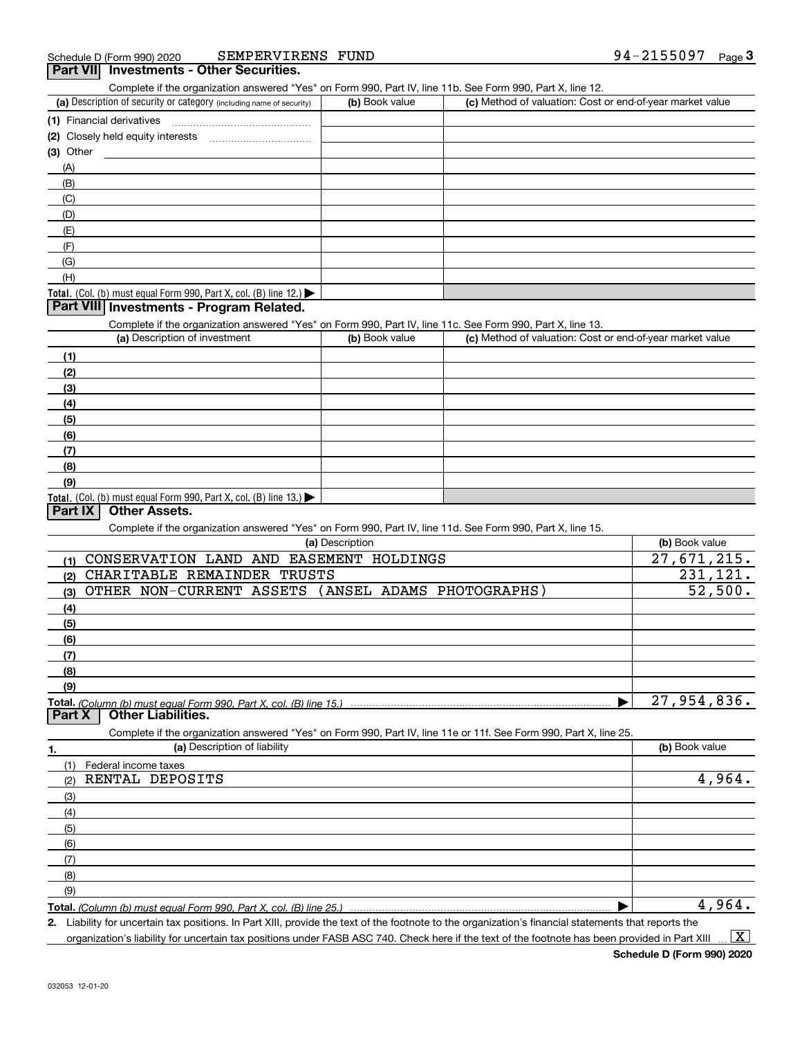| SEMPERVIRENS FUND<br>Schedule D (Form 990) 2020                                                                   |                 |                                                           | 94-2155097<br>Page $3$    |
|-------------------------------------------------------------------------------------------------------------------|-----------------|-----------------------------------------------------------|---------------------------|
| Part VII Investments - Other Securities.                                                                          |                 |                                                           |                           |
| Complete if the organization answered "Yes" on Form 990, Part IV, line 11b. See Form 990, Part X, line 12.        |                 |                                                           |                           |
| (a) Description of security or category (including name of security)                                              | (b) Book value  | (c) Method of valuation: Cost or end-of-year market value |                           |
|                                                                                                                   |                 |                                                           |                           |
|                                                                                                                   |                 |                                                           |                           |
| (3) Other                                                                                                         |                 |                                                           |                           |
| (A)                                                                                                               |                 |                                                           |                           |
| (B)                                                                                                               |                 |                                                           |                           |
| (C)                                                                                                               |                 |                                                           |                           |
| (D)                                                                                                               |                 |                                                           |                           |
| (E)                                                                                                               |                 |                                                           |                           |
| (F)                                                                                                               |                 |                                                           |                           |
| (G)                                                                                                               |                 |                                                           |                           |
| (H)                                                                                                               |                 |                                                           |                           |
| Total. (Col. (b) must equal Form 990, Part X, col. (B) line 12.)                                                  |                 |                                                           |                           |
| Part VIII Investments - Program Related.                                                                          |                 |                                                           |                           |
| Complete if the organization answered "Yes" on Form 990, Part IV, line 11c. See Form 990, Part X, line 13.        |                 |                                                           |                           |
| (a) Description of investment                                                                                     | (b) Book value  | (c) Method of valuation: Cost or end-of-year market value |                           |
| (1)                                                                                                               |                 |                                                           |                           |
| (2)                                                                                                               |                 |                                                           |                           |
| (3)                                                                                                               |                 |                                                           |                           |
| (4)                                                                                                               |                 |                                                           |                           |
| (5)                                                                                                               |                 |                                                           |                           |
| (6)                                                                                                               |                 |                                                           |                           |
| (7)                                                                                                               |                 |                                                           |                           |
| (8)                                                                                                               |                 |                                                           |                           |
| (9)                                                                                                               |                 |                                                           |                           |
| Total. (Col. (b) must equal Form 990, Part X, col. (B) line 13.)                                                  |                 |                                                           |                           |
| <b>Part IX</b><br><b>Other Assets.</b>                                                                            |                 |                                                           |                           |
| Complete if the organization answered "Yes" on Form 990, Part IV, line 11d. See Form 990, Part X, line 15.        |                 |                                                           |                           |
|                                                                                                                   | (a) Description |                                                           | (b) Book value            |
| CONSERVATION LAND AND EASEMENT HOLDINGS<br>(1)                                                                    |                 |                                                           | 27,671,215.               |
| CHARITABLE REMAINDER TRUSTS<br>(2)                                                                                |                 |                                                           | 231, 121.                 |
| OTHER NON-CURRENT ASSETS (ANSEL ADAMS PHOTOGRAPHS)<br>(3)                                                         |                 |                                                           | 52,500.                   |
| (4)                                                                                                               |                 |                                                           |                           |
| (5)                                                                                                               |                 |                                                           |                           |
| (6)                                                                                                               |                 |                                                           |                           |
| (7)                                                                                                               |                 |                                                           |                           |
| (8)                                                                                                               |                 |                                                           |                           |
| (9)                                                                                                               |                 |                                                           |                           |
|                                                                                                                   |                 |                                                           | $\overline{27,954,836}$ . |
| <b>Other Liabilities.</b><br><b>Part X</b>                                                                        |                 |                                                           |                           |
| Complete if the organization answered "Yes" on Form 990, Part IV, line 11e or 11f. See Form 990, Part X, line 25. |                 |                                                           |                           |
| (a) Description of liability<br>1.                                                                                |                 |                                                           | (b) Book value            |
| (1)<br>Federal income taxes                                                                                       |                 |                                                           |                           |
| RENTAL DEPOSITS<br>(2)                                                                                            |                 |                                                           | 4,964.                    |
| (3)                                                                                                               |                 |                                                           |                           |
| (4)                                                                                                               |                 |                                                           |                           |
| (5)                                                                                                               |                 |                                                           |                           |
| (6)                                                                                                               |                 |                                                           |                           |
| (7)                                                                                                               |                 |                                                           |                           |
| (8)                                                                                                               |                 |                                                           |                           |
| (9)                                                                                                               |                 |                                                           |                           |
| Total. (Column (b) must equal Form 990. Part X, col. (B) line 25.)                                                |                 |                                                           | 4,964.                    |
|                                                                                                                   |                 |                                                           |                           |

**Total.**  *(Column (b) must equal Form 990, Part X, col. (B) line 25.)* 

**2.** Liability for uncertain tax positions. In Part XIII, provide the text of the footnote to the organization's financial statements that reports the organization's liability for uncertain tax positions under FASB ASC 740. Check here if the text of the footnote has been provided in Part XIII  $\vert$  X  $\vert$ 

**Schedule D (Form 990) 2020**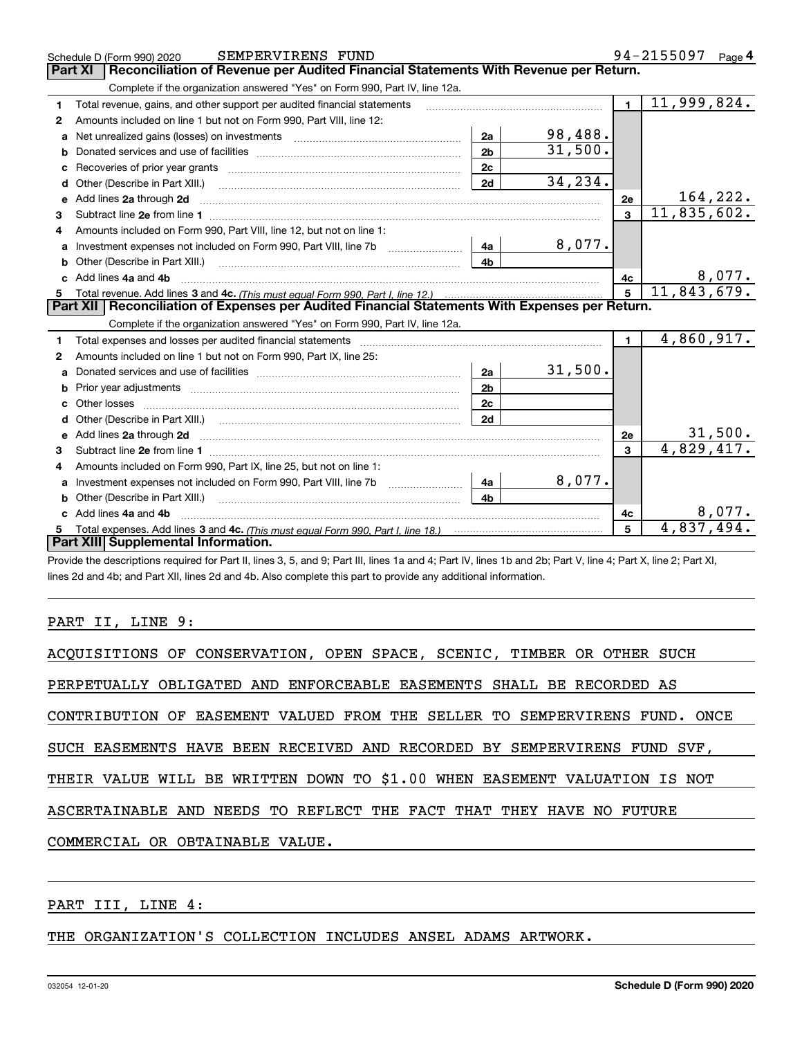|    | SEMPERVIRENS FUND<br>Schedule D (Form 990) 2020                                                                                                                                                                                     |                |         |                | 94-2155097<br>Page $4$       |
|----|-------------------------------------------------------------------------------------------------------------------------------------------------------------------------------------------------------------------------------------|----------------|---------|----------------|------------------------------|
|    | Reconciliation of Revenue per Audited Financial Statements With Revenue per Return.<br>Part XI                                                                                                                                      |                |         |                |                              |
|    | Complete if the organization answered "Yes" on Form 990, Part IV, line 12a.                                                                                                                                                         |                |         |                |                              |
| 1  | Total revenue, gains, and other support per audited financial statements                                                                                                                                                            |                |         | $\blacksquare$ | 11,999,824.                  |
| 2  | Amounts included on line 1 but not on Form 990. Part VIII, line 12:                                                                                                                                                                 |                |         |                |                              |
| a  |                                                                                                                                                                                                                                     | 2a             | 98,488. |                |                              |
|    |                                                                                                                                                                                                                                     | 2 <sub>b</sub> | 31,500. |                |                              |
|    |                                                                                                                                                                                                                                     | 2c             |         |                |                              |
| d  | Other (Describe in Part XIII.) <b>Construction Contract Construction</b> Chemical Construction Chemical Chemical Chemical Chemical Chemical Chemical Chemical Chemical Chemical Chemical Chemical Chemical Chemical Chemical Chemic | 2d             | 34,234. |                |                              |
| е  | Add lines 2a through 2d                                                                                                                                                                                                             |                |         | 2e             | <u> 164,222.</u>             |
| 3  |                                                                                                                                                                                                                                     |                |         | $\mathbf{3}$   | 11,835,602.                  |
| 4  | Amounts included on Form 990, Part VIII, line 12, but not on line 1:                                                                                                                                                                |                |         |                |                              |
|    |                                                                                                                                                                                                                                     | 4a             | 8,077.  |                |                              |
|    |                                                                                                                                                                                                                                     | 4 <sub>h</sub> |         |                |                              |
| c. | Add lines 4a and 4b                                                                                                                                                                                                                 |                |         | 4с             | $\frac{8,077.}{11,843,679.}$ |
|    |                                                                                                                                                                                                                                     |                |         | $\overline{5}$ |                              |
|    |                                                                                                                                                                                                                                     |                |         |                |                              |
|    | Part XII   Reconciliation of Expenses per Audited Financial Statements With Expenses per Return.                                                                                                                                    |                |         |                |                              |
|    | Complete if the organization answered "Yes" on Form 990, Part IV, line 12a.                                                                                                                                                         |                |         |                |                              |
| 1  | Total expenses and losses per audited financial statements [11, 11] manuscription control expenses and losses per audited financial statements [11] manuscription of the statements [11] manuscription of the statements [11]       |                |         | $\mathbf{1}$   | 4,860,917.                   |
| 2  | Amounts included on line 1 but not on Form 990, Part IX, line 25:                                                                                                                                                                   |                |         |                |                              |
| a  |                                                                                                                                                                                                                                     | 2a             | 31,500. |                |                              |
|    |                                                                                                                                                                                                                                     | 2 <sub>b</sub> |         |                |                              |
| c  |                                                                                                                                                                                                                                     | 2c             |         |                |                              |
|    |                                                                                                                                                                                                                                     | 2d             |         |                |                              |
|    | Add lines 2a through 2d <b>contained a contained a contained a contained a</b> contained a contained a contained a contained a contained a contained a contained a contained a contained a contained a contained a contained a cont |                |         | 2e             |                              |
| 3  |                                                                                                                                                                                                                                     |                |         | $\mathbf{3}$   | $\frac{31,500}{4,829,417}$   |
| 4  | Amounts included on Form 990, Part IX, line 25, but not on line 1:                                                                                                                                                                  |                |         |                |                              |
| a  |                                                                                                                                                                                                                                     | 4a             | 8,077.  |                |                              |
| b  | Other (Describe in Part XIII.) <b>Construction Contract Construction</b> Chemical Construction Chemical Chemical Chemical Chemical Chemical Chemical Chemical Chemical Chemical Chemical Chemical Chemical Chemical Chemical Chemic | 4b             |         |                |                              |
|    | Add lines 4a and 4b                                                                                                                                                                                                                 |                |         | 4c             | 8,077.                       |
|    | Part XIII Supplemental Information.                                                                                                                                                                                                 |                |         | 5              | 4,837,494.                   |

Provide the descriptions required for Part II, lines 3, 5, and 9; Part III, lines 1a and 4; Part IV, lines 1b and 2b; Part V, line 4; Part X, line 2; Part XI, lines 2d and 4b; and Part XII, lines 2d and 4b. Also complete this part to provide any additional information.

## PART II, LINE 9:

| ACQUISITIONS OF CONSERVATION, OPEN SPACE, SCENIC, TIMBER OR OTHER SUCH     |
|----------------------------------------------------------------------------|
| PERPETUALLY OBLIGATED AND ENFORCEABLE EASEMENTS SHALL BE RECORDED AS       |
| CONTRIBUTION OF EASEMENT VALUED FROM THE SELLER TO SEMPERVIRENS FUND. ONCE |
| SUCH EASEMENTS HAVE BEEN RECEIVED AND RECORDED BY SEMPERVIRENS FUND SVF.   |
| THEIR VALUE WILL BE WRITTEN DOWN TO \$1.00 WHEN EASEMENT VALUATION IS NOT  |
| ASCERTAINABLE AND NEEDS TO REFLECT THE FACT THAT THEY HAVE NO FUTURE       |
| COMMERCIAL OR OBTAINABLE VALUE.                                            |
|                                                                            |

PART III, LINE 4:

THE ORGANIZATION'S COLLECTION INCLUDES ANSEL ADAMS ARTWORK.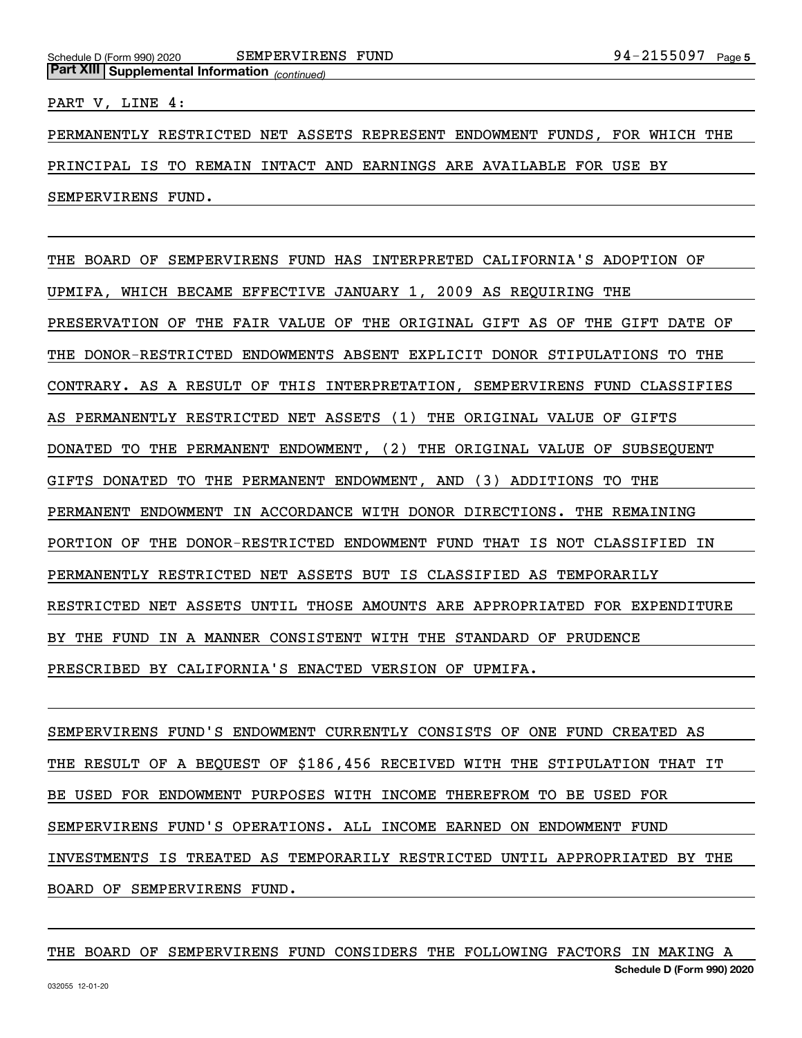PART V, LINE 4:

PERMANENTLY RESTRICTED NET ASSETS REPRESENT ENDOWMENT FUNDS, FOR WHICH THE PRINCIPAL IS TO REMAIN INTACT AND EARNINGS ARE AVAILABLE FOR USE BY SEMPERVIRENS FUND.

THE BOARD OF SEMPERVIRENS FUND HAS INTERPRETED CALIFORNIA'S ADOPTION OF UPMIFA, WHICH BECAME EFFECTIVE JANUARY 1, 2009 AS REQUIRING THE PRESERVATION OF THE FAIR VALUE OF THE ORIGINAL GIFT AS OF THE GIFT DATE OF THE DONOR-RESTRICTED ENDOWMENTS ABSENT EXPLICIT DONOR STIPULATIONS TO THE CONTRARY. AS A RESULT OF THIS INTERPRETATION, SEMPERVIRENS FUND CLASSIFIES AS PERMANENTLY RESTRICTED NET ASSETS (1) THE ORIGINAL VALUE OF GIFTS DONATED TO THE PERMANENT ENDOWMENT, (2) THE ORIGINAL VALUE OF SUBSEQUENT GIFTS DONATED TO THE PERMANENT ENDOWMENT, AND (3) ADDITIONS TO THE PERMANENT ENDOWMENT IN ACCORDANCE WITH DONOR DIRECTIONS. THE REMAINING PORTION OF THE DONOR-RESTRICTED ENDOWMENT FUND THAT IS NOT CLASSIFIED IN PERMANENTLY RESTRICTED NET ASSETS BUT IS CLASSIFIED AS TEMPORARILY RESTRICTED NET ASSETS UNTIL THOSE AMOUNTS ARE APPROPRIATED FOR EXPENDITURE BY THE FUND IN A MANNER CONSISTENT WITH THE STANDARD OF PRUDENCE PRESCRIBED BY CALIFORNIA'S ENACTED VERSION OF UPMIFA.

SEMPERVIRENS FUND'S ENDOWMENT CURRENTLY CONSISTS OF ONE FUND CREATED AS THE RESULT OF A BEQUEST OF \$186,456 RECEIVED WITH THE STIPULATION THAT IT BE USED FOR ENDOWMENT PURPOSES WITH INCOME THEREFROM TO BE USED FOR SEMPERVIRENS FUND'S OPERATIONS. ALL INCOME EARNED ON ENDOWMENT FUND INVESTMENTS IS TREATED AS TEMPORARILY RESTRICTED UNTIL APPROPRIATED BY THE BOARD OF SEMPERVIRENS FUND.

# **Schedule D (Form 990) 2020** THE BOARD OF SEMPERVIRENS FUND CONSIDERS THE FOLLOWING FACTORS IN MAKING A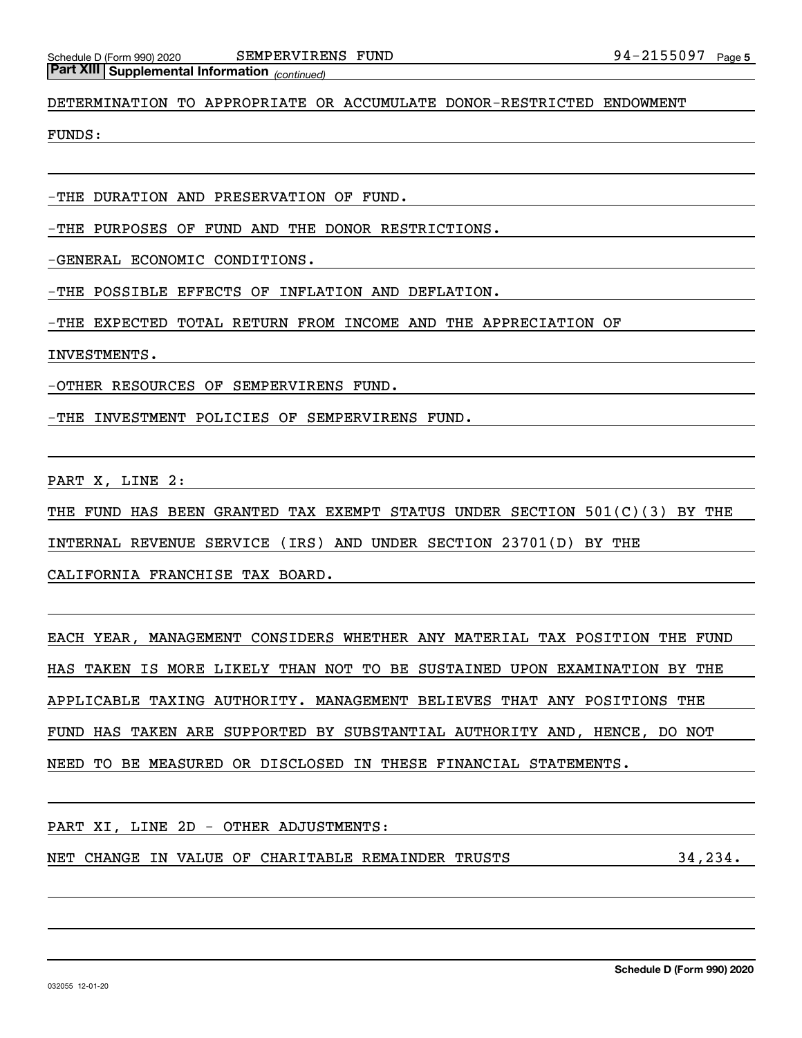Schedule D (Form 990) 2020 SEMPERVIRENS FUND 9 4-2155097 Page

*(continued)* **Part XIII Supplemental Information** 

#### DETERMINATION TO APPROPRIATE OR ACCUMULATE DONOR-RESTRICTED ENDOWMENT

FUNDS:

-THE DURATION AND PRESERVATION OF FUND.

-THE PURPOSES OF FUND AND THE DONOR RESTRICTIONS.

-GENERAL ECONOMIC CONDITIONS.

-THE POSSIBLE EFFECTS OF INFLATION AND DEFLATION.

-THE EXPECTED TOTAL RETURN FROM INCOME AND THE APPRECIATION OF

### INVESTMENTS.

-OTHER RESOURCES OF SEMPERVIRENS FUND.

-THE INVESTMENT POLICIES OF SEMPERVIRENS FUND.

PART X, LINE 2:

THE FUND HAS BEEN GRANTED TAX EXEMPT STATUS UNDER SECTION 501(C)(3) BY THE

INTERNAL REVENUE SERVICE (IRS) AND UNDER SECTION 23701(D) BY THE

CALIFORNIA FRANCHISE TAX BOARD.

EACH YEAR, MANAGEMENT CONSIDERS WHETHER ANY MATERIAL TAX POSITION THE FUND HAS TAKEN IS MORE LIKELY THAN NOT TO BE SUSTAINED UPON EXAMINATION BY THE APPLICABLE TAXING AUTHORITY. MANAGEMENT BELIEVES THAT ANY POSITIONS THE FUND HAS TAKEN ARE SUPPORTED BY SUBSTANTIAL AUTHORITY AND, HENCE, DO NOT NEED TO BE MEASURED OR DISCLOSED IN THESE FINANCIAL STATEMENTS.

PART XI, LINE 2D - OTHER ADJUSTMENTS:

NET CHANGE IN VALUE OF CHARITABLE REMAINDER TRUSTS 34,234.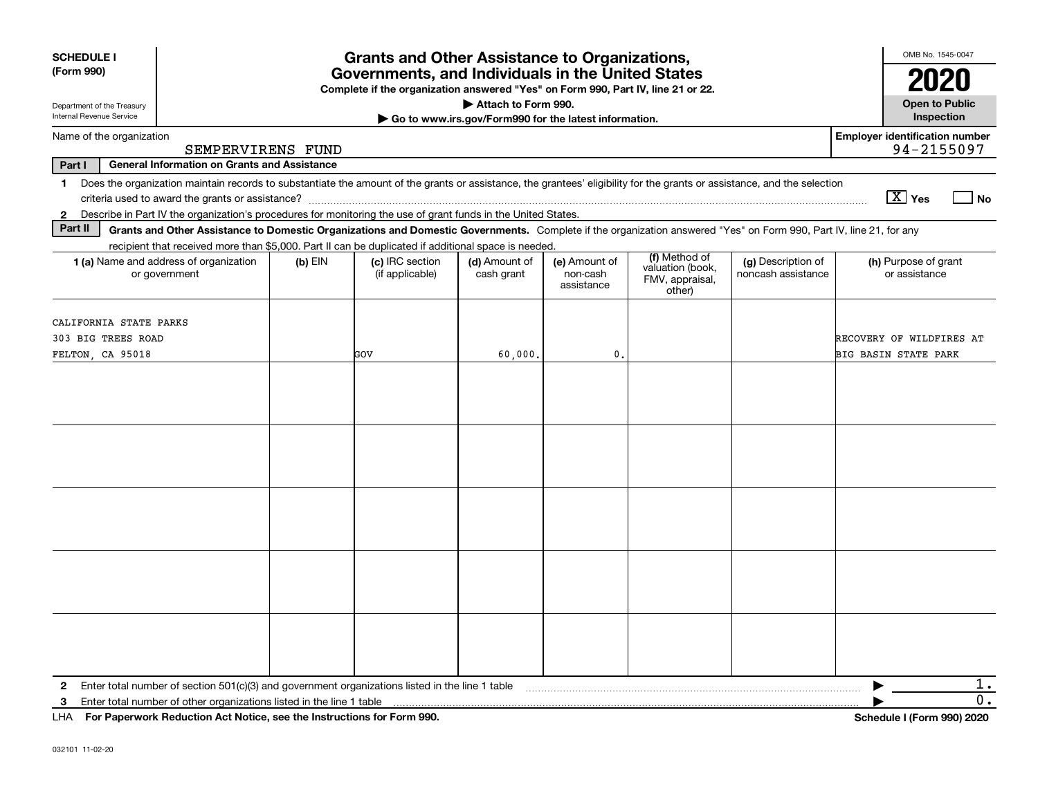| <b>SCHEDULE I</b><br>(Form 990)                                  |                                                                                                                                                                                                                                                                           |           | <b>Grants and Other Assistance to Organizations,</b><br>Governments, and Individuals in the United States |                                                       |                                         |                                                                |                                          | OMB No. 1545-0047<br>2020                           |
|------------------------------------------------------------------|---------------------------------------------------------------------------------------------------------------------------------------------------------------------------------------------------------------------------------------------------------------------------|-----------|-----------------------------------------------------------------------------------------------------------|-------------------------------------------------------|-----------------------------------------|----------------------------------------------------------------|------------------------------------------|-----------------------------------------------------|
|                                                                  |                                                                                                                                                                                                                                                                           |           | Complete if the organization answered "Yes" on Form 990, Part IV, line 21 or 22.                          | Attach to Form 990.                                   |                                         |                                                                |                                          | <b>Open to Public</b>                               |
| Department of the Treasury<br>Internal Revenue Service           |                                                                                                                                                                                                                                                                           |           |                                                                                                           | Go to www.irs.gov/Form990 for the latest information. |                                         |                                                                |                                          | Inspection                                          |
| Name of the organization                                         | SEMPERVIRENS FUND                                                                                                                                                                                                                                                         |           |                                                                                                           |                                                       |                                         |                                                                |                                          | <b>Employer identification number</b><br>94-2155097 |
| Part I                                                           | <b>General Information on Grants and Assistance</b>                                                                                                                                                                                                                       |           |                                                                                                           |                                                       |                                         |                                                                |                                          |                                                     |
| $\mathbf 1$                                                      | Does the organization maintain records to substantiate the amount of the grants or assistance, the grantees' eligibility for the grants or assistance, and the selection                                                                                                  |           |                                                                                                           |                                                       |                                         |                                                                |                                          | $\boxed{\text{X}}$ Yes<br>⊿ No                      |
| $\mathbf{2}$<br>Part II                                          | Describe in Part IV the organization's procedures for monitoring the use of grant funds in the United States.                                                                                                                                                             |           |                                                                                                           |                                                       |                                         |                                                                |                                          |                                                     |
|                                                                  | Grants and Other Assistance to Domestic Organizations and Domestic Governments. Complete if the organization answered "Yes" on Form 990, Part IV, line 21, for any<br>recipient that received more than \$5,000. Part II can be duplicated if additional space is needed. |           |                                                                                                           |                                                       |                                         |                                                                |                                          |                                                     |
|                                                                  | 1 (a) Name and address of organization<br>or government                                                                                                                                                                                                                   | $(b)$ EIN | (c) IRC section<br>(if applicable)                                                                        | (d) Amount of<br>cash grant                           | (e) Amount of<br>non-cash<br>assistance | (f) Method of<br>valuation (book,<br>FMV, appraisal,<br>other) | (g) Description of<br>noncash assistance | (h) Purpose of grant<br>or assistance               |
| CALIFORNIA STATE PARKS<br>303 BIG TREES ROAD<br>FELTON, CA 95018 |                                                                                                                                                                                                                                                                           |           | GOV                                                                                                       | 60,000,                                               | $\mathbf{0}$                            |                                                                |                                          | RECOVERY OF WILDFIRES AT<br>BIG BASIN STATE PARK    |
|                                                                  |                                                                                                                                                                                                                                                                           |           |                                                                                                           |                                                       |                                         |                                                                |                                          |                                                     |
|                                                                  |                                                                                                                                                                                                                                                                           |           |                                                                                                           |                                                       |                                         |                                                                |                                          |                                                     |
|                                                                  |                                                                                                                                                                                                                                                                           |           |                                                                                                           |                                                       |                                         |                                                                |                                          |                                                     |
|                                                                  |                                                                                                                                                                                                                                                                           |           |                                                                                                           |                                                       |                                         |                                                                |                                          |                                                     |
|                                                                  |                                                                                                                                                                                                                                                                           |           |                                                                                                           |                                                       |                                         |                                                                |                                          |                                                     |
| $\mathbf{2}$                                                     | Enter total number of section 501(c)(3) and government organizations listed in the line 1 table                                                                                                                                                                           |           |                                                                                                           |                                                       |                                         |                                                                |                                          | $1$ .                                               |
| 3                                                                | Enter total number of other organizations listed in the line 1 table                                                                                                                                                                                                      |           |                                                                                                           |                                                       |                                         |                                                                |                                          | $\overline{0}$ .                                    |
|                                                                  | LHA For Paperwork Reduction Act Notice, see the Instructions for Form 990.                                                                                                                                                                                                |           |                                                                                                           |                                                       |                                         |                                                                |                                          | Schedule I (Form 990) 2020                          |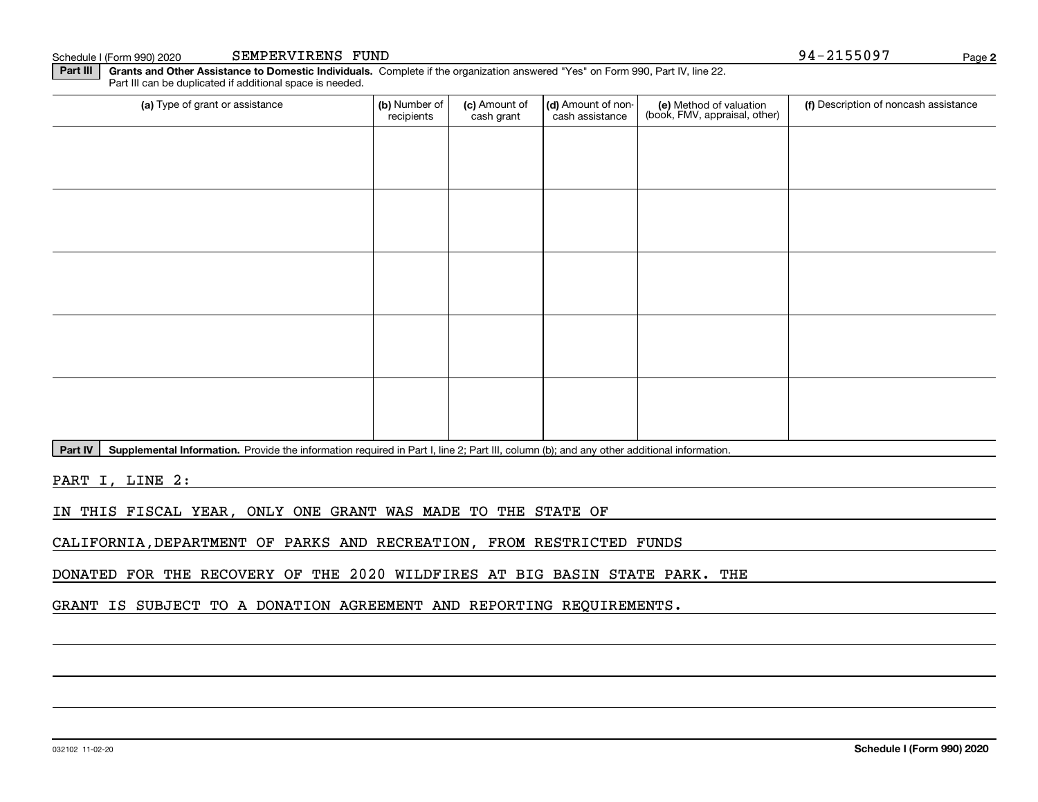**2**Schedule I (Form 990) 2020 **SEMPERVIRENS FUND** 9 4-21550 9 7 Page

**Part III | Grants and Other Assistance to Domestic Individuals. Complete if the organization answered "Yes" on Form 990, Part IV, line 22.** Part III can be duplicated if additional space is needed.

| (a) Type of grant or assistance | (b) Number of<br>recipients | (c) Amount of<br>cash grant | (d) Amount of non-<br>cash assistance | (e) Method of valuation<br>(book, FMV, appraisal, other) | (f) Description of noncash assistance |
|---------------------------------|-----------------------------|-----------------------------|---------------------------------------|----------------------------------------------------------|---------------------------------------|
|                                 |                             |                             |                                       |                                                          |                                       |
|                                 |                             |                             |                                       |                                                          |                                       |
|                                 |                             |                             |                                       |                                                          |                                       |
|                                 |                             |                             |                                       |                                                          |                                       |
|                                 |                             |                             |                                       |                                                          |                                       |
|                                 |                             |                             |                                       |                                                          |                                       |
|                                 |                             |                             |                                       |                                                          |                                       |
|                                 |                             |                             |                                       |                                                          |                                       |
|                                 |                             |                             |                                       |                                                          |                                       |
|                                 |                             |                             |                                       |                                                          |                                       |

Part IV | Supplemental Information. Provide the information required in Part I, line 2; Part III, column (b); and any other additional information.

PART I, LINE 2:

IN THIS FISCAL YEAR, ONLY ONE GRANT WAS MADE TO THE STATE OF

CALIFORNIA,DEPARTMENT OF PARKS AND RECREATION, FROM RESTRICTED FUNDS

DONATED FOR THE RECOVERY OF THE 2020 WILDFIRES AT BIG BASIN STATE PARK. THE

GRANT IS SUBJECT TO A DONATION AGREEMENT AND REPORTING REQUIREMENTS.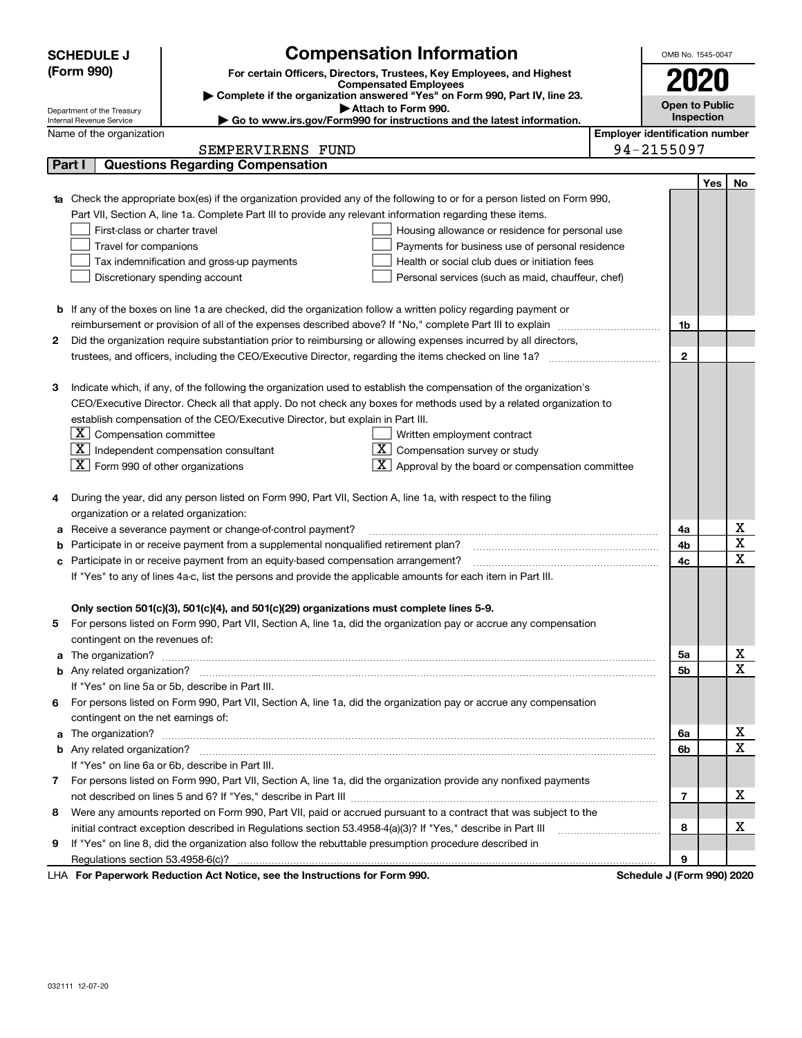|                                                                                                                    | <b>Compensation Information</b><br><b>SCHEDULE J</b>                                                                             |                                                                                                                                                                                                                                      |  |      | OMB No. 1545-0047                     |                       |             |  |
|--------------------------------------------------------------------------------------------------------------------|----------------------------------------------------------------------------------------------------------------------------------|--------------------------------------------------------------------------------------------------------------------------------------------------------------------------------------------------------------------------------------|--|------|---------------------------------------|-----------------------|-------------|--|
|                                                                                                                    | (Form 990)<br>For certain Officers, Directors, Trustees, Key Employees, and Highest                                              |                                                                                                                                                                                                                                      |  |      |                                       |                       |             |  |
|                                                                                                                    | <b>Compensated Employees</b><br>Complete if the organization answered "Yes" on Form 990, Part IV, line 23.                       |                                                                                                                                                                                                                                      |  | 2020 |                                       |                       |             |  |
|                                                                                                                    | Attach to Form 990.                                                                                                              |                                                                                                                                                                                                                                      |  |      |                                       | <b>Open to Public</b> |             |  |
|                                                                                                                    | Department of the Treasury<br>Go to www.irs.gov/Form990 for instructions and the latest information.<br>Internal Revenue Service |                                                                                                                                                                                                                                      |  |      |                                       | Inspection            |             |  |
|                                                                                                                    | Name of the organization                                                                                                         |                                                                                                                                                                                                                                      |  |      | <b>Employer identification number</b> |                       |             |  |
|                                                                                                                    |                                                                                                                                  | SEMPERVIRENS FUND                                                                                                                                                                                                                    |  |      | 94-2155097                            |                       |             |  |
|                                                                                                                    | Part I                                                                                                                           | <b>Questions Regarding Compensation</b>                                                                                                                                                                                              |  |      |                                       |                       |             |  |
|                                                                                                                    |                                                                                                                                  |                                                                                                                                                                                                                                      |  |      |                                       | Yes                   | No          |  |
|                                                                                                                    |                                                                                                                                  | 1a Check the appropriate box(es) if the organization provided any of the following to or for a person listed on Form 990,                                                                                                            |  |      |                                       |                       |             |  |
|                                                                                                                    |                                                                                                                                  | Part VII, Section A, line 1a. Complete Part III to provide any relevant information regarding these items.                                                                                                                           |  |      |                                       |                       |             |  |
|                                                                                                                    | First-class or charter travel                                                                                                    | Housing allowance or residence for personal use                                                                                                                                                                                      |  |      |                                       |                       |             |  |
|                                                                                                                    | Travel for companions                                                                                                            | Payments for business use of personal residence                                                                                                                                                                                      |  |      |                                       |                       |             |  |
|                                                                                                                    |                                                                                                                                  | Health or social club dues or initiation fees<br>Tax indemnification and gross-up payments                                                                                                                                           |  |      |                                       |                       |             |  |
|                                                                                                                    |                                                                                                                                  | Discretionary spending account<br>Personal services (such as maid, chauffeur, chef)                                                                                                                                                  |  |      |                                       |                       |             |  |
|                                                                                                                    |                                                                                                                                  |                                                                                                                                                                                                                                      |  |      |                                       |                       |             |  |
|                                                                                                                    |                                                                                                                                  | <b>b</b> If any of the boxes on line 1a are checked, did the organization follow a written policy regarding payment or                                                                                                               |  |      |                                       |                       |             |  |
|                                                                                                                    |                                                                                                                                  |                                                                                                                                                                                                                                      |  |      | 1b                                    |                       |             |  |
| 2                                                                                                                  |                                                                                                                                  | Did the organization require substantiation prior to reimbursing or allowing expenses incurred by all directors,                                                                                                                     |  |      |                                       |                       |             |  |
|                                                                                                                    |                                                                                                                                  |                                                                                                                                                                                                                                      |  |      | $\mathbf{2}$                          |                       |             |  |
|                                                                                                                    |                                                                                                                                  |                                                                                                                                                                                                                                      |  |      |                                       |                       |             |  |
| З                                                                                                                  |                                                                                                                                  | Indicate which, if any, of the following the organization used to establish the compensation of the organization's                                                                                                                   |  |      |                                       |                       |             |  |
| CEO/Executive Director. Check all that apply. Do not check any boxes for methods used by a related organization to |                                                                                                                                  |                                                                                                                                                                                                                                      |  |      |                                       |                       |             |  |
|                                                                                                                    | establish compensation of the CEO/Executive Director, but explain in Part III.                                                   |                                                                                                                                                                                                                                      |  |      |                                       |                       |             |  |
|                                                                                                                    | $X$ Compensation committee                                                                                                       | Written employment contract                                                                                                                                                                                                          |  |      |                                       |                       |             |  |
|                                                                                                                    |                                                                                                                                  | $X$ Independent compensation consultant<br>$X$ Compensation survey or study                                                                                                                                                          |  |      |                                       |                       |             |  |
|                                                                                                                    | $\boxed{\text{X}}$ Form 990 of other organizations                                                                               | $\lfloor x \rfloor$ Approval by the board or compensation committee                                                                                                                                                                  |  |      |                                       |                       |             |  |
|                                                                                                                    |                                                                                                                                  |                                                                                                                                                                                                                                      |  |      |                                       |                       |             |  |
| 4                                                                                                                  |                                                                                                                                  | During the year, did any person listed on Form 990, Part VII, Section A, line 1a, with respect to the filing                                                                                                                         |  |      |                                       |                       |             |  |
|                                                                                                                    | organization or a related organization:                                                                                          |                                                                                                                                                                                                                                      |  |      |                                       |                       | x           |  |
| а                                                                                                                  |                                                                                                                                  | Receive a severance payment or change-of-control payment?                                                                                                                                                                            |  |      | 4a                                    |                       | X           |  |
|                                                                                                                    | Participate in or receive payment from a supplemental nonqualified retirement plan?<br>b                                         |                                                                                                                                                                                                                                      |  |      | 4b<br>4с                              |                       | $\mathbf X$ |  |
| Participate in or receive payment from an equity-based compensation arrangement?<br>c                              |                                                                                                                                  |                                                                                                                                                                                                                                      |  |      |                                       |                       |             |  |
| If "Yes" to any of lines 4a-c, list the persons and provide the applicable amounts for each item in Part III.      |                                                                                                                                  |                                                                                                                                                                                                                                      |  |      |                                       |                       |             |  |
|                                                                                                                    |                                                                                                                                  | Only section 501(c)(3), 501(c)(4), and 501(c)(29) organizations must complete lines 5-9.                                                                                                                                             |  |      |                                       |                       |             |  |
|                                                                                                                    |                                                                                                                                  | For persons listed on Form 990, Part VII, Section A, line 1a, did the organization pay or accrue any compensation                                                                                                                    |  |      |                                       |                       |             |  |
|                                                                                                                    | contingent on the revenues of:                                                                                                   |                                                                                                                                                                                                                                      |  |      |                                       |                       |             |  |
|                                                                                                                    |                                                                                                                                  | a The organization? <b>With the Constitution of the Constitution</b> of the Constitution of the Constitution of the Constitution of the Constitution of the Constitution of the Constitution of the Constitution of the Constitutio  |  |      | 5а                                    |                       | х           |  |
|                                                                                                                    |                                                                                                                                  |                                                                                                                                                                                                                                      |  |      | 5b                                    |                       | х           |  |
|                                                                                                                    |                                                                                                                                  | If "Yes" on line 5a or 5b, describe in Part III.                                                                                                                                                                                     |  |      |                                       |                       |             |  |
| 6.                                                                                                                 |                                                                                                                                  | For persons listed on Form 990, Part VII, Section A, line 1a, did the organization pay or accrue any compensation                                                                                                                    |  |      |                                       |                       |             |  |
|                                                                                                                    | contingent on the net earnings of:                                                                                               |                                                                                                                                                                                                                                      |  |      |                                       |                       |             |  |
| a                                                                                                                  |                                                                                                                                  | The organization? <b>With the contract of the contract of the contract of the contract of the contract of the contract of the contract of the contract of the contract of the contract of the contract of the contract of the co</b> |  |      | 6a                                    |                       | х           |  |
|                                                                                                                    |                                                                                                                                  |                                                                                                                                                                                                                                      |  |      | 6b                                    |                       | X           |  |
|                                                                                                                    |                                                                                                                                  | If "Yes" on line 6a or 6b, describe in Part III.                                                                                                                                                                                     |  |      |                                       |                       |             |  |
|                                                                                                                    |                                                                                                                                  | 7 For persons listed on Form 990, Part VII, Section A, line 1a, did the organization provide any nonfixed payments                                                                                                                   |  |      |                                       |                       |             |  |
|                                                                                                                    |                                                                                                                                  |                                                                                                                                                                                                                                      |  |      | 7                                     |                       | х           |  |
| 8                                                                                                                  |                                                                                                                                  | Were any amounts reported on Form 990, Part VII, paid or accrued pursuant to a contract that was subject to the                                                                                                                      |  |      |                                       |                       |             |  |
|                                                                                                                    |                                                                                                                                  | initial contract exception described in Regulations section 53.4958-4(a)(3)? If "Yes," describe in Part III                                                                                                                          |  |      | 8                                     |                       | x           |  |
| 9                                                                                                                  |                                                                                                                                  | If "Yes" on line 8, did the organization also follow the rebuttable presumption procedure described in                                                                                                                               |  |      |                                       |                       |             |  |
|                                                                                                                    | 9                                                                                                                                |                                                                                                                                                                                                                                      |  |      |                                       |                       |             |  |
|                                                                                                                    |                                                                                                                                  | concepts Depleration. And National one that Instrumations for Forms 000.                                                                                                                                                             |  |      |                                       |                       |             |  |

LHA For Paperwork Reduction Act Notice, see the Instructions for Form 990. Schedule J (Form 990) 2020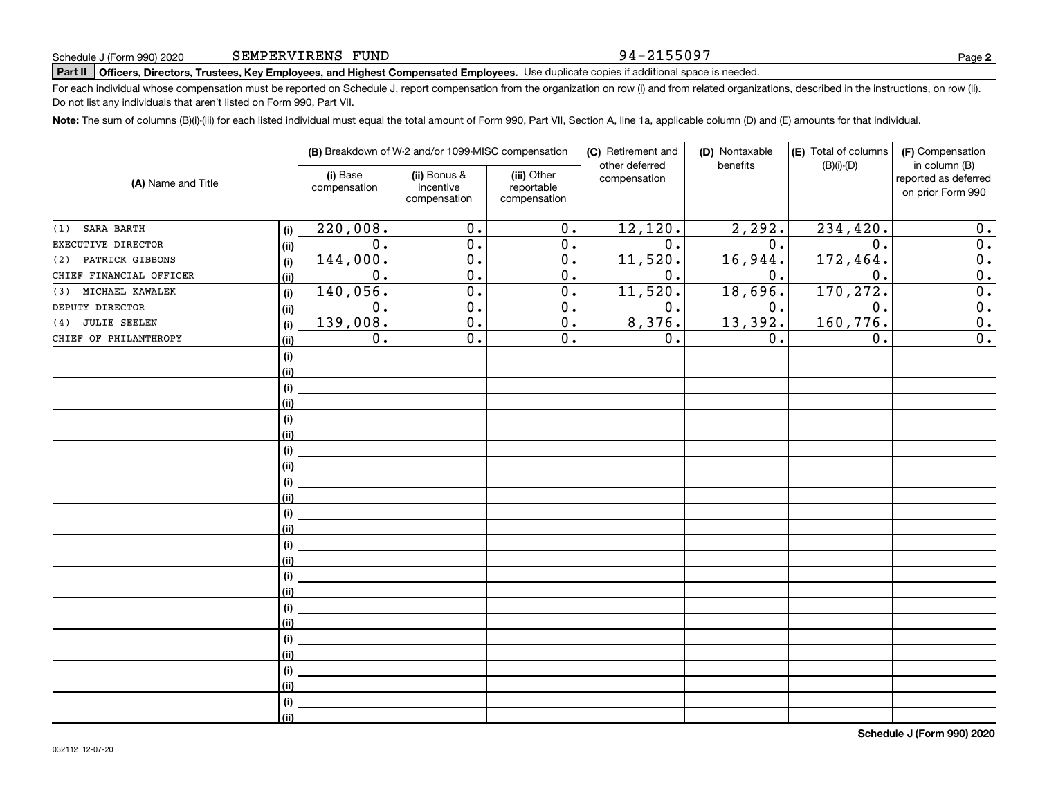# **Part II Officers, Directors, Trustees, Key Employees, and Highest Compensated Employees.**  Schedule J (Form 990) 2020 Page Use duplicate copies if additional space is needed.

For each individual whose compensation must be reported on Schedule J, report compensation from the organization on row (i) and from related organizations, described in the instructions, on row (ii). Do not list any individuals that aren't listed on Form 990, Part VII.

**Note:**  The sum of columns (B)(i)-(iii) for each listed individual must equal the total amount of Form 990, Part VII, Section A, line 1a, applicable column (D) and (E) amounts for that individual.

|                         |      |                          | (B) Breakdown of W-2 and/or 1099-MISC compensation |                                           | (C) Retirement and<br>other deferred | (D) Nontaxable<br>benefits | (E) Total of columns<br>$(B)(i)-(D)$ | (F) Compensation<br>in column (B)         |  |
|-------------------------|------|--------------------------|----------------------------------------------------|-------------------------------------------|--------------------------------------|----------------------------|--------------------------------------|-------------------------------------------|--|
| (A) Name and Title      |      | (i) Base<br>compensation | (ii) Bonus &<br>incentive<br>compensation          | (iii) Other<br>reportable<br>compensation | compensation                         |                            |                                      | reported as deferred<br>on prior Form 990 |  |
| SARA BARTH<br>(1)       | (i)  | 220,008.                 | 0.                                                 | 0.                                        | 12, 120.                             | 2,292.                     | 234,420.                             | 0.                                        |  |
| EXECUTIVE DIRECTOR      | (ii) | 0.                       | 0.                                                 | $\overline{0}$ .                          | $\overline{0}$ .                     | 0.                         | 0.                                   | $\overline{0}$ .                          |  |
| PATRICK GIBBONS<br>(2)  | (i)  | 144,000.                 | $\overline{0}$ .                                   | 0.                                        | 11,520.                              | 16,944.                    | 172,464.                             | $\overline{0}$ .                          |  |
| CHIEF FINANCIAL OFFICER | (ii) | 0.                       | $\overline{0}$ .                                   | 0.                                        | 0.                                   | 0.                         | 0.                                   | $\overline{\mathbf{0}}$ .                 |  |
| MICHAEL KAWALEK<br>(3)  | (i)  | $140,056$ .              | $\overline{0}$ .                                   | $\overline{0}$ .                          | 11,520.                              | 18,696.                    | 170, 272.                            | $\overline{\mathbf{0}}$ .                 |  |
| DEPUTY DIRECTOR         | (ii) | 0.                       | $\overline{0}$ .                                   | 0.                                        | 0.                                   | 0.                         | 0.                                   | $\overline{\mathbf{0}}$ .                 |  |
| JULIE SEELEN<br>(4)     | (i)  | 139,008.                 | $\overline{0}$ .                                   | $\overline{0}$ .                          | 8,376.                               | 13,392.                    | 160, 776.                            | $\overline{\mathbf{0}}$ .                 |  |
| CHIEF OF PHILANTHROPY   | (ii) | 0.                       | 0.                                                 | 0.                                        | 0.                                   | 0.                         | 0.                                   | $\overline{0}$ .                          |  |
|                         | (i)  |                          |                                                    |                                           |                                      |                            |                                      |                                           |  |
|                         | (ii) |                          |                                                    |                                           |                                      |                            |                                      |                                           |  |
|                         | (i)  |                          |                                                    |                                           |                                      |                            |                                      |                                           |  |
|                         | (ii) |                          |                                                    |                                           |                                      |                            |                                      |                                           |  |
|                         | (i)  |                          |                                                    |                                           |                                      |                            |                                      |                                           |  |
|                         | (ii) |                          |                                                    |                                           |                                      |                            |                                      |                                           |  |
|                         | (i)  |                          |                                                    |                                           |                                      |                            |                                      |                                           |  |
|                         | (ii) |                          |                                                    |                                           |                                      |                            |                                      |                                           |  |
|                         | (i)  |                          |                                                    |                                           |                                      |                            |                                      |                                           |  |
|                         | (ii) |                          |                                                    |                                           |                                      |                            |                                      |                                           |  |
|                         | (i)  |                          |                                                    |                                           |                                      |                            |                                      |                                           |  |
|                         | (ii) |                          |                                                    |                                           |                                      |                            |                                      |                                           |  |
|                         | (i)  |                          |                                                    |                                           |                                      |                            |                                      |                                           |  |
|                         | (ii) |                          |                                                    |                                           |                                      |                            |                                      |                                           |  |
|                         | (i)  |                          |                                                    |                                           |                                      |                            |                                      |                                           |  |
|                         | (ii) |                          |                                                    |                                           |                                      |                            |                                      |                                           |  |
|                         | (i)  |                          |                                                    |                                           |                                      |                            |                                      |                                           |  |
|                         | (ii) |                          |                                                    |                                           |                                      |                            |                                      |                                           |  |
|                         | (i)  |                          |                                                    |                                           |                                      |                            |                                      |                                           |  |
|                         | (ii) |                          |                                                    |                                           |                                      |                            |                                      |                                           |  |
|                         | (i)  |                          |                                                    |                                           |                                      |                            |                                      |                                           |  |
|                         | (ii) |                          |                                                    |                                           |                                      |                            |                                      |                                           |  |
|                         | (i)  |                          |                                                    |                                           |                                      |                            |                                      |                                           |  |
|                         | (ii) |                          |                                                    |                                           |                                      |                            |                                      |                                           |  |

94-2155097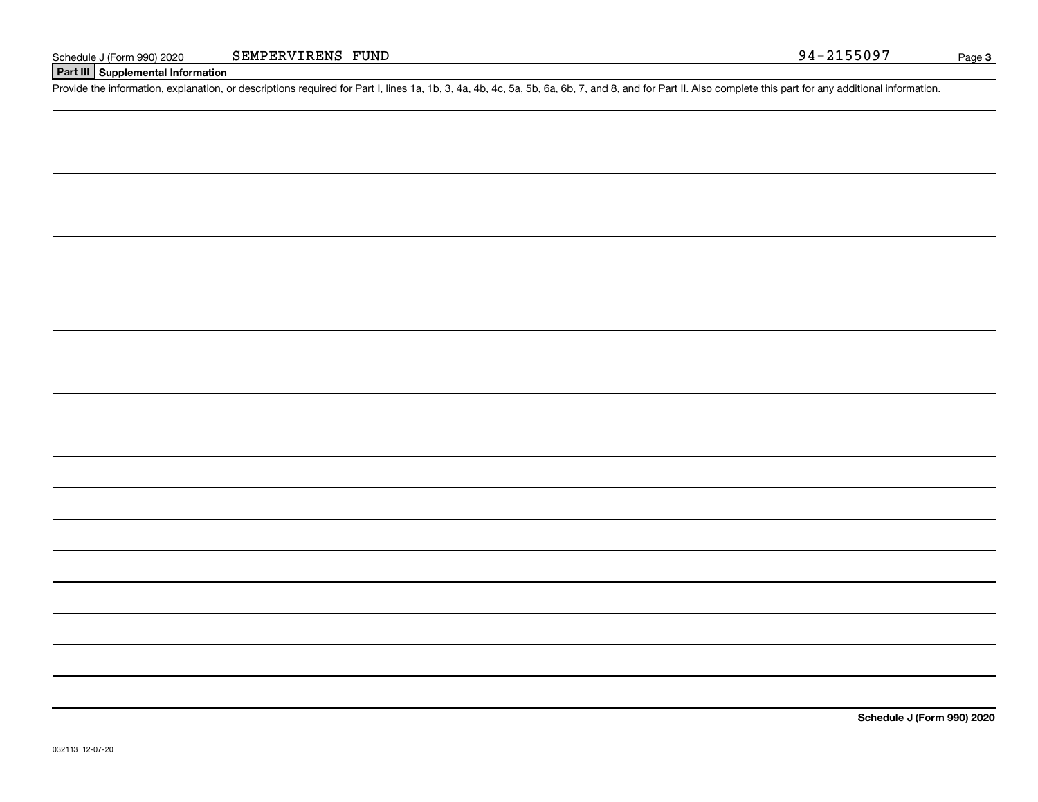# **Part III Supplemental Information**

Schedule J (Form 990) 2020 SEMPERVIRENS FUND<br>Part III Supplemental Information<br>Provide the information, explanation, or descriptions required for Part I, lines 1a, 1b, 3, 4a, 4b, 4c, 5a, 5b, 6a, 6b, 7, and 8, and for Part

**Schedule J (Form 990) 2020**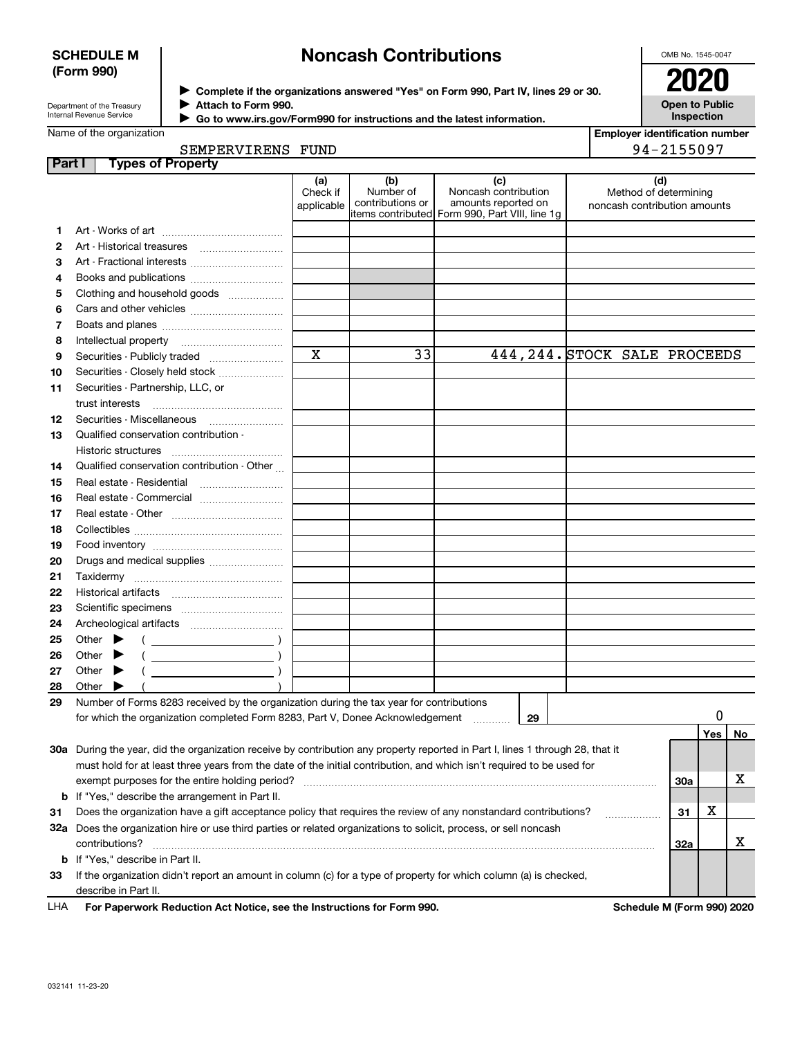## **SCHEDULE M (Form 990)**

# **Noncash Contributions**

OMB No. 1545-0047

Department of the Treasury Internal Revenue Service

**Complete if the organizations answered "Yes" on Form 990, Part IV, lines 29 or 30.** <sup>J</sup>**2020 Attach to Form 990.** J

 **Go to www.irs.gov/Form990 for instructions and the latest information.** J

**Open to Public Inspection**

| Name of the organization |
|--------------------------|
|--------------------------|

| SEMPERVIRENS FUND |
|-------------------|
|-------------------|

| <b>Employer identification number</b> |
|---------------------------------------|
| 94-2155097                            |

| Part I | <b>Types of Property</b>                                                                                                                                                 |                               |                                      |                                                                                                      |                                                              |     |     |    |
|--------|--------------------------------------------------------------------------------------------------------------------------------------------------------------------------|-------------------------------|--------------------------------------|------------------------------------------------------------------------------------------------------|--------------------------------------------------------------|-----|-----|----|
|        |                                                                                                                                                                          | (a)<br>Check if<br>applicable | (b)<br>Number of<br>contributions or | (c)<br>Noncash contribution<br>amounts reported on<br>items contributed Form 990, Part VIII, line 1g | (d)<br>Method of determining<br>noncash contribution amounts |     |     |    |
| 1      |                                                                                                                                                                          |                               |                                      |                                                                                                      |                                                              |     |     |    |
| 2      | Art - Historical treasures                                                                                                                                               |                               |                                      |                                                                                                      |                                                              |     |     |    |
| 3      | Art - Fractional interests                                                                                                                                               |                               |                                      |                                                                                                      |                                                              |     |     |    |
| 4      | Books and publications                                                                                                                                                   |                               |                                      |                                                                                                      |                                                              |     |     |    |
| 5      | Clothing and household goods                                                                                                                                             |                               |                                      |                                                                                                      |                                                              |     |     |    |
| 6      |                                                                                                                                                                          |                               |                                      |                                                                                                      |                                                              |     |     |    |
| 7      |                                                                                                                                                                          |                               |                                      |                                                                                                      |                                                              |     |     |    |
| 8      | Intellectual property                                                                                                                                                    |                               |                                      |                                                                                                      |                                                              |     |     |    |
| 9      | Securities - Publicly traded                                                                                                                                             | $\mathbf X$                   | 33                                   |                                                                                                      | 444, 244. STOCK SALE PROCEEDS                                |     |     |    |
| 10     | Securities - Closely held stock                                                                                                                                          |                               |                                      |                                                                                                      |                                                              |     |     |    |
| 11     | Securities - Partnership, LLC, or                                                                                                                                        |                               |                                      |                                                                                                      |                                                              |     |     |    |
|        | trust interests                                                                                                                                                          |                               |                                      |                                                                                                      |                                                              |     |     |    |
| 12     | Securities - Miscellaneous                                                                                                                                               |                               |                                      |                                                                                                      |                                                              |     |     |    |
| 13     | Qualified conservation contribution -                                                                                                                                    |                               |                                      |                                                                                                      |                                                              |     |     |    |
|        | Historic structures                                                                                                                                                      |                               |                                      |                                                                                                      |                                                              |     |     |    |
| 14     | Qualified conservation contribution - Other                                                                                                                              |                               |                                      |                                                                                                      |                                                              |     |     |    |
| 15     |                                                                                                                                                                          |                               |                                      |                                                                                                      |                                                              |     |     |    |
| 16     | Real estate - Commercial                                                                                                                                                 |                               |                                      |                                                                                                      |                                                              |     |     |    |
| 17     |                                                                                                                                                                          |                               |                                      |                                                                                                      |                                                              |     |     |    |
| 18     |                                                                                                                                                                          |                               |                                      |                                                                                                      |                                                              |     |     |    |
| 19     |                                                                                                                                                                          |                               |                                      |                                                                                                      |                                                              |     |     |    |
| 20     | Drugs and medical supplies                                                                                                                                               |                               |                                      |                                                                                                      |                                                              |     |     |    |
| 21     |                                                                                                                                                                          |                               |                                      |                                                                                                      |                                                              |     |     |    |
| 22     | Historical artifacts                                                                                                                                                     |                               |                                      |                                                                                                      |                                                              |     |     |    |
| 23     |                                                                                                                                                                          |                               |                                      |                                                                                                      |                                                              |     |     |    |
| 24     |                                                                                                                                                                          |                               |                                      |                                                                                                      |                                                              |     |     |    |
| 25     | Other $\blacktriangleright$                                                                                                                                              |                               |                                      |                                                                                                      |                                                              |     |     |    |
|        |                                                                                                                                                                          |                               |                                      |                                                                                                      |                                                              |     |     |    |
| 26     | Other<br>$\overline{\phantom{a}}$ )                                                                                                                                      |                               |                                      |                                                                                                      |                                                              |     |     |    |
| 27     | Other<br>$\overline{\phantom{a}}$ ( )<br>▸                                                                                                                               |                               |                                      |                                                                                                      |                                                              |     |     |    |
| 28     | Other                                                                                                                                                                    |                               |                                      |                                                                                                      |                                                              |     |     |    |
| 29     | Number of Forms 8283 received by the organization during the tax year for contributions<br>for which the organization completed Form 8283, Part V, Donee Acknowledgement |                               |                                      | 29                                                                                                   |                                                              |     | 0   |    |
|        |                                                                                                                                                                          |                               |                                      | .                                                                                                    |                                                              |     | Yes |    |
|        | 30a During the year, did the organization receive by contribution any property reported in Part I, lines 1 through 28, that it                                           |                               |                                      |                                                                                                      |                                                              |     |     | No |
|        |                                                                                                                                                                          |                               |                                      |                                                                                                      |                                                              |     |     |    |
|        | must hold for at least three years from the date of the initial contribution, and which isn't required to be used for<br>exempt purposes for the entire holding period?  |                               |                                      |                                                                                                      |                                                              |     |     | x  |
|        |                                                                                                                                                                          |                               |                                      |                                                                                                      |                                                              | 30a |     |    |
|        | If "Yes," describe the arrangement in Part II.<br>b                                                                                                                      |                               |                                      |                                                                                                      |                                                              |     |     |    |
|        | Does the organization have a gift acceptance policy that requires the review of any nonstandard contributions?<br>31<br>.                                                |                               |                                      |                                                                                                      |                                                              |     |     |    |
|        | 32a Does the organization hire or use third parties or related organizations to solicit, process, or sell noncash                                                        |                               |                                      |                                                                                                      |                                                              |     |     |    |
|        | contributions?<br>32a                                                                                                                                                    |                               |                                      |                                                                                                      |                                                              |     |     | x  |
| b      | If "Yes," describe in Part II.                                                                                                                                           |                               |                                      |                                                                                                      |                                                              |     |     |    |
| 33     | If the organization didn't report an amount in column (c) for a type of property for which column (a) is checked,                                                        |                               |                                      |                                                                                                      |                                                              |     |     |    |
|        | describe in Part II.                                                                                                                                                     |                               |                                      |                                                                                                      |                                                              |     |     |    |
| LHA    | For Paperwork Reduction Act Notice, see the Instructions for Form 990.                                                                                                   |                               |                                      |                                                                                                      | Schedule M (Form 990) 2020                                   |     |     |    |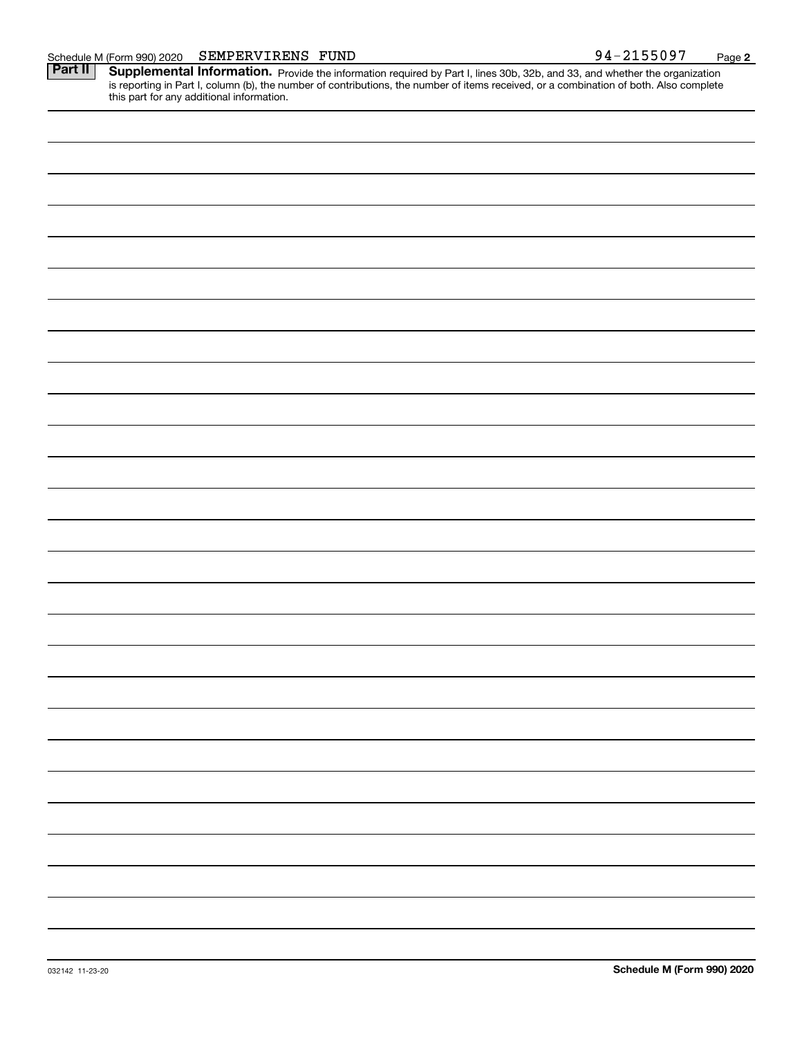**2**

Part II | Supplemental Information. Provide the information required by Part I, lines 30b, 32b, and 33, and whether the organization is reporting in Part I, column (b), the number of contributions, the number of items received, or a combination of both. Also complete this part for any additional information.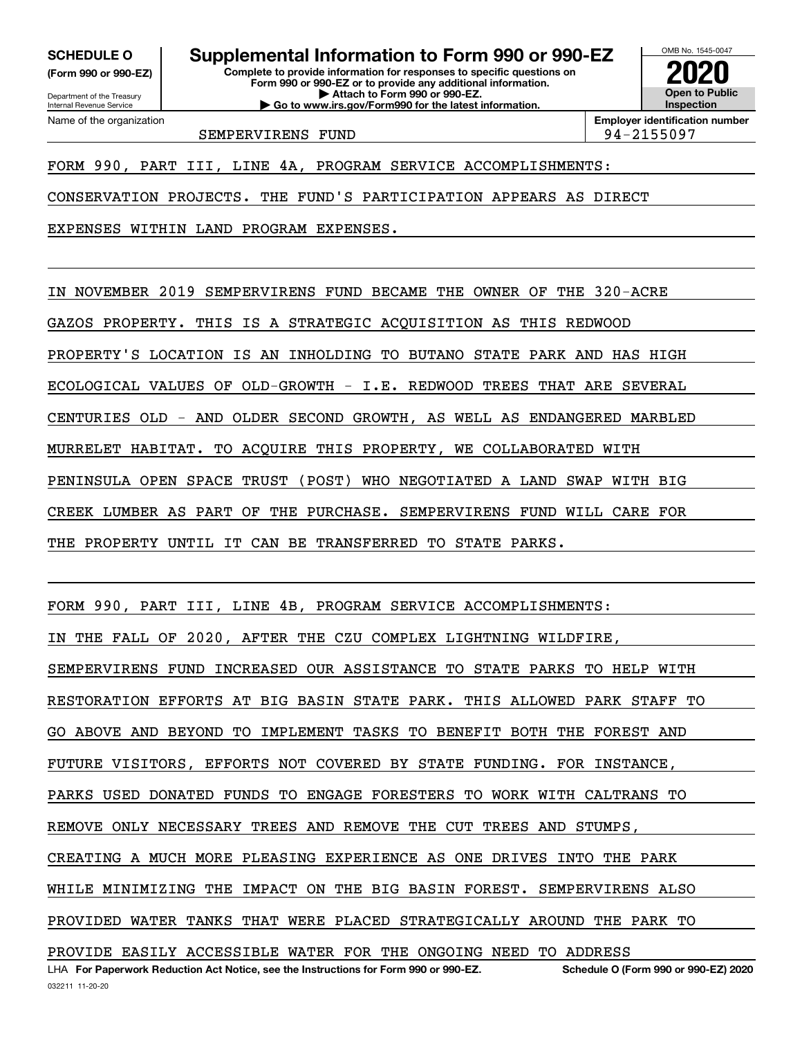**(Form 990 or 990-EZ)**

Department of the Treasury Internal Revenue Service Name of the organization

**Complete to provide information for responses to specific questions on Form 990 or 990-EZ or to provide any additional information. SCHEDULE O Supplemental Information to Form 990 or 990-EZ**

**| Attach to Form 990 or 990-EZ. | Go to www.irs.gov/Form990 for the latest information.**

**Employer identification number** SEMPERVIRENS FUND 84-2155097

OMB No. 1545-0047

**2020**

**Open to Public Inspection**

FORM 990, PART III, LINE 4A, PROGRAM SERVICE ACCOMPLISHMENTS:

CONSERVATION PROJECTS. THE FUND'S PARTICIPATION APPEARS AS DIRECT

EXPENSES WITHIN LAND PROGRAM EXPENSES.

IN NOVEMBER 2019 SEMPERVIRENS FUND BECAME THE OWNER OF THE 320-ACRE

GAZOS PROPERTY. THIS IS A STRATEGIC ACQUISITION AS THIS REDWOOD

PROPERTY'S LOCATION IS AN INHOLDING TO BUTANO STATE PARK AND HAS HIGH

ECOLOGICAL VALUES OF OLD-GROWTH - I.E. REDWOOD TREES THAT ARE SEVERAL

CENTURIES OLD - AND OLDER SECOND GROWTH, AS WELL AS ENDANGERED MARBLED

MURRELET HABITAT. TO ACQUIRE THIS PROPERTY, WE COLLABORATED WITH

PENINSULA OPEN SPACE TRUST (POST) WHO NEGOTIATED A LAND SWAP WITH BIG

CREEK LUMBER AS PART OF THE PURCHASE. SEMPERVIRENS FUND WILL CARE FOR

THE PROPERTY UNTIL IT CAN BE TRANSFERRED TO STATE PARKS.

LHA For Paperwork Reduction Act Notice, see the Instructions for Form 990 or 990-EZ. Schedule O (Form 990 or 990-EZ) 2020 FORM 990, PART III, LINE 4B, PROGRAM SERVICE ACCOMPLISHMENTS: IN THE FALL OF 2020, AFTER THE CZU COMPLEX LIGHTNING WILDFIRE, SEMPERVIRENS FUND INCREASED OUR ASSISTANCE TO STATE PARKS TO HELP WITH RESTORATION EFFORTS AT BIG BASIN STATE PARK. THIS ALLOWED PARK STAFF TO GO ABOVE AND BEYOND TO IMPLEMENT TASKS TO BENEFIT BOTH THE FOREST AND FUTURE VISITORS, EFFORTS NOT COVERED BY STATE FUNDING. FOR INSTANCE, PARKS USED DONATED FUNDS TO ENGAGE FORESTERS TO WORK WITH CALTRANS TO REMOVE ONLY NECESSARY TREES AND REMOVE THE CUT TREES AND STUMPS, CREATING A MUCH MORE PLEASING EXPERIENCE AS ONE DRIVES INTO THE PARK WHILE MINIMIZING THE IMPACT ON THE BIG BASIN FOREST. SEMPERVIRENS ALSO PROVIDED WATER TANKS THAT WERE PLACED STRATEGICALLY AROUND THE PARK TO PROVIDE EASILY ACCESSIBLE WATER FOR THE ONGOING NEED TO ADDRESS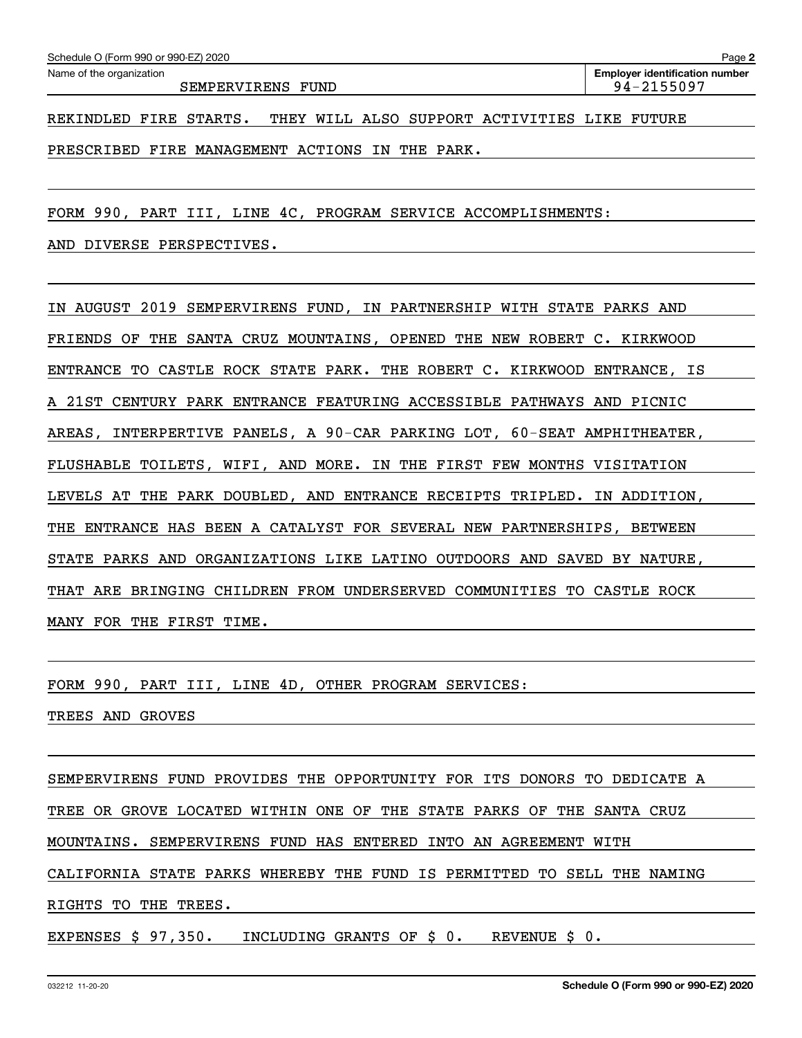SEMPERVIRENS FUND 94-2155097

**2**

REKINDLED FIRE STARTS. THEY WILL ALSO SUPPORT ACTIVITIES LIKE FUTURE PRESCRIBED FIRE MANAGEMENT ACTIONS IN THE PARK.

FORM 990, PART III, LINE 4C, PROGRAM SERVICE ACCOMPLISHMENTS:

AND DIVERSE PERSPECTIVES.

IN AUGUST 2019 SEMPERVIRENS FUND, IN PARTNERSHIP WITH STATE PARKS AND FRIENDS OF THE SANTA CRUZ MOUNTAINS, OPENED THE NEW ROBERT C. KIRKWOOD ENTRANCE TO CASTLE ROCK STATE PARK. THE ROBERT C. KIRKWOOD ENTRANCE, IS A 21ST CENTURY PARK ENTRANCE FEATURING ACCESSIBLE PATHWAYS AND PICNIC AREAS, INTERPERTIVE PANELS, A 90-CAR PARKING LOT, 60-SEAT AMPHITHEATER, FLUSHABLE TOILETS, WIFI, AND MORE. IN THE FIRST FEW MONTHS VISITATION LEVELS AT THE PARK DOUBLED, AND ENTRANCE RECEIPTS TRIPLED. IN ADDITION, THE ENTRANCE HAS BEEN A CATALYST FOR SEVERAL NEW PARTNERSHIPS, BETWEEN STATE PARKS AND ORGANIZATIONS LIKE LATINO OUTDOORS AND SAVED BY NATURE, THAT ARE BRINGING CHILDREN FROM UNDERSERVED COMMUNITIES TO CASTLE ROCK MANY FOR THE FIRST TIME.

FORM 990, PART III, LINE 4D, OTHER PROGRAM SERVICES:

TREES AND GROVES

SEMPERVIRENS FUND PROVIDES THE OPPORTUNITY FOR ITS DONORS TO DEDICATE A TREE OR GROVE LOCATED WITHIN ONE OF THE STATE PARKS OF THE SANTA CRUZ MOUNTAINS. SEMPERVIRENS FUND HAS ENTERED INTO AN AGREEMENT WITH CALIFORNIA STATE PARKS WHEREBY THE FUND IS PERMITTED TO SELL THE NAMING RIGHTS TO THE TREES.

EXPENSES \$ 97,350. INCLUDING GRANTS OF \$ 0. REVENUE \$ 0.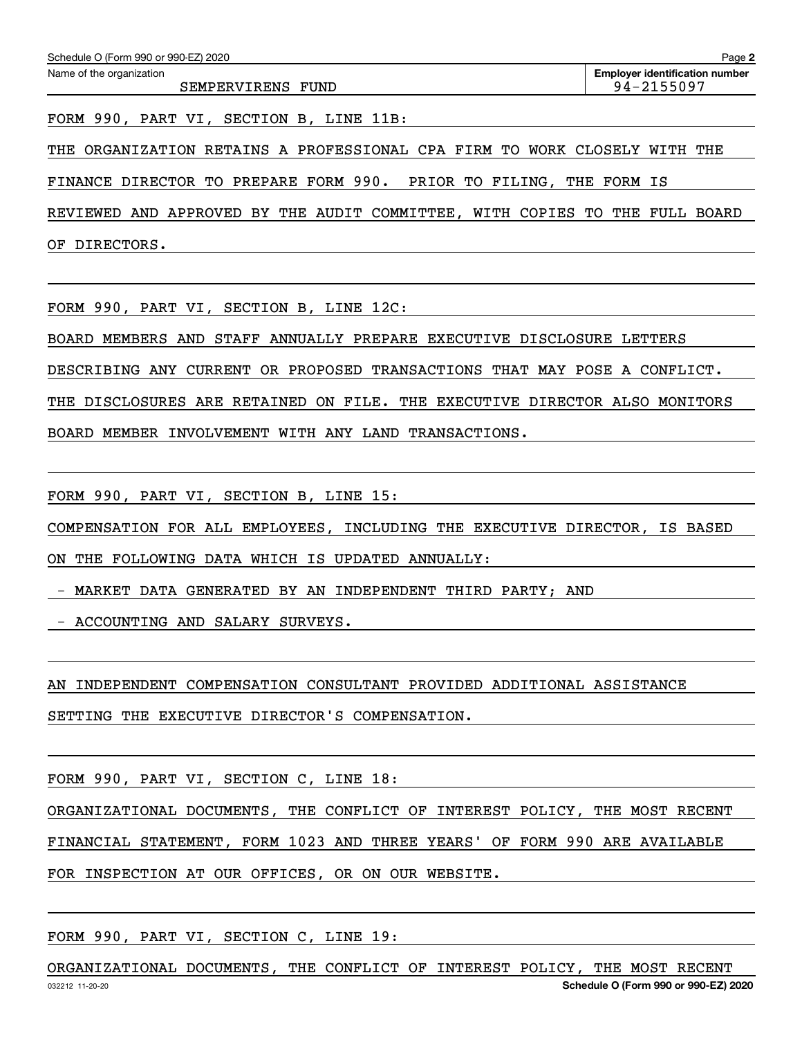FORM 990, PART VI, SECTION B, LINE 11B:

THE ORGANIZATION RETAINS A PROFESSIONAL CPA FIRM TO WORK CLOSELY WITH THE

FINANCE DIRECTOR TO PREPARE FORM 990. PRIOR TO FILING, THE FORM IS

REVIEWED AND APPROVED BY THE AUDIT COMMITTEE, WITH COPIES TO THE FULL BOARD

OF DIRECTORS.

FORM 990, PART VI, SECTION B, LINE 12C:

BOARD MEMBERS AND STAFF ANNUALLY PREPARE EXECUTIVE DISCLOSURE LETTERS

DESCRIBING ANY CURRENT OR PROPOSED TRANSACTIONS THAT MAY POSE A CONFLICT.

THE DISCLOSURES ARE RETAINED ON FILE. THE EXECUTIVE DIRECTOR ALSO MONITORS

BOARD MEMBER INVOLVEMENT WITH ANY LAND TRANSACTIONS.

FORM 990, PART VI, SECTION B, LINE 15:

COMPENSATION FOR ALL EMPLOYEES, INCLUDING THE EXECUTIVE DIRECTOR, IS BASED

ON THE FOLLOWING DATA WHICH IS UPDATED ANNUALLY:

- MARKET DATA GENERATED BY AN INDEPENDENT THIRD PARTY; AND

- ACCOUNTING AND SALARY SURVEYS.

AN INDEPENDENT COMPENSATION CONSULTANT PROVIDED ADDITIONAL ASSISTANCE

SETTING THE EXECUTIVE DIRECTOR'S COMPENSATION.

FORM 990, PART VI, SECTION C, LINE 18:

ORGANIZATIONAL DOCUMENTS, THE CONFLICT OF INTEREST POLICY, THE MOST RECENT

FINANCIAL STATEMENT, FORM 1023 AND THREE YEARS' OF FORM 990 ARE AVAILABLE

FOR INSPECTION AT OUR OFFICES, OR ON OUR WEBSITE.

FORM 990, PART VI, SECTION C, LINE 19:

032212 11-20-20 **Schedule O (Form 990 or 990-EZ) 2020** ORGANIZATIONAL DOCUMENTS, THE CONFLICT OF INTEREST POLICY, THE MOST RECENT